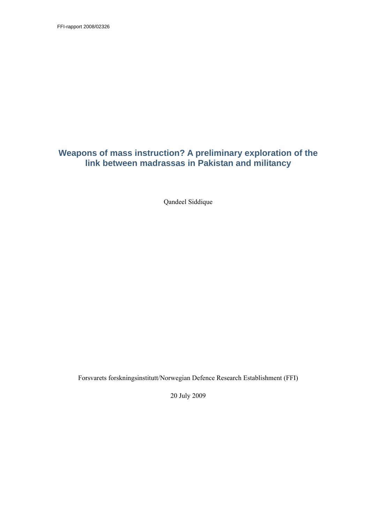FFI-rapport 2008/02326

## **Weapons of mass instruction? A preliminary exploration of the link between madrassas in Pakistan and militancy**

Qandeel Siddique

Forsvarets forskningsinstitutt/Norwegian Defence Research Establishment (FFI)

20 July 2009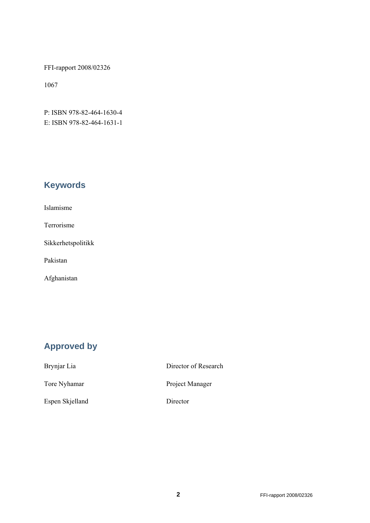FFI-rapport 2008/02326

1067

P: ISBN 978-82-464-1630-4 E: ISBN 978-82-464-1631-1

# **Keywords**

| Islamisme |
|-----------|
|           |
|           |

Terrorisme

Sikkerhetspolitikk

Pakistan

Afghanistan

# **Approved by**

| Brynjar Lia     | Director of Research |
|-----------------|----------------------|
| Tore Nyhamar    | Project Manager      |
| Espen Skjelland | Director             |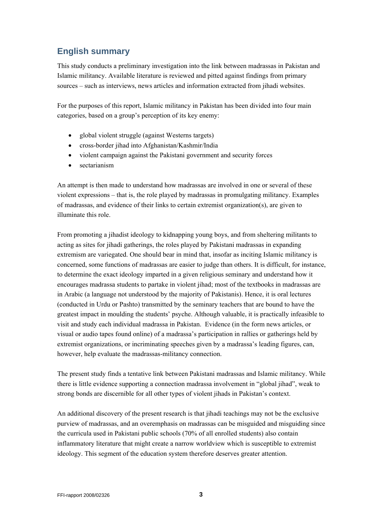# **English summary**

This study conducts a preliminary investigation into the link between madrassas in Pakistan and Islamic militancy. Available literature is reviewed and pitted against findings from primary sources – such as interviews, news articles and information extracted from jihadi websites.

For the purposes of this report, Islamic militancy in Pakistan has been divided into four main categories, based on a group's perception of its key enemy:

- global violent struggle (against Westerns targets)
- cross-border jihad into Afghanistan/Kashmir/India
- violent campaign against the Pakistani government and security forces
- sectarianism

An attempt is then made to understand how madrassas are involved in one or several of these violent expressions – that is, the role played by madrassas in promulgating militancy. Examples of madrassas, and evidence of their links to certain extremist organization(s), are given to illuminate this role.

From promoting a jihadist ideology to kidnapping young boys, and from sheltering militants to acting as sites for jihadi gatherings, the roles played by Pakistani madrassas in expanding extremism are variegated. One should bear in mind that, insofar as inciting Islamic militancy is concerned, some functions of madrassas are easier to judge than others. It is difficult, for instance, to determine the exact ideology imparted in a given religious seminary and understand how it encourages madrassa students to partake in violent jihad; most of the textbooks in madrassas are in Arabic (a language not understood by the majority of Pakistanis). Hence, it is oral lectures (conducted in Urdu or Pashto) transmitted by the seminary teachers that are bound to have the greatest impact in moulding the students' psyche. Although valuable, it is practically infeasible to visit and study each individual madrassa in Pakistan. Evidence (in the form news articles, or visual or audio tapes found online) of a madrassa's participation in rallies or gatherings held by extremist organizations, or incriminating speeches given by a madrassa's leading figures, can, however, help evaluate the madrassas-militancy connection.

The present study finds a tentative link between Pakistani madrassas and Islamic militancy. While there is little evidence supporting a connection madrassa involvement in "global jihad", weak to strong bonds are discernible for all other types of violent jihads in Pakistan's context.

An additional discovery of the present research is that jihadi teachings may not be the exclusive purview of madrassas, and an overemphasis on madrassas can be misguided and misguiding since the curricula used in Pakistani public schools (70% of all enrolled students) also contain inflammatory literature that might create a narrow worldview which is susceptible to extremist ideology. This segment of the education system therefore deserves greater attention.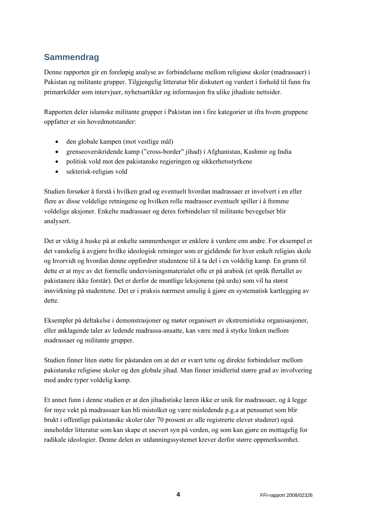# **Sammendrag**

Denne rapporten gir en foreløpig analyse av forbindelsene mellom religiøse skoler (madrassaer) i Pakistan og militante grupper. Tilgjengelig litteratur blir diskutert og vurdert i forhold til funn fra primærkilder som intervjuer, nyhetsartikler og informasjon fra ulike jihadiste nettsider.

Rapporten deler islamske militante grupper i Pakistan inn i fire kategorier ut ifra hvem gruppene oppfatter er sin hovedmotstander:

- den globale kampen (mot vestlige mål)
- grenseoverskridende kamp ("cross-border" jihad) i Afghanistan, Kashmir og India
- politisk vold mot den pakistanske regjeringen og sikkerhetsstyrkene
- sekterisk-religiøs vold

Studien forsøker å forstå i hvilken grad og eventuelt hvordan madrassaer er involvert i en eller flere av disse voldelige retningene og hvilken rolle madrasser eventuelt spiller i å fremme voldelige aksjoner. Enkelte madrassaer og deres forbindelser til militante bevegelser blir analysert.

Det er viktig å huske på at enkelte sammenhenger er enklere å vurdere enn andre. For eksempel er det vanskelig å avgjøre hvilke ideologisk retninger som er gjeldende for hver enkelt religiøs skole og hvorvidt og hvordan denne oppfordrer studentene til å ta del i en voldelig kamp. En grunn til dette er at mye av det formelle undervisningsmaterialet ofte er på arabisk (et språk flertallet av pakistanere ikke forstår). Det er derfor de muntlige leksjonene (på urdu) som vil ha størst innvirkning på studentene. Det er i praksis nærmest umulig å gjøre en systematisk kartlegging av dette.

Eksempler på deltakelse i demonstrasjoner og møter organisert av ekstremistiske organisasjoner, eller anklagende taler av ledende madrassa-ansatte, kan være med å styrke linken mellom madrassaer og militante grupper.

Studien finner liten støtte for påstanden om at det er svært tette og direkte forbindelser mellom pakistanske religiøse skoler og den globale jihad. Man finner imidlertid større grad av involvering med andre typer voldelig kamp.

Et annet funn i denne studien er at den jihadistiske læren ikke er unik for madrassaer, og å legge for mye vekt på madrassaer kan bli mistolket og være misledende p.g.a at pensumet som blir brukt i offentlige pakistanske skoler (der 70 prosent av alle registrerte elever studerer) også inneholder litteratur som kan skape et snevert syn på verden, og som kan gjøre en mottagelig for radikale ideologier. Denne delen av utdanningssystemet krever derfor større oppmerksomhet.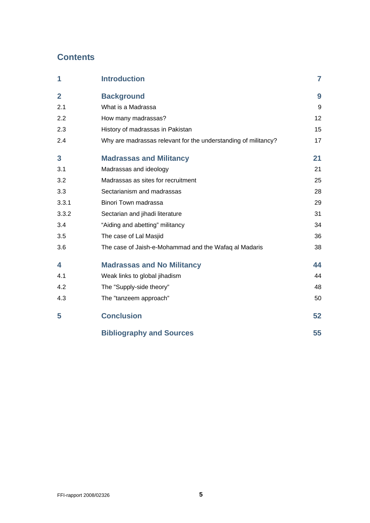## **Contents**

| 1              | <b>Introduction</b>                                            | 7  |
|----------------|----------------------------------------------------------------|----|
| $\overline{2}$ | <b>Background</b>                                              | 9  |
| 2.1            | What is a Madrassa                                             | 9  |
| 2.2            | How many madrassas?                                            | 12 |
| 2.3            | History of madrassas in Pakistan                               | 15 |
| 2.4            | Why are madrassas relevant for the understanding of militancy? | 17 |
| 3              | <b>Madrassas and Militancy</b>                                 | 21 |
| 3.1            | Madrassas and ideology                                         | 21 |
| 3.2            | Madrassas as sites for recruitment                             | 25 |
| 3.3            | Sectarianism and madrassas                                     | 28 |
| 3.3.1          | Binori Town madrassa                                           | 29 |
| 3.3.2          | Sectarian and jihadi literature                                | 31 |
| 3.4            | "Aiding and abetting" militancy                                | 34 |
| 3.5            | The case of Lal Masjid                                         | 36 |
| 3.6            | The case of Jaish-e-Mohammad and the Wafaq al Madaris          | 38 |
| 4              | <b>Madrassas and No Militancy</b>                              | 44 |
| 4.1            | Weak links to global jihadism                                  | 44 |
| 4.2            | The "Supply-side theory"                                       | 48 |
| 4.3            | The "tanzeem approach"                                         | 50 |
| 5              | <b>Conclusion</b>                                              | 52 |
|                | <b>Bibliography and Sources</b>                                | 55 |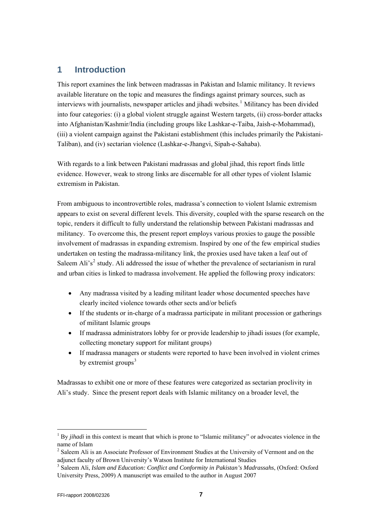## <span id="page-6-0"></span>**1 Introduction**

This report examines the link between madrassas in Pakistan and Islamic militancy. It reviews available literature on the topic and measures the findings against primary sources, such as interviews with journalists, newspaper articles and jihadi websites.<sup>[1](#page-6-1)</sup> Militancy has been divided into four categories: (i) a global violent struggle against Western targets, (ii) cross-border attacks into Afghanistan/Kashmir/India (including groups like Lashkar-e-Taiba, Jaish-e-Mohammad), (iii) a violent campaign against the Pakistani establishment (this includes primarily the Pakistani-Taliban), and (iv) sectarian violence (Lashkar-e-Jhangvi, Sipah-e-Sahaba).

With regards to a link between Pakistani madrassas and global jihad, this report finds little evidence. However, weak to strong links are discernable for all other types of violent Islamic extremism in Pakistan.

From ambiguous to incontrovertible roles, madrassa's connection to violent Islamic extremism appears to exist on several different levels. This diversity, coupled with the sparse research on the topic, renders it difficult to fully understand the relationship between Pakistani madrassas and militancy. To overcome this, the present report employs various proxies to gauge the possible involvement of madrassas in expanding extremism. Inspired by one of the few empirical studies undertaken on testing the madrassa-militancy link, the proxies used have taken a leaf out of Saleem Ali's<sup>[2](#page-6-2)</sup> study. Ali addressed the issue of whether the prevalence of sectarianism in rural and urban cities is linked to madrassa involvement. He applied the following proxy indicators:

- Any madrassa visited by a leading militant leader whose documented speeches have clearly incited violence towards other sects and/or beliefs
- If the students or in-charge of a madrassa participate in militant procession or gatherings of militant Islamic groups
- If madrassa administrators lobby for or provide leadership to jihadi issues (for example, collecting monetary support for militant groups)
- If madrassa managers or students were reported to have been involved in violent crimes by extremist groups $3$

Madrassas to exhibit one or more of these features were categorized as sectarian proclivity in Ali's study. Since the present report deals with Islamic militancy on a broader level, the

<span id="page-6-1"></span><sup>1</sup> By *jihadi* in this context is meant that which is prone to "Islamic militancy" or advocates violence in the name of Islam

<span id="page-6-2"></span><sup>&</sup>lt;sup>2</sup> Saleem Ali is an Associate Professor of Environment Studies at the University of Vermont and on the adjunct faculty of Brown University's Watson Institute for International Studies

<span id="page-6-3"></span><sup>3</sup> Saleem Ali, *Islam and Education: Conflict and Conformity in Pakistan's Madrassahs*, (Oxford: Oxford University Press, 2009) A manuscript was emailed to the author in August 2007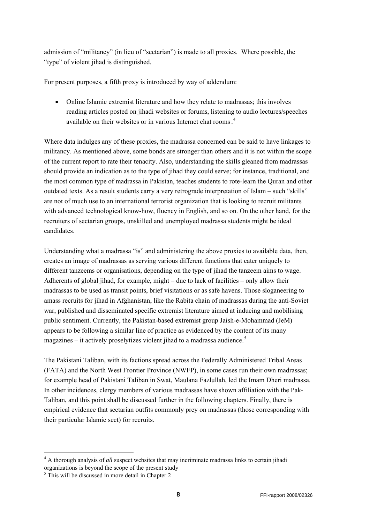admission of "militancy" (in lieu of "sectarian") is made to all proxies. Where possible, the "type" of violent jihad is distinguished.

For present purposes, a fifth proxy is introduced by way of addendum:

• Online Islamic extremist literature and how they relate to madrassas; this involves reading articles posted on jihadi websites or forums, listening to audio lectures/speeches available on their websites or in various Internet chat rooms. [4](#page-7-0)

Where data indulges any of these proxies, the madrassa concerned can be said to have linkages to militancy. As mentioned above, some bonds are stronger than others and it is not within the scope of the current report to rate their tenacity. Also, understanding the skills gleaned from madrassas should provide an indication as to the type of jihad they could serve; for instance, traditional, and the most common type of madrassa in Pakistan, teaches students to rote-learn the Quran and other outdated texts. As a result students carry a very retrograde interpretation of Islam – such "skills" are not of much use to an international terrorist organization that is looking to recruit militants with advanced technological know-how, fluency in English, and so on. On the other hand, for the recruiters of sectarian groups, unskilled and unemployed madrassa students might be ideal candidates.

Understanding what a madrassa "is" and administering the above proxies to available data, then, creates an image of madrassas as serving various different functions that cater uniquely to different tanzeems or organisations, depending on the type of jihad the tanzeem aims to wage. Adherents of global jihad, for example, might – due to lack of facilities – only allow their madrassas to be used as transit points, brief visitations or as safe havens. Those sloganeering to amass recruits for jihad in Afghanistan, like the Rabita chain of madrassas during the anti-Soviet war, published and disseminated specific extremist literature aimed at inducing and mobilising public sentiment. Currently, the Pakistan-based extremist group Jaish-e-Mohammad (JeM) appears to be following a similar line of practice as evidenced by the content of its many magazines – it actively proselytizes violent jihad to a madrassa audience. $5$ 

The Pakistani Taliban, with its factions spread across the Federally Administered Tribal Areas (FATA) and the North West Frontier Province (NWFP), in some cases run their own madrassas; for example head of Pakistani Taliban in Swat, Maulana Fazlullah, led the Imam Dheri madrassa. In other incidences, clergy members of various madrassas have shown affiliation with the Pak-Taliban, and this point shall be discussed further in the following chapters. Finally, there is empirical evidence that sectarian outfits commonly prey on madrassas (those corresponding with their particular Islamic sect) for recruits.

1

<span id="page-7-0"></span><sup>&</sup>lt;sup>4</sup> A thorough analysis of *all* suspect websites that may incriminate madrassa links to certain jihadi organizations is beyond the scope of the present study

<span id="page-7-1"></span><sup>5</sup> This will be discussed in more detail in Chapter 2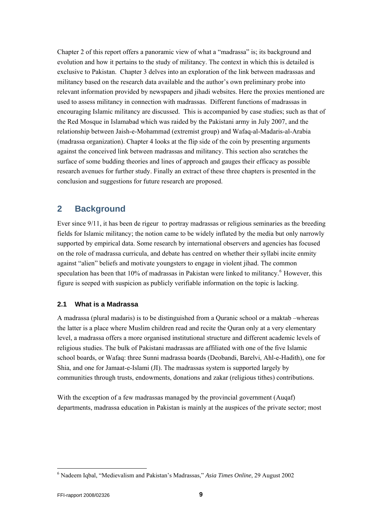<span id="page-8-0"></span>Chapter 2 of this report offers a panoramic view of what a "madrassa" is; its background and evolution and how it pertains to the study of militancy. The context in which this is detailed is exclusive to Pakistan. Chapter 3 delves into an exploration of the link between madrassas and militancy based on the research data available and the author's own preliminary probe into relevant information provided by newspapers and jihadi websites. Here the proxies mentioned are used to assess militancy in connection with madrassas. Different functions of madrassas in encouraging Islamic militancy are discussed. This is accompanied by case studies; such as that of the Red Mosque in Islamabad which was raided by the Pakistani army in July 2007, and the relationship between Jaish-e-Mohammad (extremist group) and Wafaq-al-Madaris-al-Arabia (madrassa organization). Chapter 4 looks at the flip side of the coin by presenting arguments against the conceived link between madrassas and militancy. This section also scratches the surface of some budding theories and lines of approach and gauges their efficacy as possible research avenues for further study. Finally an extract of these three chapters is presented in the conclusion and suggestions for future research are proposed.

## **2 Background**

Ever since 9/11, it has been de rigeur to portray madrassas or religious seminaries as the breeding fields for Islamic militancy; the notion came to be widely inflated by the media but only narrowly supported by empirical data. Some research by international observers and agencies has focused on the role of madrassa curricula, and debate has centred on whether their syllabi incite enmity against "alien" beliefs and motivate youngsters to engage in violent jihad. The common speculation has been that 10% of madrassas in Pakistan were linked to militancy.<sup>[6](#page-8-1)</sup> However, this figure is seeped with suspicion as publicly verifiable information on the topic is lacking.

### **2.1 What is a Madrassa**

A madrassa (plural madaris) is to be distinguished from a Quranic school or a maktab –whereas the latter is a place where Muslim children read and recite the Quran only at a very elementary level, a madrassa offers a more organised institutional structure and different academic levels of religious studies. The bulk of Pakistani madrassas are affiliated with one of the five Islamic school boards, or Wafaq: three Sunni madrassa boards (Deobandi, Barelvi, Ahl-e-Hadith), one for Shia, and one for Jamaat-e-Islami (JI). The madrassas system is supported largely by communities through trusts, endowments, donations and zakar (religious tithes) contributions.

With the exception of a few madrassas managed by the provincial government (Augaf) departments, madrassa education in Pakistan is mainly at the auspices of the private sector; most

<span id="page-8-1"></span><sup>6</sup> Nadeem Iqbal, "Medievalism and Pakistan's Madrassas," *Asia Times Online*, 29 August 2002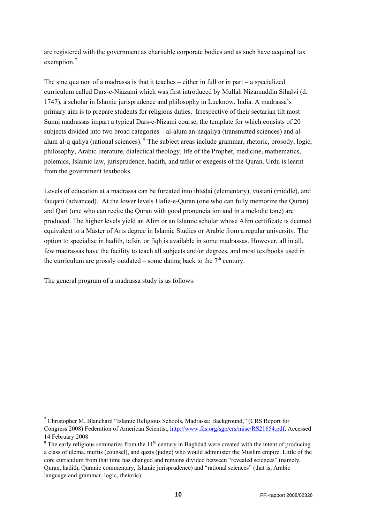are registered with the government as charitable corporate bodies and as such have acquired tax exemption.<sup>[7](#page-9-0)</sup>

The sine qua non of a madrassa is that it teaches – either in full or in part – a specialized curriculum called Dars-e-Niazami which was first introduced by Mullah Nizamuddin Sihalvi (d. 1747), a scholar in Islamic jurisprudence and philosophy in Lucknow, India. A madrassa's primary aim is to prepare students for religious duties. Irrespective of their sectarian tilt most Sunni madrassas impart a typical Dars-e-Nizami course, the template for which consists of 20 subjects divided into two broad categories – al-alum an-naqaliya (transmitted sciences) and al-alum al-q qaliya (rational sciences). <sup>[8](#page-9-1)</sup> The subject areas include grammar, rhetoric, prosody, logic, philosophy, Arabic literature, dialectical theology, life of the Prophet, medicine, mathematics, polemics, Islamic law, jurisprudence, hadith, and tafsir or exegesis of the Quran. Urdu is learnt from the government textbooks.

Levels of education at a madrassa can be furcated into ibtedai (elementary), vustani (middle), and fauqani (advanced). At the lower levels Hafiz-e-Quran (one who can fully memorize the Quran) and Qari (one who can recite the Quran with good pronunciation and in a melodic tone) are produced. The higher levels yield an Alim or an Islamic scholar whose Alim certificate is deemed equivalent to a Master of Arts degree in Islamic Studies or Arabic from a regular university. The option to specialise in hadith, tafsir, or fiqh is available in some madrassas. However, all in all, few madrassas have the facility to teach all subjects and/or degrees, and most textbooks used in the curriculum are grossly outdated – some dating back to the  $7<sup>th</sup>$  century.

The general program of a madrassa study is as follows:

-

<span id="page-9-0"></span><sup>&</sup>lt;sup>7</sup> Christopher M. Blanchard "Islamic Religious Schools, Madrassa: Background," (CRS Report for Congress 2008) Federation of American Scientist, <http://www.fas.org/sgp/crs/misc/RS21654.pdf>, Accessed 14 February 2008

<span id="page-9-1"></span> $8$  The early religious seminaries from the 11<sup>th</sup> century in Baghdad were created with the intent of producing a class of ulema, muftis (counsel), and qazis (judge) who would administer the Muslim empire. Little of the core curriculum from that time has changed and remains divided between "revealed sciences" (namely, Quran, hadith, Quranic commentary, Islamic jurisprudence) and "rational sciences" (that is, Arabic language and grammar, logic, rhetoric).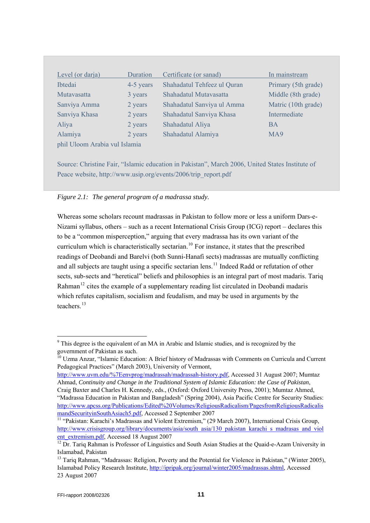| Level (or darja)              | Duration  | Certificate (or sanad)      | In mainstream       |
|-------------------------------|-----------|-----------------------------|---------------------|
| <b>I</b> btedai               | 4-5 years | Shahadatul Tehfeez ul Quran | Primary (5th grade) |
| Mutavasatta                   | 3 years   | Shahadatul Mutavasatta      | Middle (8th grade)  |
| Sanviya Amma                  | 2 years   | Shahadatul Sanviya ul Amma  | Matric (10th grade) |
| Sanviya Khasa                 | 2 years   | Shahadatul Sanviya Khasa    | Intermediate        |
| Aliya                         | 2 years   | Shahadatul Aliya            | <b>BA</b>           |
| Alamiya                       | 2 years   | Shahadatul Alamiya          | MA9                 |
| phil Uloom Arabia vul Islamia |           |                             |                     |
|                               |           |                             |                     |

Source: Christine Fair, "Islamic education in Pakistan", March 2006, United States Institute of Peace website, http://www.usip.org/events/2006/trip\_report.pdf

*Figure 2.1: The general program of a madrassa study.* 

Whereas some scholars recount madrassas in Pakistan to follow more or less a uniform Dars-e-Nizami syllabus, others – such as a recent International Crisis Group (ICG) report – declares this to be a "common misperception," arguing that every madrassa has its own variant of the curriculum which is characteristically sectarian.<sup>[10](#page-10-1)</sup> For instance, it states that the prescribed readings of Deobandi and Barelvi (both Sunni-Hanafi sects) madrassas are mutually conflicting and all subjects are taught using a specific sectarian lens.<sup>[11](#page-10-2)</sup> Indeed Radd or refutation of other sects, sub-sects and "heretical" beliefs and philosophies is an integral part of most madaris. Tariq Rahman<sup>[12](#page-10-3)</sup> cites the example of a supplementary reading list circulated in Deobandi madaris which refutes capitalism, socialism and feudalism, and may be used in arguments by the teachers<sup>13</sup>

[http://www.uvm.edu/%7Eenvprog/madrassah/madrassah-history.pdf,](http://www.uvm.edu/%7Eenvprog/madrassah/madrassah-history.pdf) Accessed 31 August 2007; Mumtaz Ahmad, *Continuity and Change in the Traditional System of Islamic Education: the Case of Pakistan*,

<span id="page-10-0"></span><sup>&</sup>lt;sup>9</sup> This degree is the equivalent of an MA in Arabic and Islamic studies, and is recognized by the government of Pakistan as such.

<span id="page-10-1"></span><sup>&</sup>lt;sup>10</sup> Uzma Anzar, "Islamic Education: A Brief history of Madrassas with Comments on Curricula and Current Pedagogical Practices" (March 2003), University of Vermont,

Craig Baxter and Charles H. Kennedy, eds., (Oxford: Oxford University Press, 2001); Mumtaz Ahmed, "Madrassa Education in Pakistan and Bangladesh" (Spring 2004), Asia Pacific Centre for Security Studies: [http://www.apcss.org/Publications/Edited%20Volumes/ReligiousRadicalism/PagesfromReligiousRadicalis](http://www.apcss.org/Publications/Edited%20Volumes/ReligiousRadicalism/PagesfromReligiousRadicalismandSecurityinSouthAsiach5.pdf) [mandSecurityinSouthAsiach5.pdf](http://www.apcss.org/Publications/Edited%20Volumes/ReligiousRadicalism/PagesfromReligiousRadicalismandSecurityinSouthAsiach5.pdf), Accessed 2 September 2007<br><sup>[11](http://www.apcss.org/Publications/Edited%20Volumes/ReligiousRadicalism/PagesfromReligiousRadicalismandSecurityinSouthAsiach5.pdf)</sup> "Pakistan: Karachi's Madrassas and Violent Extremism," (29 March 2007), International Crisis Group,

<span id="page-10-2"></span>[http://www.crisisgroup.org/library/documents/asia/south\\_asia/130\\_pakistan\\_karachi\\_s\\_madrasas\\_and\\_viol](http://www.crisisgroup.org/library/documents/asia/south_asia/130_pakistan_karachi_s_madrasas_and_violent_extremism.pdf) [ent\\_extremism.pdf](http://www.crisisgroup.org/library/documents/asia/south_asia/130_pakistan_karachi_s_madrasas_and_violent_extremism.pdf), Accessed 18 August 2007<br><sup>12</sup> Dr. Tariq Rahman is Professor of Linguistics and South Asian Studies at the Quaid-e-Azam University in

<span id="page-10-3"></span>Islamabad, Pakistan

<sup>&</sup>lt;sup>13</sup> Tariq Rahman, "Madrassas: Religion, Poverty and the Potential for Violence in Pakistan," (Winter 2005), Islamabad Policy Research Institute, [http://ipripak.org/journal/winter2005/madrassas.shtml,](http://ipripak.org/journal/winter2005/madrassas.shtml) Accessed 23 August 2007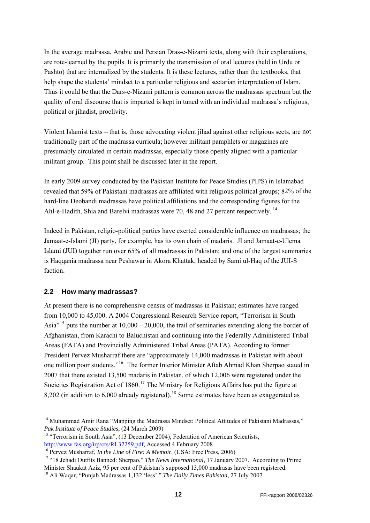<span id="page-11-0"></span>In the average madrassa, Arabic and Persian Dras-e-Nizami texts, along with their explanations, Thus it could be that the Dars-e-Nizami pattern is common across the madrassas spectrum but the quality of oral discourse that is imparted is kept in tuned with an individual madrassa's religious, are rote-learned by the pupils. It is primarily the transmission of oral lectures (held in Urdu or Pashto) that are internalized by the students. It is these lectures, rather than the textbooks, that help shape the students' mindset to a particular religious and sectarian interpretation of Islam. political or jihadist, proclivity.

Violent Islamist texts – that is, those advocating violent jihad against other religious sects, are not traditionally part of the madrassa curricula; however militant pamphlets or magazines are presumably circulated in certain madrassas, especially those openly aligned with a particular militant group. This point shall be discussed later in the report.

revealed that 59% of Pakistani madrassas are affiliated with religious political groups; 82% of the hard-line Deobandi madrassas have political affiliations and the corresponding figures for the In early 2009 survey conducted by the Pakistan Institute for Peace Studies (PIPS) in Islamabad Ahl-e-Hadith, Shia and Barelvi madrassas were 70, 48 and 27 percent respectively.<sup>14</sup>

Islami (JUI) together run over 65% of all madrassas in Pakistan; and one of the largest seminaries is Haqqania madrassa near Peshawar in Akora Khattak, headed by Sami ul-Haq of the JUI-S Indeed in Pakistan, religio-political parties have exerted considerable influence on madrassas; the Jamaat-e-Islami (JI) party, for example, has its own chain of madaris. JI and Jamaat-e-Ulema faction.

#### **2.2 How many madrassas?**

-

Asia<sup> $15$ </sup> puts the number at  $10,000 - 20,000$ , the trail of seminaries extending along the border of Afghanistan, from Karachi to Baluchistan and continuing into the Federally Administered Tribal one million poor students."<sup>[16](#page-11-2)</sup> The former Interior Minister Aftab Ahmad Khan Sherpao stated in At present there is no comprehensive census of madrassas in Pakistan; estimates have ranged from 10,000 to 45,000. A 2004 Congressional Research Service report, "Terrorism in South Areas (FATA) and Provincially Administered Tribal Areas (PATA). According to former President Pervez Musharraf there are "approximately 14,000 madrassas in Pakistan with about 2007 that there existed 13,500 madaris in Pakistan, of which 12,006 were registered under the Societies Registration Act of  $1860$ <sup>[17](#page-11-3)</sup> The Ministry for Religious Affairs has put the figure at 8,202 (in addition to  $6,000$  already registered).<sup>[18](#page-11-4)</sup> Some estimates have been as exaggerated as

<sup>&</sup>lt;sup>14</sup> Muhammad Amir Rana "Mapping the Madrassa Mindset: Political Attitudes of Pakistani Madrassas,"

*Pak Institute of Peace Studies*, (24 March 2009)<br><sup>15</sup> "Terrorism in South Asia", (13 December 2004), Federation of American Scientists,

<span id="page-11-3"></span><span id="page-11-2"></span>

<span id="page-11-1"></span>http://www.fas.org/irp/crs/RL32259.pdf, Accessed 4 February 2008<br><sup>16</sup> Pervez Musharraf, *In the Line of Fire: A Memoir*, (USA: Free Press, 2006)<br><sup>17</sup> "18 Jehadi Outfits Banned: Sherpao," *The News International*, 17 Januar Minister Shaukat Aziz, 95 per cent of Pakistan's supposed 13,000 madrasas have been registered.

<span id="page-11-4"></span> 18 Ali Waqar, "Punjab Madrassas 1,132 'less'," *The Daily Times Pakistan*, 27 July 2007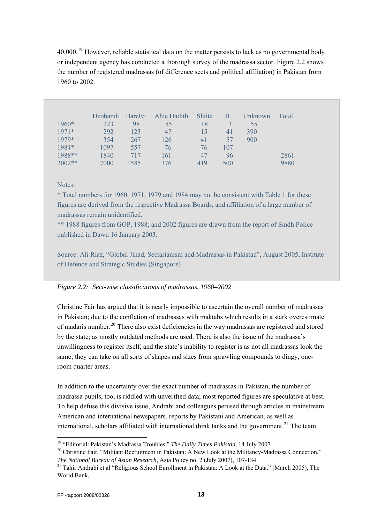or independent agency has conducted a thorough survey of the madrassa sector. Figure 2.2 shows the number of registered madrassas (of difference sects and political affiliation) in Pakistan from 1960 to 2002. 40,000.<sup>[19](#page-12-0)</sup> However, reliable statistical data on the matter persists to lack as no governmental body

|          | Deobandi | <b>Barelyi</b> | Ahle Hadith | <b>Shiite</b> | Л   | Unknown | Total |
|----------|----------|----------------|-------------|---------------|-----|---------|-------|
| 1960*    | 223      | 98             | 55          | 18            | 3   | 55      |       |
| $1971*$  | 292      | 123            | 47          | 15            | 41  | 390     |       |
| 1979*    | 354      | 267            | 126         | 41            | 57  | 900     |       |
| 1984*    | 1097     | 557            | 76          | 76            | 107 |         |       |
| 1988**   | 1840     | 717            | 161         | 47            | 96  |         | 2861  |
| $2002**$ | 7000     | 1585           | 376         | 419           | 500 |         | 9880  |

#### Notes:

\* Total numbers for 1960, 1971, 1979 and 1984 may not be consistent with Table 1 for these figures are derived from the respective Madrassa Boards, and affiliation of a large number of madrassas remain unidentified.

\*\* 1988 figures from GOP, 1988; and 2002 figures are drawn from the report of Sindh Police published in Dawn 16 January 2003.

Source: Ali Riaz, "Global Jihad, Sectarianism and Madrassas in Pakistan", August 2005, Institute of Defence and Strategic Studies (Singapore)

#### *Figure 2.2: Sect-wise classifications of madrassas, 1960–2002*

Christine Fair has argued that it is nearly impossible to ascertain the overall number of madrassas in Pakistan; due to the conflation of madrassas with maktabs which results in a stark overest imate of madaris number.<sup>[20](#page-12-1)</sup> There also exist deficiencies in the way madrassas are registered and stored unwillingness to register itself, and the state's inability to register is as not all madrassas look the same; they can take on all sorts of shapes and sizes from sprawling compounds to dingy, oneby the state; as mostly outdated methods are used. There is also the issue of the madrassa's room quarter areas.

madrassa pupils, too, is riddled with unverified data; most reported figures are speculative at best. To help defuse this divisive issue, Andrabi and colleagues perused through articles in mainstream American and international newspapers, reports by Pakistani and American, as well as international, scholars affiliated with international think tanks and the government.<sup>21</sup> The team In addition to the uncertainty over the exact number of madrassas in Pakistan, the number of

<span id="page-12-0"></span><sup>19 &</sup>quot;Editorial: Pakistan's Madrassa Troubles," *The Daily Times Pakistan*, 14 July 2007

<span id="page-12-1"></span>The National Bureau of Asian Research, Asia Policy no. 2 (July 2007), 107-134 <sup>20</sup> Christine Fair, "Militant Recruitment in Pakistan: A New Look at the Militancy-Madrassa Connection,"

<sup>&</sup>lt;sup>21</sup> Tahir Andrabi et al "Religious School Enrollment in Pakistan: A Look at the Data," (March 2005), The World Bank,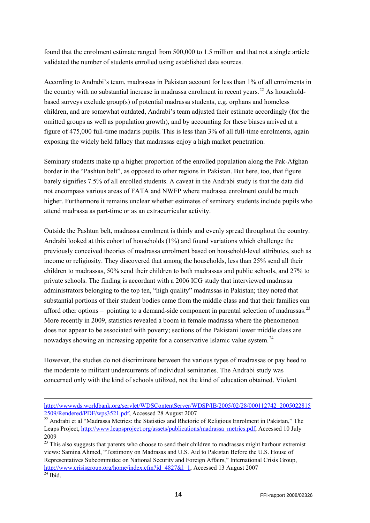found that the enrolment estimate ranged from 500,000 to 1.5 million and that not a single article validated the number of students enrolled using established data sources.

According to Andrabi's team, madrassas in Pakistan account for less than 1% of all enrolments in the country with no substantial increase in madrassa enrolment in recent years.<sup>[22](#page-13-0)</sup> As householdbased surveys exclude group(s) of potential madrassa students, e.g. orphans and homeless children, and are somewhat outdated, Andrabi's team adjusted their estimate accordingly (for the omitted groups as well as population growth), and by accounting for these biases arrived at a figure of 475,000 full-time madaris pupils. This is less than 3% of all full-time enrolments, again exposing the widely held fallacy that madrassas enjoy a high market penetration.

Seminary students make up a higher proportion of the enrolled population along the Pak-Afghan border in the "Pashtun belt", as opposed to other regions in Pakistan. But here, too, that figure barely signifies 7.5% of all enrolled students. A caveat in the Andrabi study is that the data did not encompass various areas of FATA and NWFP where madrassa enrolment could be much higher. Furthermore it remains unclear whether estimates of seminary students include pupils who attend madrassa as part-time or as an extracurricular activity.

Outside the Pashtun belt, madrassa enrolment is thinly and evenly spread throughout the country. Andrabi looked at this cohort of households (1%) and found variations which challenge the previously conceived theories of madrassa enrolment based on household-level attributes, such as income or religiosity. They discovered that among the households, less than 25% send all their children to madrassas, 50% send their children to both madrassas and public schools, and 27% to private schools. The finding is accordant with a 2006 ICG study that interviewed madrassa administrators belonging to the top ten, "high quality" madrassas in Pakistan; they noted that substantial portions of their student bodies came from the middle class and that their families can afford other options – pointing to a demand-side component in parental selection of madrassas.<sup>[23](#page-13-1)</sup> More recently in 2009, statistics revealed a boom in female madrassa where the phenomenon does not appear to be associated with poverty; sections of the Pakistani lower middle class are nowadays showing an increasing appetite for a conservative Islamic value system.<sup>[24](#page-13-2)</sup>

However, the studies do not discriminate between the various types of madrassas or pay heed to the moderate to militant undercurrents of individual seminaries. The Andrabi study was concerned only with the kind of schools utilized, not the kind of education obtained. Violent

-

http://wwwwds.worldbank.org/servlet/WDSContentServer/WDSP/IB/2005/02/28/000112742\_2005022815

<span id="page-13-0"></span><sup>2509/</sup>Rendered/PDF/wps3521.pdf, Accessed 28 August 2007<br><sup>22</sup> Andrabi et al "Madrassa Metrics: the Statistics and Rhetoric of Religious Enrolment in Pakistan," The Leaps Project, [http://www.leapsproject.org/assets/publications/madrassa\\_metrics.pdf,](http://www.leapsproject.org/assets/publications/madrassa_metrics.pdf) Accessed 10 July 2009

<span id="page-13-1"></span><sup>&</sup>lt;sup>23</sup> This also suggests that parents who choose to send their children to madrassas might harbour extremist views: Samina Ahmed, "Testimony on Madrasas and U.S. Aid to Pakistan Before the U.S. House of Representatives Subcommittee on National Security and Foreign Affairs," International Crisis Group, <http://www.crisisgroup.org/home/index.cfm?id=4827&l=1>, Accessed 13 August 2007<br><sup>24</sup> Ibid

<span id="page-13-2"></span>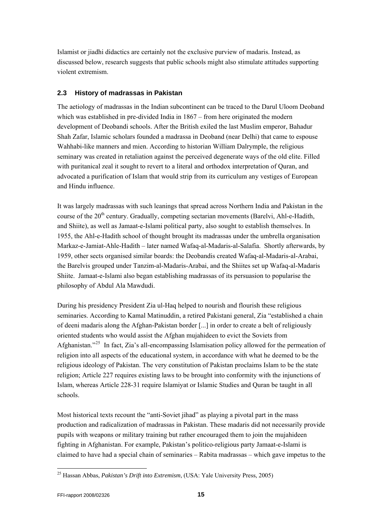<span id="page-14-0"></span>discussed below, research suggests that public schools might also stimulate attitudes supporting violent extremism. Islamist or jiadhi didactics are certainly not the exclusive purview of madaris. Instead, as

### **2.3 History of madrassas in Pakistan**

The aetiology of madrassas in the Indian subcontinent can be traced to the Darul Uloom Deoband Shah Zafar, Islamic scholars founded a madrassa in Deoband (near Delhi) that came to espouse seminary was created in retaliation against the perceived degenerate ways of the old elite. Filled advocated a purification of Islam that would strip from its curriculum any vestiges of European and Hindu influence. which was established in pre-divided India in 1867 – from here originated the modern development of Deobandi schools. After the British exiled the last Muslim emperor, Bahadur Wahhabi-like manners and mien. According to historian William Dalrymple, the religious with puritanical zeal it sought to revert to a literal and orthodox interpretation of Quran, and

It was largely madrassas with such leanings that spread across Northern India and Pakistan in the Markaz-e-Jamiat-Ahle-Hadith – later named Wafaq-al-Madaris-al-Salafia. Shortly afterwards, by the Barelvis grouped under Tanzim-al-Madaris-Arabai, and the Shiites set up Wafaq-al-Madaris Shiite. Jamaat-e-Islami also began establishing madrassas of its persuasion to popularise the hilosophy of Abdul Ala Mawdudi. p course of the 20<sup>th</sup> century. Gradually, competing sectarian movements (Barelyi, Ahl-e-Hadith, and Shiite), as well as Jamaat-e-Islami political party, also sought to establish themselves. In 1955, the Ahl-e-Hadith school of thought brought its madrassas under the umbrella organisation 1959, other sects organised similar boards: the Deobandis created Wafaq-al-Madaris-al-Arabai,

seminaries. According to Kamal Matinuddin, a retired Pakistani general, Zia "established a chain of deeni madaris along the Afghan-Pakistan border [...] in order to create a belt of religiously Afghanistan."<sup>[25](#page-14-1)</sup> In fact, Zia's all-encompassing Islamisation policy allowed for the permeation of religion; Article 227 requires existing laws to be brought into conformity with the injunctions of Islam, whereas Article 228-31 require Islamiyat or Islamic Studies and Quran be taught in all chools. s During his presidency President Zia ul-Haq helped to nourish and flourish these religious oriented students who would assist the Afghan mujahideen to evict the Soviets from religion into all aspects of the educational system, in accordance with what he deemed to be the religious ideology of Pakistan. The very constitution of Pakistan proclaims Islam to be the state

production and radicalization of madrassas in Pakistan. These madaris did not necessarily provide claimed to have had a special chain of seminaries – Rabita madrassas – which gave impetus to the Most historical texts recount the "anti-Soviet jihad" as playing a pivotal part in the mass pupils with weapons or military training but rather encouraged them to join the mujahideen fighting in Afghanistan. For example, Pakistan's politico-religious party Jamaat-e-Islami is

<span id="page-14-1"></span><sup>25</sup> Hassan Abbas, *Pakistan's Drift into Extremism*, (USA: Yale University Press, 2005)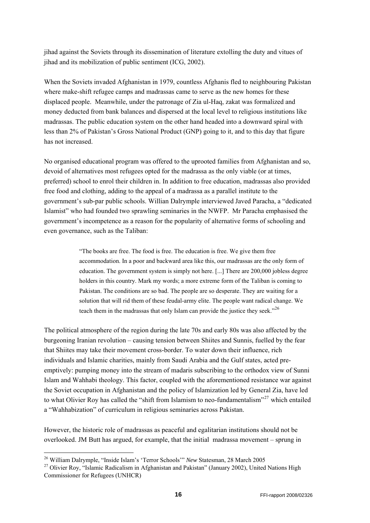jihad against the Soviets through its dissemination of literature extolling the duty and vitues of jihad and its mobilization of public sentiment (ICG, 2002).

When the Soviets invaded Afghanistan in 1979, countless Afghanis fled to neighbouring Pakistan where make-shift refugee camps and madrassas came to serve as the new homes for these displaced people. Meanwhile, under the patronage of Zia ul-Haq, zakat was formalized and money deducted from bank balances and dispersed at the local level to religious institutions like madrassas. The public education system on the other hand headed into a downward spiral with less than 2% of Pakistan's Gross National Product (GNP) going to it, and to this day that figure has not increased.

No organised educational program was offered to the uprooted families from Afghanistan and so, devoid of alternatives most refugees opted for the madrassa as the only viable (or at times, preferred) school to enrol their children in. In addition to free education, madrassas also provided free food and clothing, adding to the appeal of a madrassa as a parallel institute to the government's sub-par public schools. Willian Dalrymple interviewed Javed Paracha, a "dedicated Islamist" who had founded two sprawling seminaries in the NWFP. Mr Paracha emphasised the government's incompetence as a reason for the popularity of alternative forms of schooling and even governance, such as the Taliban:

> "The books are free. The food is free. The education is free. We give them free accommodation. In a poor and backward area like this, our madrassas are the only form of education. The government system is simply not here. [...] There are 200,000 jobless degree holders in this country. Mark my words; a more extreme form of the Taliban is coming to Pakistan. The conditions are so bad. The people are so desperate. They are waiting for a solution that will rid them of these feudal-army elite. The people want radical change. We teach them in the madrassas that only Islam can provide the justice they seek."<sup>[26](#page-15-0)</sup>

The political atmosphere of the region during the late 70s and early 80s was also affected by the burgeoning Iranian revolution – causing tension between Shiites and Sunnis, fuelled by the fear that Shiites may take their movement cross-border. To water down their influence, rich individuals and Islamic charities, mainly from Saudi Arabia and the Gulf states, acted preemptively: pumping money into the stream of madaris subscribing to the orthodox view of Sunni Islam and Wahhabi theology. This factor, coupled with the aforementioned resistance war against the Soviet occupation in Afghanistan and the policy of Islamization led by General Zia, have led to what Olivier Roy has called the "shift from Islamism to neo-fundamentalism"<sup>[27](#page-15-1)</sup> which entailed a "Wahhabization" of curriculum in religious seminaries across Pakistan.

However, the historic role of madrassas as peaceful and egalitarian institutions should not be overlooked. JM Butt has argued, for example, that the initial madrassa movement – sprung in

1

<span id="page-15-1"></span><span id="page-15-0"></span><sup>&</sup>lt;sup>26</sup> William Dalrymple, "Inside Islam's 'Terror Schools'" *New* Statesman, 28 March 2005<br><sup>27</sup> Olivier Roy, "Islamic Radicalism in Afghanistan and Pakistan" (January 2002), United Nations High Commissioner for Refugees (UNHCR)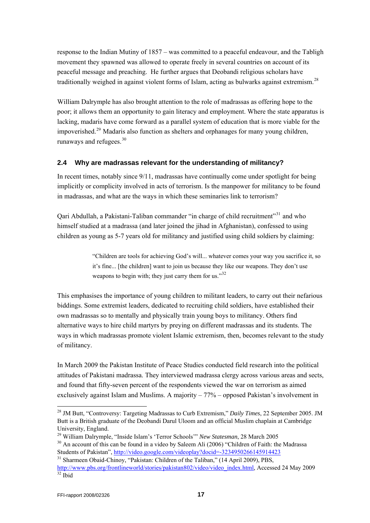<span id="page-16-0"></span>response to the Indian Mutiny of 1857 – was committed to a peaceful endeavour, and the Tabligh movement they spawned was allowed to operate freely in several countries on account of its peaceful message and preaching. He further argues that Deobandi religious scholars have traditionally weighed in against violent forms of Islam, acting as bulwarks against extremism.<sup>[28](#page-16-1)</sup>

William Dalrymple has also brought attention to the role of madrassas as offering hope to the poor; it allows them an opportunity to gain literacy and employment. Where the state apparatus is lacking, madaris have come forward as a parallel system of education that is more viable for the impoverished.[29](#page-16-2) Madaris also function as shelters and orphanages for many young children, runaways and refugees.[30](#page-16-3)

#### **2.4 Why are madrassas relevant for the understanding of militancy?**

In recent times, notably since 9/11, madrassas have continually come under spotlight for being implicitly or complicity involved in acts of terrorism. Is the manpower for militancy to be found in madrassas, and what are the ways in which these seminaries link to terrorism?

Qari Abdullah, a Pakistani-Taliban commander "in charge of child recruitment"<sup>[31](#page-16-4)</sup> and who himself studied at a madrassa (and later joined the jihad in Afghanistan), confessed to using children as young as 5-7 years old for militancy and justified using child soldiers by claiming:

> "Children are tools for achieving God's will... whatever comes your way you sacrifice it, so it's fine... [the children] want to join us because they like our weapons. They don't use weapons to begin with; they just carry them for us."<sup>[32](#page-16-5)</sup>

This emphasises the importance of young children to militant leaders, to carry out their nefarious biddings. Some extremist leaders, dedicated to recruiting child soldiers, have established their own madrassas so to mentally and physically train young boys to militancy. Others find alternative ways to hire child martyrs by preying on different madrassas and its students. The ways in which madrassas promote violent Islamic extremism, then, becomes relevant to the study of militancy.

In March 2009 the Pakistan Institute of Peace Studies conducted field research into the political attitudes of Pakistani madrassa. They interviewed madrassa clergy across various areas and sects, and found that fifty-seven percent of the respondents viewed the war on terrorism as aimed exclusively against Islam and Muslims. A majority – 77% – opposed Pakistan's involvement in

<span id="page-16-1"></span><sup>28</sup> JM Butt, "Controversy: Targeting Madrassas to Curb Extremism," *Daily Times*, 22 September 2005. JM Butt is a British graduate of the Deobandi Darul Uloom and an official Muslim chaplain at Cambridge University, England.

<span id="page-16-3"></span><span id="page-16-2"></span><sup>&</sup>lt;sup>29</sup> William Dalrymple, "Inside Islam's 'Terror Schools'" *New Statesman*, 28 March 2005<br><sup>30</sup> An account of this can be found in a video by Saleem Ali (2006) "Children of Faith: the Madrassa Students of Pakistan",<http://video.google.com/videoplay?docid=-3234950266145914423>

<span id="page-16-5"></span><span id="page-16-4"></span><sup>&</sup>lt;sup>31</sup> Sharmeen Obaid-Chinoy, "Pakistan: Children of the Taliban," (14 April 2009), PBS, [http://www.pbs.org/frontlineworld/stories/pakistan802/video/video\\_index.html](http://www.pbs.org/frontlineworld/stories/pakistan802/video/video_index.html), Accessed 24 May 2009 32 Ibid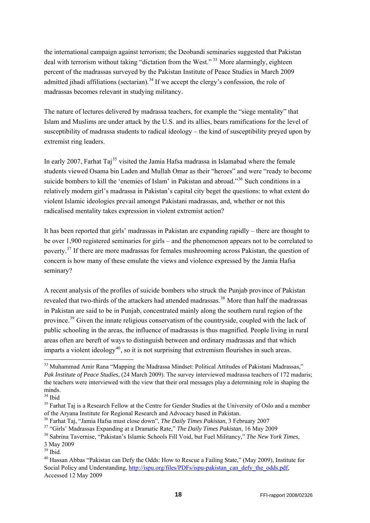the international campaign against terrorism; the Deobandi seminaries suggested that Pakistan deal with terrorism without taking "dictation from the West."<sup>[33](#page-17-0)</sup> More alarmingly, eighteen percent of the madrassas surveyed by the Pakistan Institute of Peace Studies in March 2009 admitted jihadi affiliations (sectarian).<sup>[34](#page-17-1)</sup> If we accept the clergy's confession, the role of madrassas becomes relevant in studying militancy.

The nature of lectures delivered by madrassa teachers, for example the "siege mentality" that Islam and Muslims are under attack by the U.S. and its allies, bears ramifications for the level of susceptibility of madrassa students to radical ideology – the kind of susceptibility preyed upon by extremist ring leaders.

In early 2007, Farhat Taj<sup>[35](#page-17-2)</sup> visited the Jamia Hafsa madrassa in Islamabad where the female students viewed Osama bin Laden and Mullah Omar as their "heroes" and were "ready to become suicide bombers to kill the 'enemies of Islam' in Pakistan and abroad."<sup>[36](#page-17-3)</sup> Such conditions in a relatively modern girl's madrassa in Pakistan's capital city beget the questions: to what extent do violent Islamic ideologies prevail amongst Pakistani madrassas, and, whether or not this radicalised mentality takes expression in violent extremist action?

It has been reported that girls' madrassas in Pakistan are expanding rapidly – there are thought to be over 1,900 registered seminaries for girls – and the phenomenon appears not to be correlated to poverty.[37](#page-17-4) If there are more madrassas for females mushrooming across Pakistan, the question of concern is how many of these emulate the views and violence expressed by the Jamia Hafsa seminary?

A recent analysis of the profiles of suicide bombers who struck the Punjab province of Pakistan revealed that two-thirds of the attackers had attended madrassas.<sup>[38](#page-17-5)</sup> More than half the madrassas in Pakistan are said to be in Punjab, concentrated mainly along the southern rural region of the province.<sup>[39](#page-17-6)</sup> Given the innate religious conservatism of the countryside, coupled with the lack of public schooling in the areas, the influence of madrassas is thus magnified. People living in rural areas often are bereft of ways to distinguish between and ordinary madrassas and that which imparts a violent ideology<sup>[40](#page-17-7)</sup>, so it is not surprising that extremism flourishes in such areas.

1

<span id="page-17-0"></span><sup>&</sup>lt;sup>33</sup> Muhammad Amir Rana "Mapping the Madrassa Mindset: Political Attitudes of Pakistani Madrassas," *Pak Institute of Peace Studies*, (24 March 2009). The survey interviewed madrassa teachers of 172 madaris; the teachers were interviewed with the view that their oral messages play a determining role in shaping the minds.

<span id="page-17-1"></span><sup>34</sup> Ibid

<span id="page-17-2"></span><sup>&</sup>lt;sup>35</sup> Farhat Taj is a Research Fellow at the Centre for Gender Studies at the University of Oslo and a member of the Aryana Institute for Regional Research and Advocacy based in Pakistan.<br><sup>36</sup> Farhat Taj, "Jamia Hafsa must close down", *The Daily Times Pakistan*, 3 February 2007<br><sup>37</sup> "Girls' Madrassas Expanding at a Dramatic Rate,

<span id="page-17-3"></span>

<span id="page-17-4"></span>

<span id="page-17-5"></span>

<sup>3</sup> May 2009

<span id="page-17-6"></span><sup>39</sup> Ibid.

<span id="page-17-7"></span><sup>40</sup> Hassan Abbas "Pakistan can Defy the Odds: How to Rescue a Failing State," (May 2009), Institute for Social Policy and Understanding, [http://ispu.org/files/PDFs/ispu-pakistan\\_can\\_defy\\_the\\_odds.pdf](http://ispu.org/files/PDFs/ispu-pakistan_can_defy_the_odds.pdf), Accessed 12 May 2009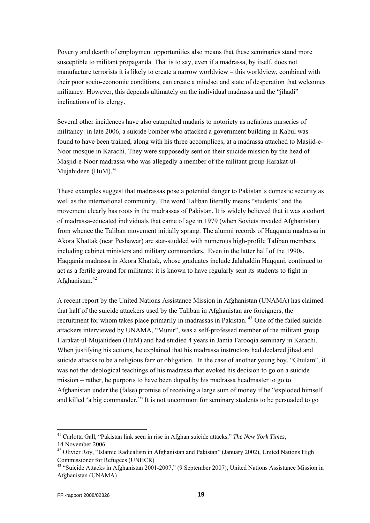Poverty and dearth of employment opportunities also means that these seminaries stand more susceptible to militant propaganda. That is to say, even if a madrassa, by itself, does not manufacture terrorists it is likely to create a narrow worldview – this worldview, combined with their poor socio-economic conditions, can create a mindset and state of desperation that welcomes militancy. However, this depends ultimately on the individual madrassa and the "jihadi" inclinations of its clergy.

Several other incidences have also catapulted madaris to notoriety as nefarious nurseries of militancy: in late 2006, a suicide bomber who attacked a government building in Kabul was found to have been trained, along with his three accomplices, at a madrassa attached to Masjid-e-Noor mosque in Karachi. They were supposedly sent on their suicide mission by the head of Masjid-e-Noor madrassa who was allegedly a member of the militant group Harakat-ul-Mujahideen ( $\text{HuM}$ ).<sup>[41](#page-18-0)</sup>

These examples suggest that madrassas pose a potential danger to Pakistan's domestic security as well as the international community. The word Taliban literally means "students" and the movement clearly has roots in the madrassas of Pakistan. It is widely believed that it was a cohort of madrassa-educated individuals that came of age in 1979 (when Soviets invaded Afghanistan) from whence the Taliban movement initially sprang. The alumni records of Haqqania madrassa in Akora Khattak (near Peshawar) are star-studded with numerous high-profile Taliban members, including cabinet ministers and military commanders. Even in the latter half of the 1990s, Haqqania madrassa in Akora Khattak, whose graduates include Jalaluddin Haqqani, continued to act as a fertile ground for militants: it is known to have regularly sent its students to fight in Afghanistan.<sup>[42](#page-18-1)</sup>

A recent report by the United Nations Assistance Mission in Afghanistan (UNAMA) has claimed that half of the suicide attackers used by the Taliban in Afghanistan are foreigners, the recruitment for whom takes place primarily in madrassas in Pakistan.<sup>[43](#page-18-2)</sup> One of the failed suicide attackers interviewed by UNAMA, "Munir", was a self-professed member of the militant group Harakat-ul-Mujahideen (HuM) and had studied 4 years in Jamia Farooqia seminary in Karachi. When justifying his actions, he explained that his madrassa instructors had declared jihad and suicide attacks to be a religious farz or obligation. In the case of another young boy, "Ghulam", it was not the ideological teachings of his madrassa that evoked his decision to go on a suicide mission – rather, he purports to have been duped by his madrassa headmaster to go to Afghanistan under the (false) promise of receiving a large sum of money if he "exploded himself and killed 'a big commander.'" It is not uncommon for seminary students to be persuaded to go

<span id="page-18-0"></span><sup>41</sup> Carlotta Gall, "Pakistan link seen in rise in Afghan suicide attacks," *The New York Times*, 14 November 2006

<span id="page-18-1"></span><sup>&</sup>lt;sup>42</sup> Olivier Roy, "Islamic Radicalism in Afghanistan and Pakistan" (January 2002), United Nations High Commissioner for Refugees (UNHCR)

<span id="page-18-2"></span><sup>43 &</sup>quot;Suicide Attacks in Afghanistan 2001-2007," (9 September 2007), United Nations Assistance Mission in Afghanistan (UNAMA)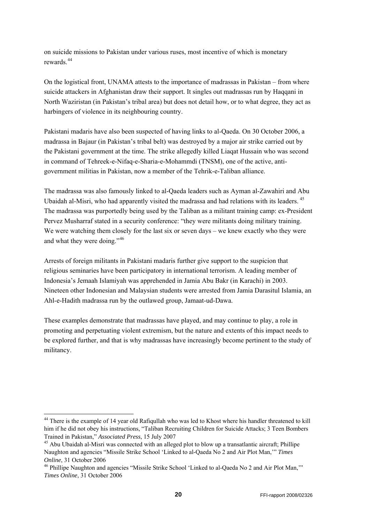on suicide missions to Pakistan under various ruses, most incentive of which is monetary rewards.[44](#page-19-0)

On the logistical front, UNAMA attests to the importance of madrassas in Pakistan – from where suicide attackers in Afghanistan draw their support. It singles out madrassas run by Haqqani in North Waziristan (in Pakistan's tribal area) but does not detail how, or to what degree, they act as harbingers of violence in its neighbouring country.

Pakistani madaris have also been suspected of having links to al-Qaeda. On 30 October 2006, a madrassa in Bajaur (in Pakistan's tribal belt) was destroyed by a major air strike carried out by the Pakistani government at the time. The strike allegedly killed Liaqat Hussain who was second in command of Tehreek-e-Nifaq-e-Sharia-e-Mohammdi (TNSM), one of the active, antigovernment militias in Pakistan, now a member of the Tehrik-e-Taliban alliance.

The madrassa was also famously linked to al-Qaeda leaders such as Ayman al-Zawahiri and Abu Ubaidah al-Misri, who had apparently visited the madrassa and had relations with its leaders. <sup>[45](#page-19-1)</sup> The madrassa was purportedly being used by the Taliban as a militant training camp: ex-President Pervez Musharraf stated in a security conference: "they were militants doing military training. We were watching them closely for the last six or seven days – we knew exactly who they were and what they were doing."[46](#page-19-2)

Arrests of foreign militants in Pakistani madaris further give support to the suspicion that religious seminaries have been participatory in international terrorism. A leading member of Indonesia's Jemaah Islamiyah was apprehended in Jamia Abu Bakr (in Karachi) in 2003. Nineteen other Indonesian and Malaysian students were arrested from Jamia Darasitul Islamia, an Ahl-e-Hadith madrassa run by the outlawed group, Jamaat-ud-Dawa.

These examples demonstrate that madrassas have played, and may continue to play, a role in promoting and perpetuating violent extremism, but the nature and extents of this impact needs to be explored further, and that is why madrassas have increasingly become pertinent to the study of militancy.

-

<span id="page-19-0"></span><sup>&</sup>lt;sup>44</sup> There is the example of 14 year old Rafiqullah who was led to Khost where his handler threatened to kill him if he did not obey his instructions, "Taliban Recruiting Children for Suicide Attacks; 3 Teen Bombers Trained in Pakistan," *Associated Press*, 15 July 2007<br><sup>45</sup> Abu Ubaidah al-Misri was connected with an alleged plot to blow up a transatlantic aircraft; Phillipe

<span id="page-19-1"></span>Naughton and agencies "Missile Strike School 'Linked to al-Qaeda No 2 and Air Plot Man,'" *Times Online*, 31 October 2006<br><sup>46</sup> Phillipe Naughton and agencies "Missile Strike School 'Linked to al-Qaeda No 2 and Air Plot Man,""

<span id="page-19-2"></span>*Times Online*, 31 October 2006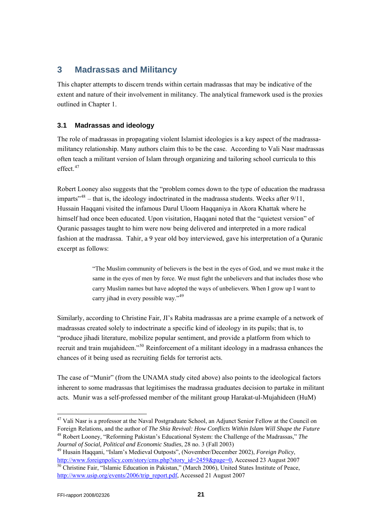## <span id="page-20-0"></span>**3 Madrassas and Militancy**

This chapter attempts to discern trends within certain madrassas that may be indicative of the extent and nature of their involvement in militancy. The analytical framework used is the proxies outlined in Chapter 1.

### **3.1 Madrassas and ideology**

The role of madrassas in propagating violent Islamist ideologies is a key aspect of the madrassamilitancy relationship. Many authors claim this to be the case. According to Vali Nasr madrassas often teach a militant version of Islam through organizing and tailoring school curricula to this effect.<sup>[47](#page-20-1)</sup>

Robert Looney also suggests that the "problem comes down to the type of education the madrassa imparts<sup> $348$  $348$ </sup> – that is, the ideology indoctrinated in the madrassa students. Weeks after  $9/11$ , Hussain Haqqani visited the infamous Darul Uloom Haqqaniya in Akora Khattak where he himself had once been educated. Upon visitation, Haqqani noted that the "quietest version" of Quranic passages taught to him were now being delivered and interpreted in a more radical fashion at the madrassa. Tahir, a 9 year old boy interviewed, gave his interpretation of a Quranic excerpt as follows:

> "The Muslim community of believers is the best in the eyes of God, and we must make it the same in the eyes of men by force. We must fight the unbelievers and that includes those who carry Muslim names but have adopted the ways of unbelievers. When I grow up I want to carry jihad in every possible way."<sup>[49](#page-20-3)</sup>

Similarly, according to Christine Fair, JI's Rabita madrassas are a prime example of a network of madrassas created solely to indoctrinate a specific kind of ideology in its pupils; that is, to "produce jihadi literature, mobilize popular sentiment, and provide a platform from which to recruit and train mujahideen."[50](#page-20-4) Reinforcement of a militant ideology in a madrassa enhances the chances of it being used as recruiting fields for terrorist acts.

The case of "Munir" (from the UNAMA study cited above) also points to the ideological factors inherent to some madrassas that legitimises the madrassa graduates decision to partake in militant acts. Munir was a self-professed member of the militant group Harakat-ul-Mujahideen (HuM)

<span id="page-20-1"></span><sup>&</sup>lt;sup>47</sup> Vali Nasr is a professor at the Naval Postgraduate School, an Adjunct Senior Fellow at the Council on Foreign Relations, and the author of *The Shia Revival: How Conflicts Within Islam Will Shape the Future* 48 Robert Looney, "Reforming Pakistan's Educational System: the Challenge of the Madrassas," *The* 

<span id="page-20-4"></span><span id="page-20-3"></span><span id="page-20-2"></span>*Journal of Social, Political and Economic Studies*, 28 no. 3 (Fall 2003) 49 Husain Haqqani, "Islam's Medieval Outposts", (November/December 2002), *Foreign Policy*, [http://www.foreignpolicy.com/story/cms.php?story\\_id=2459&page=0](http://www.foreignpolicy.com/story/cms.php?story_id=2459&page=0), Accessed 23 August 2007 <sup>[50](http://www.foreignpolicy.com/story/cms.php?story_id=2459&page=0)</sup> Christine Fair, "Islamic Education in Pakistan," (March 2006), United States Institute of Peace, [http://www.usip.org/events/2006/trip\\_report.pdf](http://www.usip.org/events/2006/trip_report.pdf), Accessed 21 August 2007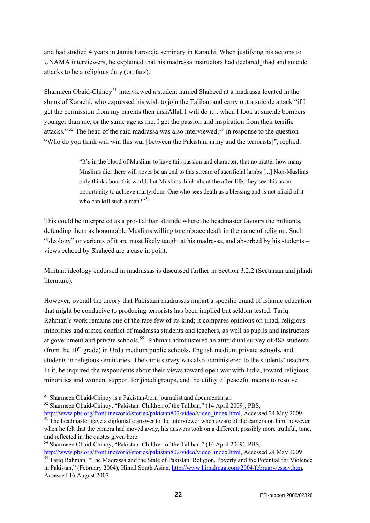and had studied 4 years in Jamia Farooqia seminary in Karachi. When justifying his actions to UNAMA interviewers, he explained that his madrassa instructors had declared jihad and suicide attacks to be a religious duty (or, farz).

Sharmeen Obaid-Chinoy<sup>[51](#page-21-0)</sup> interviewed a student named Shaheed at a madrassa located in the slums of Karachi, who expressed his wish to join the Taliban and carry out a suicide attack "if I get the permission from my parents then inshAllah I will do it... when I look at suicide bombers younger than me, or the same age as me, I get the passion and inspiration from their terrific attacks."  $52$  The head of the said madrassa was also interviewed;  $53$  in response to the question "Who do you think will win this war [between the Pakistani army and the terrorists]", replied:

> "It's in the blood of Muslims to have this passion and character, that no matter how many Muslims die, there will never be an end to this stream of sacrificial lambs [...] Non-Muslims only think about this world, but Muslims think about the after-life; they see this as an opportunity to achieve martyrdom. One who sees death as a blessing and is not afraid of it – who can kill such a man?" $54$

This could be interpreted as a pro-Taliban attitude where the headmaster favours the militants, defending them as honourable Muslims willing to embrace death in the name of religion. Such "ideology" or variants of it are most likely taught at his madrassa, and absorbed by his students – views echoed by Shaheed are a case in point.

Militant ideology endorsed in madrassas is discussed further in Section 3.2.2 (Sectarian and jihadi literature).

However, overall the theory that Pakistani madrassas impart a specific brand of Islamic education that might be conducive to producing terrorists has been implied but seldom tested. Tariq Rahman's work remains one of the rare few of its kind; it compares opinions on jihad, religious minorities and armed conflict of madrassa students and teachers, as well as pupils and instructors at government and private schools.<sup>[55](#page-21-4)</sup> Rahman administered an attitudinal survey of 488 students (from the  $10<sup>th</sup>$  grade) in Urdu medium public schools, English medium private schools, and students in religious seminaries. The same survey was also administered to the students' teachers. In it, he inquired the respondents about their views toward open war with India, toward religious minorities and women, support for jihadi groups, and the utility of peaceful means to resolve

-

<span id="page-21-1"></span>52 Sharmeen Obaid-Chinoy, "Pakistan: Children of the Taliban," (14 April 2009), PBS,

<span id="page-21-0"></span><sup>&</sup>lt;sup>51</sup> Sharmeen Obaid-Chinoy is a Pakistan-born journalist and documentarian

<span id="page-21-2"></span>[http://www.pbs.org/frontlineworld/stories/pakistan802/video/video\\_index.html](http://www.pbs.org/frontlineworld/stories/pakistan802/video/video_index.html), Accessed 24 May 2009 <sup>[53](http://www.pbs.org/frontlineworld/stories/pakistan802/video/video_index.html)</sup> The headmaster gave a diplomatic answer to the interviewer when aware of the camera on him; however when he felt that the camera had moved away, his answers took on a different, possibly more truthful, tone, and reflected in the quotes given here.

<span id="page-21-3"></span><sup>54</sup> Sharmeen Obaid-Chinoy, "Pakistan: Children of the Taliban," (14 April 2009), PBS,

<span id="page-21-4"></span>[http://www.pbs.org/frontlineworld/stories/pakistan802/video/video\\_index.html](http://www.pbs.org/frontlineworld/stories/pakistan802/video/video_index.html), Accessed 24 May 2009 <sup>55</sup> Tariq Rahman, "The Madrassa and the State of Pakistan: Religion, Poverty and the Potential for Violence in Pakistan," (February 2004), Himal South Asian,<http://www.himalmag.com/2004/february/essay.htm>, Accessed 16 August 2007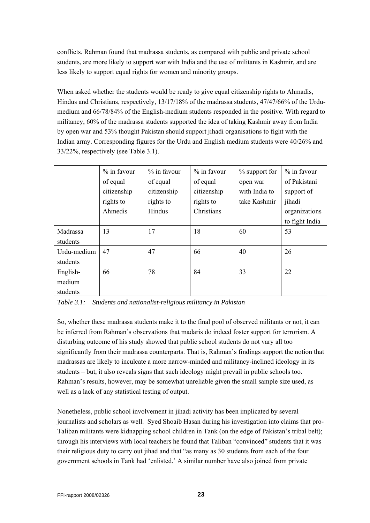conflicts. Rahman found that madrassa students, as compared with public and private school students, are more likely to support war with India and the use of militants in Kashmir, and are less likely to support equal rights for women and minority groups.

When asked whether the students would be ready to give equal citizenship rights to Ahmadis, Hindus and Christians, respectively, 13/17/18% of the madrassa students, 47/47/66% of the Urdumedium and 66/78/84% of the English-medium students responded in the positive. With regard to militancy, 60% of the madrassa students supported the idea of taking Kashmir away from India by open war and 53% thought Pakistan should support jihadi organisations to fight with the Indian army. Corresponding figures for the Urdu and English medium students were 40/26% and 33/22%, respectively (see Table 3.1).

|             | % in favour | $\%$ in favour | $\%$ in favour | % support for | $%$ in favour  |
|-------------|-------------|----------------|----------------|---------------|----------------|
|             | of equal    | of equal       | of equal       | open war      | of Pakistani   |
|             | citizenship | citizenship    | citizenship    | with India to | support of     |
|             | rights to   | rights to      | rights to      | take Kashmir  | jihadi         |
|             | Ahmedis     | Hindus         | Christians     |               | organizations  |
|             |             |                |                |               | to fight India |
| Madrassa    | 13          | 17             | 18             | 60            | 53             |
| students    |             |                |                |               |                |
| Urdu-medium | 47          | 47             | 66             | 40            | 26             |
| students    |             |                |                |               |                |
| English-    | 66          | 78             | 84             | 33            | 22             |
| medium      |             |                |                |               |                |
| students    |             |                |                |               |                |

*Table 3.1: Students and nationalist-religious militancy in Pakistan* 

So, whether these madrassa students make it to the final pool of observed militants or not, it can be inferred from Rahman's observations that madaris do indeed foster support for terrorism. A disturbing outcome of his study showed that public school students do not vary all too significantly from their madrassa counterparts. That is, Rahman's findings support the notion that madrassas are likely to inculcate a more narrow-minded and militancy-inclined ideology in its students – but, it also reveals signs that such ideology might prevail in public schools too. Rahman's results, however, may be somewhat unreliable given the small sample size used, as well as a lack of any statistical testing of output.

Nonetheless, public school involvement in jihadi activity has been implicated by several journalists and scholars as well. Syed Shoaib Hasan during his investigation into claims that pro-Taliban militants were kidnapping school children in Tank (on the edge of Pakistan's tribal belt); through his interviews with local teachers he found that Taliban "convinced" students that it was their religious duty to carry out jihad and that "as many as 30 students from each of the four government schools in Tank had 'enlisted.' A similar number have also joined from private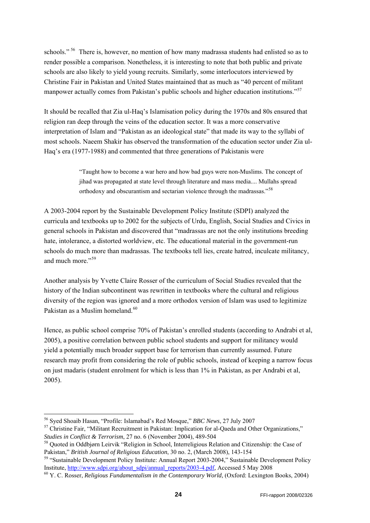schools." <sup>[56](#page-23-0)</sup> There is, however, no mention of how many madrassa students had enlisted so as to render possible a comparison. Nonetheless, it is interesting to note that both public and private schools are also likely to yield young recruits. Similarly, some interlocutors interviewed by Christine Fair in Pakistan and United States maintained that as much as "40 percent of militant manpower actually comes from Pakistan's public schools and higher education institutions."<sup>[57](#page-23-1)</sup>

It should be recalled that Zia ul-Haq's Islamisation policy during the 1970s and 80s ensured that religion ran deep through the veins of the education sector. It was a more conservative interpretation of Islam and "Pakistan as an ideological state" that made its way to the syllabi of most schools. Naeem Shakir has observed the transformation of the education sector under Zia ul-Haq's era (1977-1988) and commented that three generations of Pakistanis were

> "Taught how to become a war hero and how bad guys were non-Muslims. The concept of jihad was propagated at state level through literature and mass media.... Mullahs spread orthodoxy and obscurantism and sectarian violence through the madrassas."<sup>[58](#page-23-2)</sup>

A 2003-2004 report by the Sustainable Development Policy Institute (SDPI) analyzed the curricula and textbooks up to 2002 for the subjects of Urdu, English, Social Studies and Civics in general schools in Pakistan and discovered that "madrassas are not the only institutions breeding hate, intolerance, a distorted worldview, etc. The educational material in the government-run schools do much more than madrassas. The textbooks tell lies, create hatred, inculcate militancy, and much more."<sup>[59](#page-23-3)</sup>

Another analysis by Yvette Claire Rosser of the curriculum of Social Studies revealed that the history of the Indian subcontinent was rewritten in textbooks where the cultural and religious diversity of the region was ignored and a more orthodox version of Islam was used to legitimize Pakistan as a Muslim homeland.<sup>[60](#page-23-4)</sup>

Hence, as public school comprise 70% of Pakistan's enrolled students (according to Andrabi et al, 2005), a positive correlation between public school students and support for militancy would yield a potentially much broader support base for terrorism than currently assumed. Future research may profit from considering the role of public schools, instead of keeping a narrow focus on just madaris (student enrolment for which is less than 1% in Pakistan, as per Andrabi et al, 2005).

-

<span id="page-23-1"></span><span id="page-23-0"></span><sup>&</sup>lt;sup>56</sup> Syed Shoaib Hasan, "Profile: Islamabad's Red Mosque," *BBC News*, 27 July 2007<br><sup>57</sup> Christine Fair, "Militant Recruitment in Pakistan: Implication for al-Qaeda and Other Organizations," *Studies in Conflict & Terrorism*, 27 no. 6 (November 2004), 489-504<br><sup>58</sup> Quoted in Oddbjørn Leirvik "Religion in School, Interreligious Relation and Citizenship: the Case of

<span id="page-23-2"></span>Pakistan," *British Journal of Religious Education*, 30 no. 2, (March 2008), 143-154<br><sup>59</sup> "Sustainable Development Policy Institute: Annual Report 2003-2004," Sustainable Development Policy

<span id="page-23-3"></span>Institute, [http://www.sdpi.org/about\\_sdpi/annual\\_reports/2003-4.pdf](http://www.sdpi.org/about_sdpi/annual_reports/2003-4.pdf), Accessed 5 May 2008 60 Y. C. Rosser, *Religious Fundamentalism in the Contemporary World*, (Oxford: Lexington Books, 2004)

<span id="page-23-4"></span>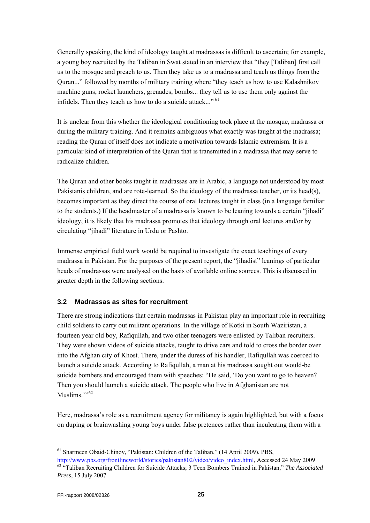<span id="page-24-0"></span>Generally speaking, the kind of ideology taught at madrassas is difficult to ascertain; for example, a young boy recruited by the Taliban in Swat stated in an interview that "they [Taliban] first call us to the mosque and preach to us. Then they take us to a madrassa and teach us things from the Quran..." followed by months of military training where "they teach us how to use Kalashnikov machine guns, rocket launchers, grenades, bombs... they tell us to use them only against the infidels. Then they teach us how to do a suicide attack..."<sup>[61](#page-24-1)</sup>

It is unclear from this whether the ideological conditioning took place at the mosque, madrassa or during the military training. And it remains ambiguous what exactly was taught at the madrassa; reading the Quran of itself does not indicate a motivation towards Islamic extremism. It is a particular kind of interpretation of the Quran that is transmitted in a madrassa that may serve to radicalize children.

The Quran and other books taught in madrassas are in Arabic, a language not understood by most Pakistanis children, and are rote-learned. So the ideology of the madrassa teacher, or its head(s), becomes important as they direct the course of oral lectures taught in class (in a language familiar to the students.) If the headmaster of a madrassa is known to be leaning towards a certain "jihadi" ideology, it is likely that his madrassa promotes that ideology through oral lectures and/or by circulating "jihadi" literature in Urdu or Pashto.

Immense empirical field work would be required to investigate the exact teachings of every madrassa in Pakistan. For the purposes of the present report, the "jihadist" leanings of particular heads of madrassas were analysed on the basis of available online sources. This is discussed in greater depth in the following sections.

#### **3.2 Madrassas as sites for recruitment**

There are strong indications that certain madrassas in Pakistan play an important role in recruiting child soldiers to carry out militant operations. In the village of Kotki in South Waziristan, a fourteen year old boy, Rafiqullah, and two other teenagers were enlisted by Taliban recruiters. They were shown videos of suicide attacks, taught to drive cars and told to cross the border over into the Afghan city of Khost. There, under the duress of his handler, Rafiqullah was coerced to launch a suicide attack. According to Rafiqullah, a man at his madrassa sought out would-be suicide bombers and encouraged them with speeches: "He said, 'Do you want to go to heaven? Then you should launch a suicide attack. The people who live in Afghanistan are not Muslims $\cdots$ <sup>[62](#page-24-2)</sup>

Here, madrassa's role as a recruitment agency for militancy is again highlighted, but with a focus on duping or brainwashing young boys under false pretences rather than inculcating them with a

<span id="page-24-1"></span><sup>61</sup> Sharmeen Obaid-Chinoy, "Pakistan: Children of the Taliban," (14 April 2009), PBS, [http://www.pbs.org/frontlineworld/stories/pakistan802/video/video\\_index.html](http://www.pbs.org/frontlineworld/stories/pakistan802/video/video_index.html), Accessed 24 May 2009 <sup>[62](http://www.pbs.org/frontlineworld/stories/pakistan802/video/video_index.html)</sup> "Taliban Recruiting Children for Suicide Attacks; 3 Teen Bombers Trained in Pakistan," *The Associated* 

<span id="page-24-2"></span>*Press*, 15 July 2007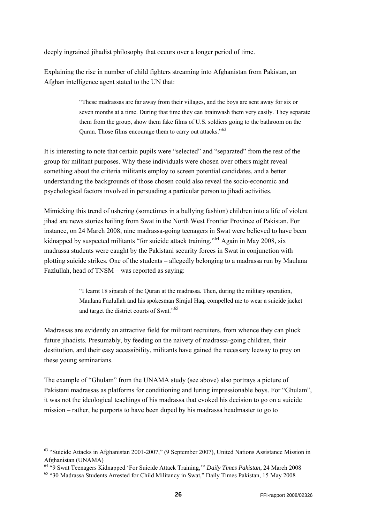deeply ingrained jihadist philosophy that occurs over a longer period of time.

Explaining the rise in number of child fighters streaming into Afghanistan from Pakistan, an Afghan intelligence agent stated to the UN that:

> "These madrassas are far away from their villages, and the boys are sent away for six or seven months at a time. During that time they can brainwash them very easily. They separate them from the group, show them fake films of U.S. soldiers going to the bathroom on the Quran. Those films encourage them to carry out attacks."[63](#page-25-0)

It is interesting to note that certain pupils were "selected" and "separated" from the rest of the group for militant purposes. Why these individuals were chosen over others might reveal something about the criteria militants employ to screen potential candidates, and a better understanding the backgrounds of those chosen could also reveal the socio-economic and psychological factors involved in persuading a particular person to jihadi activities.

Fazlullah, head of TNSM - was reported as saying: Mimicking this trend of ushering (sometimes in a bullying fashion) children into a life of violent jihad are news stories hailing from Swat in the North West Frontier Province of Pakistan. For instance, on 24 March 2008, nine madrassa-going teenagers in Swat were believed to have been kidnapped by suspected militants "for suicide attack training."<sup>[64](#page-25-1)</sup> Again in May 2008, six madrassa students were caught by the Pakistani security forces in Swat in conjunction with plotting suicide strikes. One of the students – allegedly belonging to a madrassa run by Maulana

> "I learnt 18 siparah of the Quran at the madrassa. Then, during the military operation, Maulana Fazlullah and his spokesman Sirajul Haq, compelled me to wear a suicide jacket and target the district courts of Swat."[65](#page-25-2)

Madrassas are evidently an attractive field for militant recruiters, from whence they can pluck future jihadists. Presumably, by feeding on the naivety of madrassa-going children, their destitution, and their easy accessibility, militants have gained the necessary leeway to prey on these young seminarians.

The example of "Ghulam" from the UNAMA study (see above) also portrays a picture of Pakistani madrassas as platforms for conditioning and luring impressionable boys. For "Ghulam", it was not the ideological teachings of his madrassa that evoked his decision to go on a suicide mission – rather, he purports to have been duped by his madrassa headmaster to go to

-

<span id="page-25-0"></span><sup>63 &</sup>quot;Suicide Attacks in Afghanistan 2001-2007," (9 September 2007), United Nations Assistance Mission in Afghanistan (UNAMA)

<span id="page-25-1"></span><sup>&</sup>lt;sup>64 "9</sup> Swat Teenagers Kidnapped 'For Suicide Attack Training," *Daily Times Pakistan*, 24 March 2008<br><sup>65</sup> "30 Madrassa Students Arrested for Child Militancy in Swat," Daily Times Pakistan, 15 May 2008

<span id="page-25-2"></span>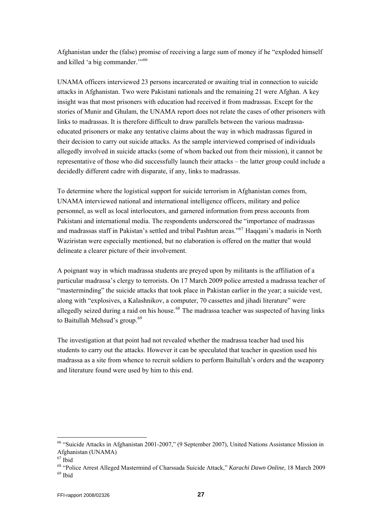Afghanistan under the (false) promise of receiving a large sum of money if he "exploded himself and killed 'a big commander."<sup>5[66](#page-26-0)</sup>

UNAMA officers interviewed 23 persons incarcerated or awaiting trial in connection to suicide attacks in Afghanistan. Two were Pakistani nationals and the remaining 21 were Afghan. A key insight was that most prisoners with education had received it from madrassas. Except for the stories of Munir and Ghulam, the UNAMA report does not relate the cases of other prisoners with links to madrassas. It is therefore difficult to draw parallels between the various madrassaeducated prisoners or make any tentative claims about the way in which madrassas figured in their decision to carry out suicide attacks. As the sample interviewed comprised of individuals allegedly involved in suicide attacks (some of whom backed out from their mission), it cannot be representative of those who did successfully launch their attacks – the latter group could include a decidedly different cadre with disparate, if any, links to madrassas.

To determine where the logistical support for suicide terrorism in Afghanistan comes from, UNAMA interviewed national and international intelligence officers, military and police personnel, as well as local interlocutors, and garnered information from press accounts from Pakistani and international media. The respondents underscored the "importance of madrassas and madrassas staff in Pakistan's settled and tribal Pashtun areas."<sup>[67](#page-26-1)</sup> Haqqani's madaris in North Waziristan were especially mentioned, but no elaboration is offered on the matter that would delineate a clearer picture of their involvement.

A poignant way in which madrassa students are preyed upon by militants is the affiliation of a particular madrassa's clergy to terrorists. On 17 March 2009 police arrested a madrassa teacher of "masterminding" the suicide attacks that took place in Pakistan earlier in the year; a suicide vest, along with "explosives, a Kalashnikov, a computer, 70 cassettes and jihadi literature" were allegedly seized during a raid on his house.<sup>[68](#page-26-2)</sup> The madrassa teacher was suspected of having links to Baitullah Mehsud's group.<sup>[69](#page-26-3)</sup>

The investigation at that point had not revealed whether the madrassa teacher had used his students to carry out the attacks. However it can be speculated that teacher in question used his madrassa as a site from whence to recruit soldiers to perform Baitullah's orders and the weaponry and literature found were used by him to this end.

<span id="page-26-0"></span><sup>66 &</sup>quot;Suicide Attacks in Afghanistan 2001-2007," (9 September 2007), United Nations Assistance Mission in Afghanistan (UNAMA)

<span id="page-26-1"></span><sup>67</sup> Ibid

<span id="page-26-3"></span><span id="page-26-2"></span><sup>&</sup>lt;sup>68</sup> "Police Arrest Alleged Mastermind of Charssada Suicide Attack," *Karachi Dawn Online*, 18 March 2009<br><sup>69</sup> Ibid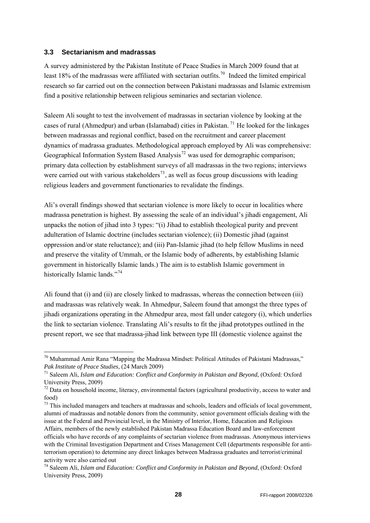#### <span id="page-27-0"></span>**3.3 Sectarianism and madrassas**

-

A survey administered by the Pakistan Institute of Peace Studies in March 2009 found that at least 18% of the madrassas were affiliated with sectarian outfits.<sup>[70](#page-27-1)</sup> Indeed the limited empirical research so far carried out on the connection between Pakistani madrassas and Islamic extremism find a positive relationship between religious seminaries and sectarian violence.

Saleem Ali sought to test the involvement of madrassas in sectarian violence by looking at the cases of rural (Ahmedpur) and urban (Islamabad) cities in Pakistan. [71](#page-27-2) He looked for the linkages between madrassas and regional conflict, based on the recruitment and career placement dynamics of madrassa graduates. Methodological approach employed by Ali was comprehensive: Geographical Information System Based Analysis<sup>[72](#page-27-3)</sup> was used for demographic comparison; primary data collection by establishment surveys of all madrassas in the two regions; interviews were carried out with various stakeholders<sup>[73](#page-27-4)</sup>, as well as focus group discussions with leading religious leaders and government functionaries to revalidate the findings.

Ali's overall findings showed that sectarian violence is more likely to occur in localities where madrassa penetration is highest. By assessing the scale of an individual's jihadi engagement, Ali unpacks the notion of jihad into 3 types: "(i) Jihad to establish theological purity and prevent adulteration of Islamic doctrine (includes sectarian violence); (ii) Domestic jihad (against oppression and/or state reluctance); and (iii) Pan-Islamic jihad (to help fellow Muslims in need and preserve the vitality of Ummah, or the Islamic body of adherents, by establishing Islamic government in historically Islamic lands.) The aim is to establish Islamic government in historically Islamic lands."<sup>[74](#page-27-5)</sup>

Ali found that (i) and (ii) are closely linked to madrassas, whereas the connection between (iii) and madrassas was relatively weak. In Ahmedpur, Saleem found that amongst the three types of jihadi organizations operating in the Ahmedpur area, most fall under category (i), which underlies the link to sectarian violence. Translating Ali's results to fit the jihad prototypes outlined in the present report, we see that madrassa-jihad link between type III (domestic violence against the

<span id="page-27-4"></span> $^{73}$  This included managers and teachers at madrassas and schools, leaders and officials of local government, alumni of madrassas and notable donors from the community, senior government officials dealing with the issue at the Federal and Provincial level, in the Ministry of Interior, Home, Education and Religious Affairs, members of the newly established Pakistan Madrassa Education Board and law-enforcement officials who have records of any complaints of sectarian violence from madrassas. Anonymous interviews with the Criminal Investigation Department and Crises Management Cell (departments responsible for antiterrorism operation) to determine any direct linkages between Madrassa graduates and terrorist/criminal activity were also carried out

<span id="page-27-1"></span><sup>70</sup> Muhammad Amir Rana "Mapping the Madrassa Mindset: Political Attitudes of Pakistani Madrassas," *Pak Institute of Peace Studies*, (24 March 2009)<br><sup>71</sup> Saleem Ali, *Islam and Education: Conflict and Conformity in Pakistan and Beyond*, (Oxford: Oxford

<span id="page-27-2"></span>University Press, 2009)

<span id="page-27-3"></span> $72$  Data on household income, literacy, environmental factors (agricultural productivity, access to water and food)

<span id="page-27-5"></span><sup>74</sup> Saleem Ali, *Islam and Education: Conflict and Conformity in Pakistan and Beyond*, (Oxford: Oxford University Press, 2009)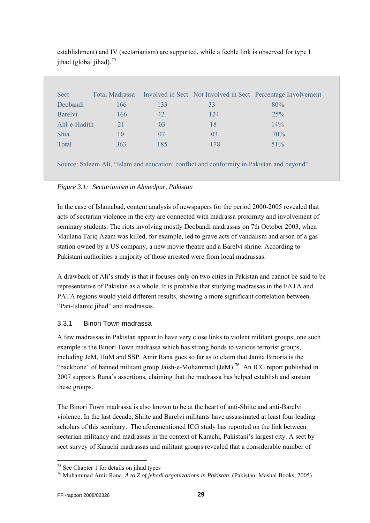| Sect           | <b>Total Madrassa</b> |                |                | Involved in Sect Not Involved in Sect Percentage Involvement |
|----------------|-----------------------|----------------|----------------|--------------------------------------------------------------|
| Deobandi       | 166                   | 133            | 33             | 80%                                                          |
| <b>Barelyi</b> | 166                   | 42             | 124            | 25%                                                          |
| Ahl-e-Hadith   |                       | 0 <sub>3</sub> | 18             | 14%                                                          |
| <b>Shia</b>    | 10                    | 07             | 0 <sup>3</sup> | 70%                                                          |
| Total          | 363                   | 185            | 178            | $51\%$                                                       |
|                |                       |                |                |                                                              |

<span id="page-28-0"></span>establishment) and IV (sectarianism) are supported, while a feeble link is observed for type I jihad (global jihad). $75$ 

Source: Saleem Ali, "Islam and education: conflict and conformity in Pakistan and beyond".

#### *Figure 3.1: Sectarianism in Ahmedpur, Pakistan*

In the case of Islamabad, content analysis of newspapers for the period 2000-2005 revealed that acts of sectarian violence in the city are connected with madrassa proximity and involvement of seminary students. The riots involving mostly Deobandi madrassas on 7th October 2003, when Maulana Tariq Azam was killed, for example, led to grave acts of vandalism and arson of a gas station owned by a US company, a new movie theatre and a Barelvi shrine. According to Pakistani authorities a majority of those arrested were from local madrassas.

A drawback of Ali's study is that it focuses only on two cities in Pakistan and cannot be said to be representative of Pakistan as a whole. It is probable that studying madrassas in the FATA and PATA regions would yield different results, showing a more significant correlation between "Pan-Islamic jihad" and madrassas.

### 3.3.1 Binori Town madrassa

A few madrassas in Pakistan appear to have very close links to violent militant groups; one such example is the Binori Town madrassa which has strong bonds to various terrorist groups, including JeM, HuM and SSP. Amir Rana goes so far as to claim that Jamia Binoria is the "backbone" of banned militant group Jaish-e-Mohammad  $(Jem)$ .<sup>[76](#page-28-2)</sup> An ICG report published in 2007 supports Rana's assertions, claiming that the madrassa has helped establish and sustain these groups.

The Binori Town madrassa is also known to be at the heart of anti-Shiite and anti-Barelvi violence. In the last decade, Shiite and Barelvi militants have assassinated at least four leading scholars of this seminary. The aforementioned ICG study has reported on the link between sectarian militancy and madrassas in the context of Karachi, Pakistani's largest city. A sect by sect survey of Karachi madrassas and militant groups revealed that a considerable number of

<span id="page-28-1"></span> $75$  See Chapter 1 for details on jihad types

<span id="page-28-2"></span><sup>76</sup> Muhammad Amir Rana, *A to Z of jehadi organizations in Pakistan*, (Pakistan: Mashal Books, 2005)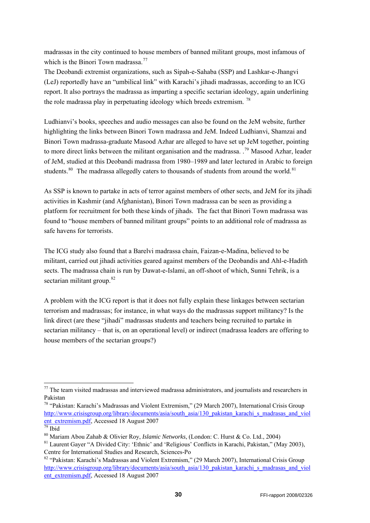madrassas in the city continued to house members of banned militant groups, most infamous of which is the Binori Town madrassa.<sup>[77](#page-29-0)</sup>

The Deobandi extremist organizations, such as Sipah-e-Sahaba (SSP) and Lashkar-e-Jhangvi (LeJ) reportedly have an "umbilical link" with Karachi's jihadi madrassas, according to an ICG report. It also portrays the madrassa as imparting a specific sectarian ideology, again underlining the role madrassa play in perpetuating ideology which breeds extremism. [78](#page-29-1)

Ludhianvi's books, speeches and audio messages can also be found on the JeM website, further highlighting the links between Binori Town madrassa and JeM. Indeed Ludhianvi, Shamzai and Binori Town madrassa-graduate Masood Azhar are alleged to have set up JeM together, pointing to more direct links between the militant organisation and the madrassa. <sup>[79](#page-29-2)</sup> Masood Azhar, leader of JeM, studied at this Deobandi madrassa from 1980–1989 and later lectured in Arabic to foreign students.<sup>[80](#page-29-3)</sup> The madrassa allegedly caters to thousands of students from around the world.<sup>[81](#page-29-4)</sup>

As SSP is known to partake in acts of terror against members of other sects, and JeM for its jihadi activities in Kashmir (and Afghanistan), Binori Town madrassa can be seen as providing a platform for recruitment for both these kinds of jihads. The fact that Binori Town madrassa was found to "house members of banned militant groups" points to an additional role of madrassa as safe havens for terrorists.

The ICG study also found that a Barelvi madrassa chain, Faizan-e-Madina, believed to be militant, carried out jihadi activities geared against members of the Deobandis and Ahl-e-Hadith sects. The madrassa chain is run by Dawat-e-Islami, an off-shoot of which, Sunni Tehrik, is a sectarian militant group.<sup>[82](#page-29-5)</sup>

A problem with the ICG report is that it does not fully explain these linkages between sectarian terrorism and madrassas; for instance, in what ways do the madrassas support militancy? Is the link direct (are these "jihadi" madrassas students and teachers being recruited to partake in sectarian militancy – that is, on an operational level) or indirect (madrassa leaders are offering to house members of the sectarian groups?)

1

<span id="page-29-0"></span> $77$  The team visited madrassas and interviewed madrassa administrators, and journalists and researchers in Pakistan

<span id="page-29-1"></span><sup>78 &</sup>quot;Pakistan: Karachi's Madrassas and Violent Extremism," (29 March 2007), International Crisis Group [http://www.crisisgroup.org/library/documents/asia/south\\_asia/130\\_pakistan\\_karachi\\_s\\_madrasas\\_and\\_viol](http://www.crisisgroup.org/library/documents/asia/south_asia/130_pakistan_karachi_s_madrasas_and_violent_extremism.pdf) [ent\\_extremism.pdf](http://www.crisisgroup.org/library/documents/asia/south_asia/130_pakistan_karachi_s_madrasas_and_violent_extremism.pdf), Accessed 18 August 2007

<span id="page-29-2"></span> $\frac{79}{79}$  Ibid

<span id="page-29-3"></span><sup>&</sup>lt;sup>80</sup> Mariam Abou Zahab & Olivier Roy, *Islamic Networks*, (London: C. Hurst & Co. Ltd., 2004)<br><sup>81</sup> Laurent Gayer "A Divided City: 'Ethnic' and 'Religious' Conflicts in Karachi, Pakistan," (May 2003),

<span id="page-29-4"></span>Centre for International Studies and Research, Sciences-Po

<span id="page-29-5"></span><sup>&</sup>lt;sup>82</sup> "Pakistan: Karachi's Madrassas and Violent Extremism," (29 March 2007), International Crisis Group [http://www.crisisgroup.org/library/documents/asia/south\\_asia/130\\_pakistan\\_karachi\\_s\\_madrasas\\_and\\_viol](http://www.crisisgroup.org/library/documents/asia/south_asia/130_pakistan_karachi_s_madrasas_and_violent_extremism.pdf) [ent\\_extremism.pdf](http://www.crisisgroup.org/library/documents/asia/south_asia/130_pakistan_karachi_s_madrasas_and_violent_extremism.pdf), Accessed 18 August 2007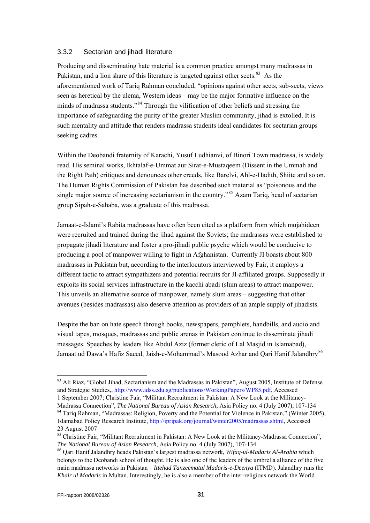#### <span id="page-30-0"></span>3.3.2 Sectarian and jihadi literature

such mentality and attitude that renders madrassa students ideal candidates for sectarian groups seeking cadres. Producing and disseminating hate material is a common practice amongst many madrassas in Pakistan, and a lion share of this literature is targeted against other sects.<sup>[83](#page-30-1)</sup> As the aforementioned work of Tariq Rahman concluded, "opinions against other sects, sub-sects, views seen as heretical by the ulema, Western ideas – may be the major formative influence on the minds of madrassa students."[84](#page-30-2) Through the vilification of other beliefs and stressing the importance of safeguarding the purity of the greater Muslim community, jihad is extolled. It is

Within the Deobandi fraternity of Karachi, Yusuf Ludhianvi, of Binori Town madrassa, is widely the Right Path) critiques and denounces other creeds, like Barelvi, Ahl-e-Hadith, Shiite and so on. single major source of increasing sectarianism in the country."<sup>85</sup> Azam Tariq, head of sectarian group Sipah-e-Sahaba, was a graduate of this madrassa. read. His seminal works, Ikhtalaf-e-Ummat aur Sirat-e-Mustaqeem (Dissent in the Ummah and The Human Rights Commission of Pakistan has described such material as "poisonous and the

were recruited and trained during the jihad against the Soviets; the madrassas were established to producing a pool of manpower willing to fight in Afghanistan. Currently JI boasts about 800 different tactic to attract sympathizers and potential recruits for JI-affiliated groups. Supposedly it exploits its social services infrastructure in the kacchi abadi (slum areas) to attract manpower. avenues (besides madrassas) also deserve attention as providers of an ample supply of jihadists. Jamaat-e-Islami's Rabita madrassas have often been cited as a platform from which mujahideen propagate jihadi literature and foster a pro-jihadi public psyche which would be conducive to madrassas in Pakistan but, according to the interlocutors interviewed by Fair, it employs a This unveils an alternative source of manpower, namely slum areas – suggesting that other

Despite the ban on hate speech through books, newspapers, pamphlets, handbills, and audio and visual tapes, mosques, madrassas and public arenas in Pakistan continue to disseminate jihadi Jamaat ud Dawa's Hafiz Saeed, Jaish-e-Mohammad's Masood Azhar and Qari Hanif Jalandhry<sup>86</sup> messages. Speeches by leaders like Abdul Aziz (former cleric of Lal Masjid in Islamabad),

<span id="page-30-1"></span><sup>&</sup>lt;sup>83</sup> Ali Riaz, "Global Jihad, Sectarianism and the Madrassas in Pakistan", August 2005, Institute of Defense and Strategic Studies,, http://www.idss.edu.sg/publications/WorkingPapers/WP85.pdf, Accessed

<span id="page-30-2"></span><sup>1</sup> September 2007; Christine Fair, "Militant Recruitment in Pakistan: A New Look at the Militancy-Madrassa Connection", *The National Bureau of Asian Research*, Asia Policy no. 4 (July 2007), 107-134 <sup>84</sup> Tariq Rahman, "Madrassas: Religion, Poverty and the Potential for Violence in Pakistan," (Winter 2005), Islamabad Policy Research Institute, http://ipripak.org/journal/winter2005/madrassas.shtml, Accessed 23 August 2007

<sup>&</sup>lt;sup>85</sup> Christine Fair, "Militant Recruitment in Pakistan: A New Look at the Militancy-Madrassa Connection", *The National Bureau of Asian Research*, Asia Policy no. 4 (July 2007), 107-134<br><sup>86</sup> Qari Hanif Jalandhry heads Pakistan's largest madrassa network, *Wifaq-ul-Madaris Al-Arabia* which

belongs to the Deobandi school of thought. He is also one of the leaders of the umbrella alliance of the fi ve main madrassa networks in Pakistan – *Ittehad Tanzeematul Madaris-e-Deenya* (ITMD). Jalandhry runs the *Khair ul Madaris* in Multan. Interestingly, he is also a member of the inter-religious network the World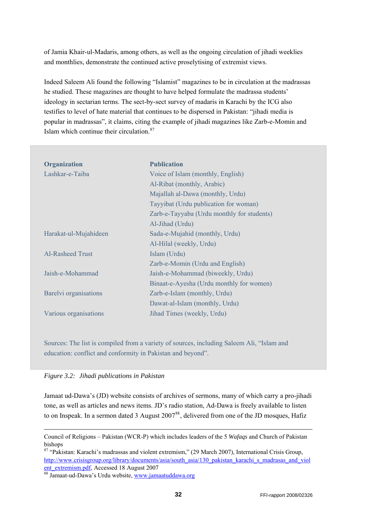of Jamia Khair-ul-Madaris, among others, as well as the ongoing circulation of jihadi weeklies and monthlies, demonstrate the continued active proselytising of extremist views.

Indeed Saleem Ali found the following "Islamist" magazines to be in circulation at the madrassas he studied. These magazines are thought to have helped formulate the madrassa students' ideology in sectarian terms. The sect-by-sect survey of madaris in Karachi by the ICG also testifies to level of hate material that continues to be dispersed in Pakistan: "jihadi media is popular in madrassas", it claims, citing the example of jihadi magazines like Zarb-e-Momin and Islam which continue their circulation.[87](#page-31-0)

| <b>Organization</b>     | <b>Publication</b>                         |
|-------------------------|--------------------------------------------|
| Lashkar-e-Taiba         | Voice of Islam (monthly, English)          |
|                         | Al-Ribat (monthly, Arabic)                 |
|                         | Majallah al-Dawa (monthly, Urdu)           |
|                         | Tayyibat (Urdu publication for woman)      |
|                         | Zarb-e-Tayyaba (Urdu monthly for students) |
|                         | Al-Jihad (Urdu)                            |
| Harakat-ul-Mujahideen   | Sada-e-Mujahid (monthly, Urdu)             |
|                         | Al-Hilal (weekly, Urdu)                    |
| <b>Al-Rasheed Trust</b> | Islam (Urdu)                               |
|                         | Zarb-e-Momin (Urdu and English)            |
| Jaish-e-Mohammad        | Jaish-e-Mohammad (biweekly, Urdu)          |
|                         | Binaat-e-Ayesha (Urdu monthly for women)   |
| Barelyi organisations   | Zarb-e-Islam (monthly, Urdu)               |
|                         | Dawat-al-Islam (monthly, Urdu)             |
| Various organisations   | Jihad Times (weekly, Urdu)                 |

Sources: The list is compiled from a variety of sources, including Saleem Ali, "Islam and education: conflict and conformity in Pakistan and beyond".

|  | Figure 3.2: Jihadi publications in Pakistan |  |
|--|---------------------------------------------|--|
|--|---------------------------------------------|--|

1

Jamaat ud-Dawa's (JD) website consists of archives of sermons, many of which carry a pro-jihadi tone, as well as articles and news items. JD's radio station, Ad-Dawa is freely available to listen to on Inspeak. In a sermon dated 3 August 2007<sup>[88](#page-31-1)</sup>, delivered from one of the JD mosques, Hafiz

Council of Religions – Pakistan (WCR-P) which includes leaders of the 5 *Wafaqs* and Church of Pakistan bishops

<span id="page-31-0"></span><sup>87 &</sup>quot;Pakistan: Karachi's madrassas and violent extremism," (29 March 2007), International Crisis Group, [http://www.crisisgroup.org/library/documents/asia/south\\_asia/130\\_pakistan\\_karachi\\_s\\_madrasas\\_and\\_viol](http://www.crisisgroup.org/library/documents/asia/south_asia/130_pakistan_karachi_s_madrasas_and_violent_extremism.pdf) [ent\\_extremism.pdf](http://www.crisisgroup.org/library/documents/asia/south_asia/130_pakistan_karachi_s_madrasas_and_violent_extremism.pdf), Accessed 18 August 2007<br><sup>88</sup> Jamaat-ud-Dawa's Urdu website, www.jamaatuddawa.org

<span id="page-31-1"></span>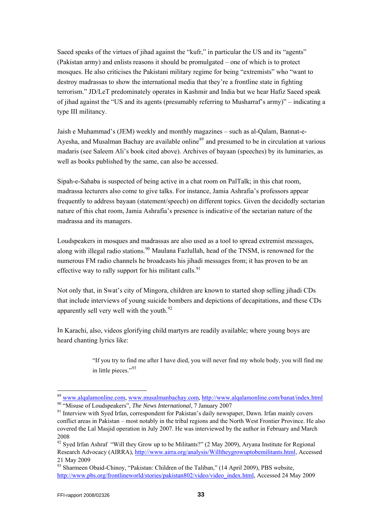terrorism." JD/LeT predominately operates in Kashmir and India but we hear Hafiz Saeed speak of jihad against the "US and its agents (presumably referring to Musharraf's army)" – indicating a Saeed speaks of the virtues of jihad against the "kufr," in particular the US and its "agents" (Pakistan army) and enlists reasons it should be promulgated – one of which is to protect mosques. He also criticises the Pakistani military regime for being "extremists" who "want to destroy madrassas to show the international media that they're a frontline state in fighting type III militancy.

Ayesha, and Musalman Bachay are available online<sup>[89](#page-32-0)</sup> and presumed to be in circulation at various madaris (see Saleem Ali's book cited above). Archives of bayaan (speeches) by its luminaries, as Jaish e Muhammad's (JEM) weekly and monthly magazines – such as al-Qalam, Bannat-ewell as books published by the same, can also be accessed.

frequently to address bayaan (statement/speech) on different topics. Given the decidedly sectarian nature of this chat room, Jamia Ashrafia's presence is indicative of the sectarian nature of the Sipah-e-Sahaba is suspected of being active in a chat room on PalTalk; in this chat room, madrassa lecturers also come to give talks. For instance, Jamia Ashrafia's professors appear madrassa and its managers.

Loudspeakers in mosques and madrassas are also used as a tool to spread extremist messages, along with illegal radio stations.<sup>[90](#page-32-1)</sup> Maulana Fazlullah, head of the TNSM, is renowned for the numerous FM radio channels he broadcasts his jihadi messages from; it has proven to be an effective way to rally support for his militant calls.  $91$ 

Not only that, in Swat's city of Mingora, children are known to started shop selling jihadi CDs that include interviews of young suicide bombers and depictions of decapitations, and these CDs apparently sell very well with the youth.<sup>92</sup>

In Karachi, also, videos glorifying child martyrs are readily available; where young boys are heard chanti ng lyrics like:

> "If you try to find me after I have died, you will never find my whole body, you will find me in little pieces."<sup>93</sup>

<span id="page-32-0"></span><sup>&</sup>lt;sup>89</sup> [www.alqalamonline.com,](http://www.alqalamonline.com/) [www.musalmanbachay.com,](http://www.musalmanbachay.com/) http://www.alqalamonline.com/banat/index.html<br><sup>90</sup> "Misuse of Loudspeakers", *The News International*, 7 January 2007<br><sup>91</sup> Interview with Sved Irfan, correspondent for P

<span id="page-32-1"></span>conflict areas in Pakistan – most notably in the tribal regions and the North West Frontier Province. He also covered the Lal Masjid operation in July 2007. He was interviewed by the author in February and March 2008

<span id="page-32-2"></span><sup>&</sup>lt;sup>92</sup> Sved Irfan Ashraf "Will they Grow up to be Militants?" (2 May 2009), Aryana Institute for Regional Research Advocacy (AIRRA), [http://www.airra.org/analysis/Willtheygrowuptobemilitants.html,](http://www.airra.org/analysis/Willtheygrowuptobemilitants.html) Accessed 21 May 2009

<sup>93</sup> Sharmeen Obaid-Chinoy, "Pakistan: Children of the Taliban," (14 April 2009), PBS website, [http://www.pbs.org/frontlineworld/stories/pakistan802/video/video\\_index.html](http://www.pbs.org/frontlineworld/stories/pakistan802/video/video_index.html), Accessed 24 May 2009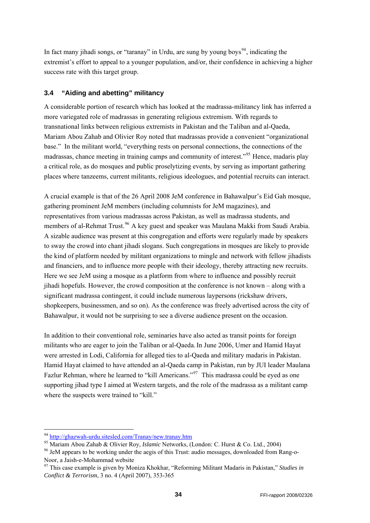<span id="page-33-0"></span>In fact many jihadi songs, or "taranay" in Urdu, are sung by young boys<sup>[94](#page-33-1)</sup>, indicating the extremist's effort to appeal to a younger population, and/or, their confidence in achieving a higher success rate with this target group.

#### **3.4 "Aiding and abetting" militancy**

A considerable portion of research which has looked at the madrassa-militancy link has inferred a more variegated role of madrassas in generating religious extremism. With regards to transnational links between religious extremists in Pakistan and the Taliban and al-Qaeda, Mariam Abou Zahab and Olivier Roy noted that madrassas provide a convenient "organizational base." In the militant world, "everything rests on personal connections, the connections of the madrassas, chance meeting in training camps and community of interest.<sup>"[95](#page-33-2)</sup> Hence, madaris play a critical role, as do mosques and public proselytizing events, by serving as important gathering places where tanzeems, current militants, religious ideologues, and potential recruits can interact.

A crucial example is that of the 26 April 2008 JeM conference in Bahawalpur's Eid Gah mosque, gathering prominent JeM members (including columnists for JeM magazines), and representatives from various madrassas across Pakistan, as well as madrassa students, and members of al-Rehmat Trust.<sup>[96](#page-33-3)</sup> A key guest and speaker was Maulana Makki from Saudi Arabia. A sizable audience was present at this congregation and efforts were regularly made by speakers to sway the crowd into chant jihadi slogans. Such congregations in mosques are likely to provide the kind of platform needed by militant organizations to mingle and network with fellow jihadists and financiers, and to influence more people with their ideology, thereby attracting new recruits. Here we see JeM using a mosque as a platform from where to influence and possibly recruit jihadi hopefuls. However, the crowd composition at the conference is not known – along with a significant madrassa contingent, it could include numerous laypersons (rickshaw drivers, shopkeepers, businessmen, and so on). As the conference was freely advertised across the city of Bahawalpur, it would not be surprising to see a diverse audience present on the occasion.

In addition to their conventional role, seminaries have also acted as transit points for foreign militants who are eager to join the Taliban or al-Qaeda.In June 2006, Umer and Hamid Hayat were arrested in Lodi, California for alleged ties to al-Qaeda and military madaris in Pakistan. Hamid Hayat claimed to have attended an al-Qaeda camp in Pakistan, run by JUI leader Maulana Fazlur Rehman, where he learned to "kill Americans."<sup>[97](#page-33-4)</sup> This madrassa could be eyed as one supporting jihad type I aimed at Western targets, and the role of the madrassa as a militant camp where the suspects were trained to "kill."

1

<span id="page-33-2"></span><span id="page-33-1"></span><sup>&</sup>lt;sup>94</sup> <http://ghazwah-urdu.sitesled.com/Tranay/new.tranay.htm><br><sup>95</sup> Mariam Abou Zahab & Olivier Roy, *Islamic* Networks, (London: C. Hurst & Co. Ltd., 2004)<br><sup>96</sup> JeM appears to be working under the aegis of this Trust: audio

<span id="page-33-3"></span>Noor, a Jaish-e-Mohammad website

<span id="page-33-4"></span><sup>97</sup> This case example is given by Moniza Khokhar, "Reforming Militant Madaris in Pakistan," *Studies in Conflict & Terrorism*, 3 no. 4 (April 2007), 353-365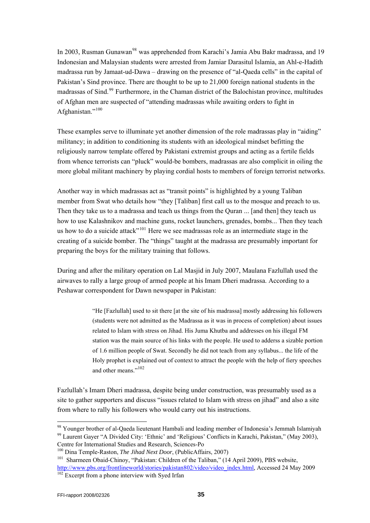In 2003, Rusman Gunawan<sup>[98](#page-34-0)</sup> was apprehended from Karachi's Jamia Abu Bakr madrassa, and 19 Indonesian and Malaysian students were arrested from Jamiar Darasitul Islamia, an Ahl-e-Hadith madrassa run by Jamaat-ud-Dawa – drawing on the presence of "al-Qaeda cells" in the capital of Pakistan's Sind province. There are thought to be up to 21,000 foreign national students in the madrassas of Sind.<sup>[99](#page-34-1)</sup> Furthermore, in the Chaman district of the Balochistan province, multitudes of Afghan men are suspected of "attending madrassas while awaiting orders to fight in Afghanistan."<sup>[100](#page-34-2)</sup>

These examples serve to illuminate yet another dimension of the role madrassas play in "aiding" militancy; in addition to conditioning its students with an ideological mindset befitting the religiously narrow template offered by Pakistani extremist groups and acting as a fertile fields from whence terrorists can "pluck" would-be bombers, madrassas are also complicit in oiling the more global militant machinery by playing cordial hosts to members of foreign terrorist networks.

Another way in which madrassas act as "transit points" is highlighted by a young Taliban member from Swat who details how "they [Taliban] first call us to the mosque and preach to us. Then they take us to a madrassa and teach us things from the Quran ... [and then] they teach us how to use Kalashnikov and machine guns, rocket launchers, grenades, bombs... Then they teach us how to do a suicide attack<sup>"[101](#page-34-3)</sup> Here we see madrassas role as an intermediate stage in the creating of a suicide bomber. The "things" taught at the madrassa are presumably important for preparing the boys for the military training that follows.

During and after the military operation on Lal Masjid in July 2007, Maulana Fazlullah used the airwaves to rally a large group of armed people at his Imam Dheri madrassa. According to a Peshawar correspondent for Dawn newspaper in Pakistan:

> "He [Fazlullah] used to sit there [at the site of his madrassa] mostly addressing his followers (students were not admitted as the Madrassa as it was in process of completion) about issues related to Islam with stress on Jihad. His Juma Khutba and addresses on his illegal FM station was the main source of his links with the people. He used to adderss a sizable portion of 1.6 million people of Swat. Secondly he did not teach from any syllabus... the life of the Holy prophet is explained out of context to attract the people with the help of fiery speeches and other means."<sup>[102](#page-34-4)</sup>

Fazlullah's Imam Dheri madrassa, despite being under construction, was presumably used as a site to gather supporters and discuss "issues related to Islam with stress on jihad" and also a site from where to rally his followers who would carry out his instructions.

<span id="page-34-1"></span><span id="page-34-0"></span><sup>&</sup>lt;sup>98</sup> Younger brother of al-Qaeda lieutenant Hambali and leading member of Indonesia's Jemmah Islamiyah <sup>99</sup> Laurent Gayer "A Divided City: 'Ethnic' and 'Religious' Conflicts in Karachi, Pakistan," (May 2003), Centre for International Studies and Research, Sciences-Po<br><sup>100</sup> Dina Temple-Raston, *The Jihad Next Door*, (PublicAffairs, 2007)

<span id="page-34-4"></span><span id="page-34-3"></span><span id="page-34-2"></span><sup>&</sup>lt;sup>101</sup> Sharmeen Obaid-Chinoy, "Pakistan: Children of the Taliban," (14 April 2009), PBS website, [http://www.pbs.org/frontlineworld/stories/pakistan802/video/video\\_index.html](http://www.pbs.org/frontlineworld/stories/pakistan802/video/video_index.html), Accessed 24 May 2009 <sup>102</sup> Excerpt from a phone interview with Syed Irfan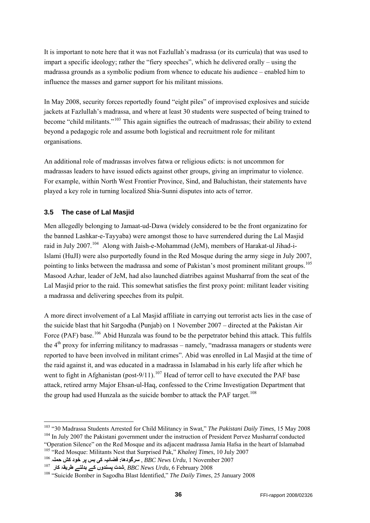<span id="page-35-0"></span>It is important to note here that it was not Fazlullah's madrassa (or its curricula) that was used to impart a specific ideology; rather the "fiery speeches", which he delivered orally – using the madrassa grounds as a symbolic podium from whence to educate his audience – enabled him to influence the masses and garner support for his militant missions.

In May 2008, security forces reportedly found "eight piles" of improvised explosives and suicide jackets at Fazlullah's madrassa, and where at least 30 students were suspected of being trained to become "child militants."<sup>[103](#page-35-1)</sup> This again signifies the outreach of madrassas; their ability to extend beyond a pedagogic role and assume both logistical and recruitment role for militant organisations.

An additional role of madrassas involves fatwa or religious edicts: is not uncommon for madrassas leaders to have issued edicts against other groups, giving an imprimatur to violence. For example, within North West Frontier Province, Sind, and Baluchistan, their statements have played a key role in turning localized Shia-Sunni disputes into acts of terror.

#### **3.5 The case of Lal Masjid**

-

Men allegedly belonging to Jamaat-ud-Dawa (widely considered to be the front organizatino for the banned Lashkar-e-Tayyaba) were amongst those to have surrendered during the Lal Masjid raid in July 2007.<sup>[104](#page-35-2)</sup> Along with Jaish-e-Mohammad (JeM), members of Harakat-ul Jihad-i-Islami (HuJI) were also purportedly found in the Red Mosque during the army siege in July 2007, pointing to links between the madrassa and some of Pakistan's most prominent militant groups.<sup>[105](#page-35-3)</sup> Masood Azhar, leader of JeM, had also launched diatribes against Musharraf from the seat of the Lal Masjid prior to the raid. This somewhat satisfies the first proxy point: militant leader visiting a madrassa and delivering speeches from its pulpit.

A more direct involvement of a Lal Masjid affiliate in carrying out terrorist acts lies in the case of the suicide blast that hit Sargodha (Punjab) on 1 November 2007 – directed at the Pakistan Air Force (PAF) base.<sup>[106](#page-35-4)</sup> Abid Hunzala was found to be the perpetrator behind this attack. This fulfils the  $4<sup>th</sup>$  proxy for inferring militancy to madrassas – namely, "madrassa managers or students were reported to have been involved in militant crimes". Abid was enrolled in Lal Masjid at the time of the raid against it, and was educated in a madrassa in Islamabad in his early life after which he went to fight in Afghanistan (post-9/11).<sup>[107](#page-35-5)</sup> Head of terror cell to have executed the PAF base attack, retired army Major Ehsan-ul-Haq, confessed to the Crime Investigation Department that the group had used Hunzala as the suicide bomber to attack the PAF target.<sup>[108](#page-35-6)</sup>

<span id="page-35-2"></span><span id="page-35-1"></span><sup>&</sup>lt;sup>103</sup> "30 Madrassa Students Arrested for Child Militancy in Swat," *The Pakistani Daily Times*, 15 May 2008<br><sup>104</sup> In July 2007 the Pakistani government under the instruction of President Pervez Musharraf conducted

<span id="page-35-3"></span><sup>&</sup>quot;Operation Silence" on the Red Mosque and its adjacent madrassa Jamia Hafsa in the heart of Islamabad <sup>105</sup> "Red Mosque: Militants Nest that Surprised Pak," *Khaleej Times*, 10 July 2007<br><sup>106</sup> سرگودها: فضائیہ کی بس پر خو

<span id="page-35-4"></span>

<span id="page-35-5"></span>

<span id="page-35-6"></span>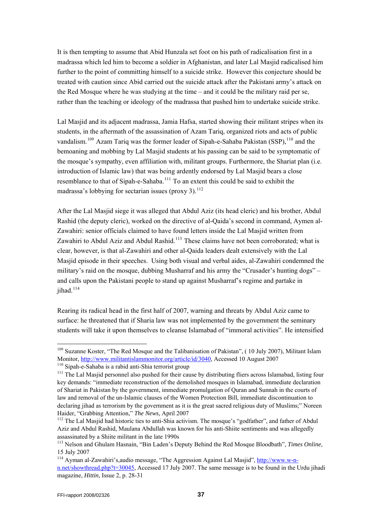It is then tempting to assume that Abid Hunzala set foot on his path of radicalisation first in a madrassa which led him to become a soldier in Afghanistan, and later Lal Masjid radicalised him further to the point of committing himself to a suicide strike. However this conjecture should be treated with caution since Abid carried out the suicide attack after the Pakistani army's attack on the Red Mosque where he was studying at the time – and it could be the military raid per se, rather than the teaching or ideology of the madrassa that pushed him to undertake suicide strike.

madrassa's lobbying for sectarian issues (proxy 3).  $^{112}$ Lal Masjid and its adjacent madrassa, Jamia Hafsa, started showing their militant stripes when its students, in the aftermath of the assassination of Azam Tariq, organized riots and acts of public vandalism.<sup>[109](#page-36-0)</sup> Azam Tariq was the former leader of Sipah-e-Sahaba Pakistan (SSP),<sup>[110](#page-36-1)</sup> and the bemoaning and mobbing by Lal Masjid students at his passing can be said to be symptomatic of the mosque's sympathy, even affiliation with, militant groups. Furthermore, the Shariat plan (i.e. introduction of Islamic law) that was being ardently endorsed by Lal Masjid bears a close resemblance to that of Sipah-e-Sahaba.<sup>[111](#page-36-2)</sup> To an extent this could be said to exhibit the

After the Lal Masjid siege it was alleged that Abdul Aziz (its head cleric) and his brother, Abdul Rashid (the deputy cleric), worked on the directive of al-Qaida's second in command, Aymen al-Zawahiri: senior officials claimed to have found letters inside the Lal Masjid written from Zawahiri to Abdul Aziz and Abdul Rashid.<sup>[113](#page-36-3)</sup> These claims have not been corroborated; what is clear, however, is that al-Zawahiri and other al-Qaida leaders dealt extensively with the Lal Masjid episode in their speeches. Using both visual and verbal aides, al-Zawahiri condemned the military's raid on the mosque, dubbing Musharraf and his army the "Crusader's hunting dogs" – and calls upon the Pakistani people to stand up against Musharraf's regime and partake in jihad.<sup>[114](#page-36-4)</sup>

Rearing its radical head in the first half of 2007, warning and threats by Abdul Aziz came to surface: he threatened that if Sharia law was not implemented by the government the seminary students will take it upon themselves to cleanse Islamabad of "immoral activities". He intensified

<span id="page-36-0"></span><sup>&</sup>lt;sup>109</sup> Suzanne Koster, "The Red Mosque and the Talibanisation of Pakistan", (10 July 2007), Militant Islam Monitor, http://www.militantislammonitor.org/article/id/3040, Accessed 10 August 2007

<span id="page-36-2"></span><span id="page-36-1"></span><sup>&</sup>lt;sup>110</sup> Sipah-e-Sahaba is a rabid anti-Shia terrorist group<br><sup>111</sup> The Lal Masjid personnel also pushed for their cause by distributing fliers across Islamabad, listing four key demands: "immediate reconstruction of the demolished mosques in Islamabad, immediate declaration of Shariat in Pakistan by the government, immediate promulgation of Quran and Sunnah in the courts of law and removal of the un-Islamic clauses of the Women Protection Bill, immediate discontinuation to declaring jihad as terrorism by the government as it is the great sacred religious duty of Muslims;" Noreen Haider, "Grabbing Attention," *The News*, April 2007<br><sup>112</sup> The Lal Masjid had historic ties to anti-Shia activism. The mosque's "godfather", and father of Abdul

Aziz and Abdul Rashid, Maulana Abdullah was known for his anti-Shiite sentiments and was allegedly assassinated by a Shiite militant in the late 1990s

<span id="page-36-3"></span><sup>113</sup> Nelson and Ghulam Hasnain, "Bin Laden's Deputy Behind the Red Mosque Bloodbath", *Times Online*, 15 July 2007

<span id="page-36-4"></span><sup>114</sup> Ayman al-Zawahiri's,audio message, "The Aggression Against Lal Masjid", [http://www.w-n](http://www.w-n-n.net/showthread.php?t=30045)[n.net/showthread.php?t=30045](http://www.w-n-n.net/showthread.php?t=30045), Accessed 17 July 2007. The same message is to be found in the Urdu jihadi magazine, *Hittin*, Issue 2, p. 28-31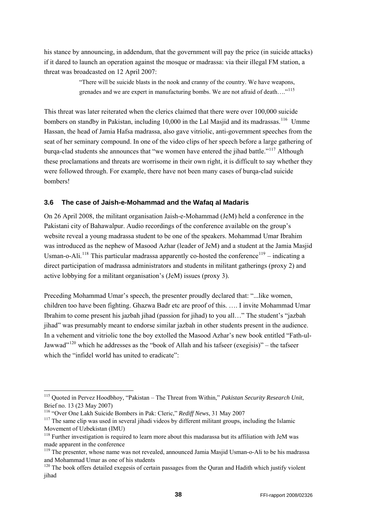<span id="page-37-0"></span>his stance by announcing, in addendum, that the government will pay the price (in suicide attacks) if it dared to launch an operation against the mosque or madrassa: via their illegal FM station, a threat was broadcasted on 12 April 2007:

> "There will be suicide blasts in the nook and cranny of the country. We have weapons, grenades and we are expert in manufacturing bombs. We are not afraid of death....<sup>[115](#page-37-1)</sup>

This threat was later reiterated when the clerics claimed that there were over 100,000 suicide bombers on standby in Pakistan, including 10,000 in the Lal Masjid and its madrassas.<sup>[116](#page-37-2)</sup> Umme Hassan, the head of Jamia Hafsa madrassa, also gave vitriolic, anti-government speeches from the seat of her seminary compound. In one of the video clips of her speech before a large gathering of burga-clad students she announces that "we women have entered the jihad battle."<sup>[117](#page-37-3)</sup> Although these proclamations and threats are worrisome in their own right, it is difficult to say whether they were followed through. For example, there have not been many cases of burqa-clad suicide bombers!

#### **3.6 The case of Jaish-e-Mohammad and the Wafaq al Madaris**

On 26 April 2008, the militant organisation Jaish-e-Mohammad (JeM) held a conference in the Pakistani city of Bahawalpur. Audio recordings of the conference available on the group's website reveal a young madrassa student to be one of the speakers. Mohammad Umar Ibrahim was introduced as the nephew of Masood Azhar (leader of JeM) and a student at the Jamia Masjid Usman-o-Ali.<sup>[118](#page-37-4)</sup> This particular madrassa apparently co-hosted the conference<sup>[119](#page-37-5)</sup> – indicating a direct participation of madrassa administrators and students in militant gatherings (proxy 2) and active lobbying for a militant organisation's (JeM) issues (proxy 3).

Preceding Mohammad Umar's speech, the presenter proudly declared that: "...like women, children too have been fighting. Ghazwa Badr etc are proof of this. …. I invite Mohammad Umar Ibrahim to come present his jazbah jihad (passion for jihad) to you all…" The student's "jazbah jihad" was presumably meant to endorse similar jazbah in other students present in the audience. In a vehement and vitriolic tone the boy extolled the Masood Azhar's new book entitled "Fath-ul-Jawwad"<sup>[120](#page-37-6)</sup> which he addresses as the "book of Allah and his tafseer (exegisis)" – the tafseer which the "infidel world has united to eradicate":

-

<span id="page-37-1"></span><sup>115</sup> Quoted in Pervez Hoodbhoy, "Pakistan – The Threat from Within," *Pakistan Security Research Unit*, Brief no. 13 (23 May 2007)

<span id="page-37-3"></span><span id="page-37-2"></span><sup>&</sup>lt;sup>116</sup> "Over One Lakh Suicide Bombers in Pak: Cleric," *Rediff News*, 31 May 2007<br><sup>117</sup> The same clip was used in several jihadi videos by different militant groups, including the Islamic Movement of Uzbekistan (IMU)

<span id="page-37-4"></span><sup>&</sup>lt;sup>118</sup> Further investigation is required to learn more about this madarassa but its affiliation with JeM was made apparent in the conference

<span id="page-37-5"></span><sup>&</sup>lt;sup>119</sup> The presenter, whose name was not revealed, announced Jamia Masjid Usman-o-Ali to be his madrassa and Mohammad Umar as one of his students

<span id="page-37-6"></span> $120$  The book offers detailed exegesis of certain passages from the Quran and Hadith which justify violent iihad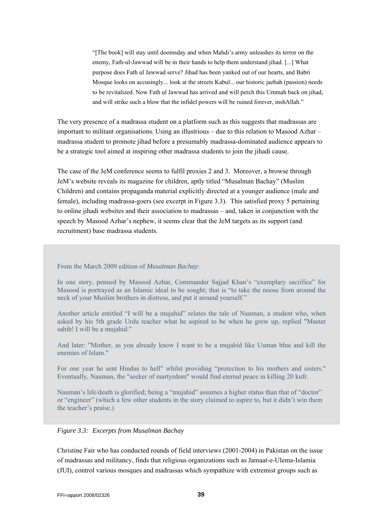"[The book] will stay until doomsday and when Mahdi's army unleashes its terror on the enemy, Fath-ul-Jawwad will be in their hands to help them understand jihad. [...] What purpose does Fath ul Jawwad serve? Jihad has been yanked out of our hearts, and Babri Mosque looks on accusingly... look at the streets Kabul... our historic jazbah (passion) needs to be revitalized. Now Fath ul Jawwad has arrived and will perch this Ummah back on jihad, and will strike such a blow that the infidel powers will be ruined forever, inshAllah."

The very presence of a madrassa student on a platform such as this suggests that madrassas are important to militant organisations. Using an illustrious – due to this relation to Masood Azhar – madrassa student to promote jihad before a presumably madrassa-dominated audience appears to be a strategic tool aimed at inspiring other madrassa students to join the jihadi cause.

The case of the JeM conference seems to fulfil proxies 2 and 3. Moreover, a browse through JeM's website reveals its magazine for children, aptly titled "Musalman Bachay" (Muslim Children) and contains propaganda material explicitly directed at a younger audience (male and female), including madrassa-goers (see excerpt in Figure 3.3). This satisfied proxy 5 pertaining to online jihadi websites and their association to madrassas – and, taken in conjunction with the speech by Masood Azhar's nephew, it seems clear that the JeM targets as its support (and recruitment) base madrassa students.

#### From the March 2009 edition of *Musalman Bachay*:

In one story, penned by Masood Azhar, Commander Sajjad Khan's "exemplary sacrifice" for Masood is portrayed as an Islamic ideal to be sought; that is "to take the noose from around the neck of your Muslim brothers in distress, and put it around yourself."

Another article entitled "I will be a mujahid" relates the tale of Nauman, a student who, when asked by his 5th grade Urdu teacher what he aspired to be when he grew up, replied "Master sahib! I will be a mujahid."

And later: "Mother, as you already know I want to be a mujahid like Usman bhai and kill the enemies of Islam."

For one year he sent Hindus to hell" whilst providing "protection to his mothers and sisters." Eventually, Nauman, the "seeker of martyrdom" would find eternal peace in killing 20 kufr.

Nauman's life/death is glorified; being a "mujahid" assumes a higher status than that of "doctor" or "engineer" (which a few other students in the story claimed to aspire to, but it didn't win them the teacher's praise.)

#### *Figure 3.3: Excerpts from Musalman Bachay*

Christine Fair who has conducted rounds of field interviews (2001-2004) in Pakistan on the issue of madrassas and militancy, finds that religious organizations such as Jamaat-e-Ulema-Islamia (JUI), control various mosques and madrassas which sympathize with extremist groups such as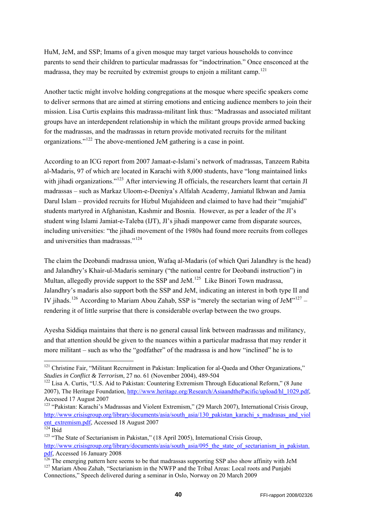HuM, JeM, and SSP; Imams of a given mosque may target various households to convince parents to send their children to particular madrassas for "indoctrination." Once ensconced at the madrassa, they may be recruited by extremist groups to enjoin a militant camp.<sup>[121](#page-39-0)</sup>

Another tactic might involve holding congregations at the mosque where specific speakers come to deliver sermons that are aimed at stirring emotions and enticing audience members to join their mission. Lisa Curtis explains this madrassa-militant link thus: "Madrassas and associated militant groups have an interdependent relationship in which the militant groups provide armed backing for the madrassas, and the madrassas in return provide motivated recruits for the militant organizations."[122](#page-39-1) The above-mentioned JeM gathering is a case in point.

According to an ICG report from 2007 Jamaat-e-Islami's network of madrassas, Tanzeem Rabita al-Madaris, 97 of which are located in Karachi with 8,000 students, have "long maintained links with jihadi organizations."<sup>[123](#page-39-2)</sup> After interviewing JI officials, the researchers learnt that certain JI madrassas – such as Markaz Uloom-e-Deeniya's Alfalah Academy, Jamiatul Ikhwan and Jamia Darul Islam – provided recruits for Hizbul Mujahideen and claimed to have had their "mujahid" students martyred in Afghanistan, Kashmir and Bosnia. However, as per a leader of the JI's student wing Islami Jamiat-e-Taleba (IJT), JI's jihadi manpower came from disparate sources, including universities: "the jihadi movement of the 1980s had found more recruits from colleges and universities than madrassas."[124](#page-39-3)

The claim the Deobandi madrassa union, Wafaq al-Madaris (of which Qari Jalandhry is the head) and Jalandhry's Khair-ul-Madaris seminary ("the national centre for Deobandi instruction") in Multan, allegedly provide support to the SSP and JeM.<sup>[125](#page-39-4)</sup> Like Binori Town madrassa, Jalandhry's madaris also support both the SSP and JeM, indicating an interest in both type II and IV jihads.<sup>[126](#page-39-5)</sup> According to Mariam Abou Zahab, SSP is "merely the sectarian wing of JeM"<sup>[127](#page-39-6)</sup> – rendering it of little surprise that there is considerable overlap between the two groups.

Ayesha Siddiqa maintains that there is no general causal link between madrassas and militancy, and that attention should be given to the nuances within a particular madrassa that may render it more militant – such as who the "godfather" of the madrassa is and how "inclined" he is to

-

<span id="page-39-0"></span><sup>&</sup>lt;sup>121</sup> Christine Fair, "Militant Recruitment in Pakistan: Implication for al-Qaeda and Other Organizations," *Studies in Conflict & Terrorism*, 27 no. 61 (November 2004), 489-504

<span id="page-39-1"></span> $122$  Lisa A. Curtis, "U.S. Aid to Pakistan: Countering Extremism Through Educational Reform," (8 June 2007), The Heritage Foundation, [http://www.heritage.org/Research/AsiaandthePacific/upload/hl\\_1029.pdf](http://www.heritage.org/Research/AsiaandthePacific/upload/hl_1029.pdf), Accessed 17 August 2007

<span id="page-39-2"></span><sup>&</sup>lt;sup>123</sup> "Pakistan: Karachi's Madrassas and Violent Extremism," (29 March 2007), International Crisis Group, [http://www.crisisgroup.org/library/documents/asia/south\\_asia/130\\_pakistan\\_karachi\\_s\\_madrasas\\_and\\_viol](http://www.crisisgroup.org/library/documents/asia/south_asia/130_pakistan_karachi_s_madrasas_and_violent_extremism.pdf) [ent\\_extremism.pdf](http://www.crisisgroup.org/library/documents/asia/south_asia/130_pakistan_karachi_s_madrasas_and_violent_extremism.pdf), Accessed 18 August 2007<br><sup>124</sup> Ibid <sup>125</sup> "The State of Sectarianism in Pakistan," (18 April 2005), International Crisis Group,

<span id="page-39-3"></span>

<span id="page-39-4"></span>[http://www.crisisgroup.org/library/documents/asia/south\\_asia/095\\_the\\_state\\_of\\_sectarianism\\_in\\_pakistan.](http://www.crisisgroup.org/library/documents/asia/south_asia/095_the_state_of_sectarianism_in_pakistan.pdf)

<span id="page-39-5"></span>ndf, Accessed 16 January 2008<br><sup>126</sup> The emerging pattern here seems to be that madrassas supporting SSP also show affinity with JeM<br><sup>127</sup> Mariam Abou Zahab, "Sectarianism in the NWFP and the Tribal Areas: Local roots and P

<span id="page-39-6"></span>Connections," Speech delivered during a seminar in Oslo, Norway on 20 March 2009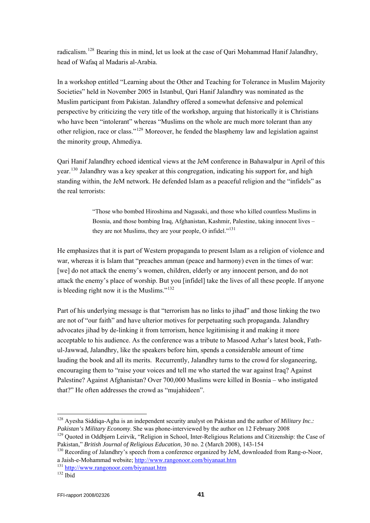radicalism.[128](#page-40-0) Bearing this in mind, let us look at the case of Qari Mohammad Hanif Jalandhry, head of Wafaq al Madaris al-Arabia.

In a workshop entitled "Learning about the Other and Teaching for Tolerance in Muslim Majority Societies" held in November 2005 in Istanbul, Qari Hanif Jalandhry was nominated as the Muslim participant from Pakistan. Jalandhry offered a somewhat defensive and polemical perspective by criticizing the very title of the workshop, arguing that historically it is Christians who have been "intolerant" whereas "Muslims on the whole are much more tolerant than any other religion, race or class."[129](#page-40-1) Moreover, he fended the blasphemy law and legislation against the minority group, Ahmediya.

Qari Hanif Jalandhry echoed identical views at the JeM conference in Bahawalpur in April of this year.<sup>[130](#page-40-2)</sup> Jalandhry was a key speaker at this congregation, indicating his support for, and high standing within, the JeM network. He defended Islam as a peaceful religion and the "infidels" as the real terrorists:

> "Those who bombed Hiroshima and Nagasaki, and those who killed countless Muslims in Bosnia, and those bombing Iraq, Afghanistan, Kashmir, Palestine, taking innocent lives – they are not Muslims, they are your people, O infidel."<sup>[131](#page-40-3)</sup>

He emphasizes that it is part of Western propaganda to present Islam as a religion of violence and war, whereas it is Islam that "preaches amman (peace and harmony) even in the times of war: [we] do not attack the enemy's women, children, elderly or any innocent person, and do not attack the enemy's place of worship. But you [infidel] take the lives of all these people. If anyone is bleeding right now it is the Muslims."[132](#page-40-4)

Part of his underlying message is that "terrorism has no links to jihad" and those linking the two are not of "our faith" and have ulterior motives for perpetuating such propaganda. Jalandhry advocates jihad by de-linking it from terrorism, hence legitimising it and making it more acceptable to his audience. As the conference was a tribute to Masood Azhar's latest book, Fathul-Jawwad, Jalandhry, like the speakers before him, spends a considerable amount of time lauding the book and all its merits. Recurrently, Jalandhry turns to the crowd for sloganeering, encouraging them to "raise your voices and tell me who started the war against Iraq? Against Palestine? Against Afghanistan? Over 700,000 Muslims were killed in Bosnia – who instigated that?" He often addresses the crowd as "mujahideen".

<span id="page-40-0"></span><sup>128</sup> Ayesha Siddiqa-Agha is an independent security analyst on Pakistan and the author of *Military Inc.: Pakistan's Military Economy*. She was phone-interviewed by the author on 12 February 2008<br><sup>129</sup> Quoted in Oddbjørn Leirvik, "Religion in School, Inter-Religious Relations and Citizenship: the Case of

<span id="page-40-1"></span>Pakistan," *British Journal of Religious Education*, 30 no. 2 (March 2008), 143-154<br><sup>130</sup> Recording of Jalandhry's speech from a conference organized by JeM, downloaded from Rang-o-Noor,

<span id="page-40-2"></span>a Jaish-e-Mohammad website; <http://www.rangonoor.com/biyanaat.htm> 131 <http://www.rangonoor.com/biyanaat.htm>132 Ibid

<span id="page-40-4"></span><span id="page-40-3"></span>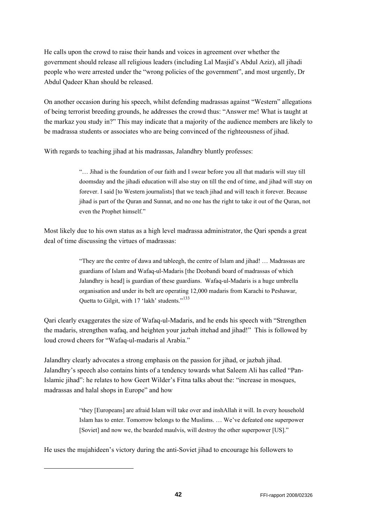He calls upon the crowd to raise their hands and voices in agreement over whether the government should release all religious leaders (including Lal Masjid's Abdul Aziz), all jihadi people who were arrested under the "wrong policies of the government", and most urgently, Dr Abdul Qadeer Khan should be released.

On another occasion during his speech, whilst defending madrassas against "Western" allegations of being terrorist breeding grounds, he addresses the crowd thus: "Answer me! What is taught at the markaz you study in?" This may indicate that a majority of the audience members are likely to be madrassa students or associates who are being convinced of the righteousness of jihad.

With regards to teaching jihad at his madrassas, Jalandhry bluntly professes:

"… Jihad is the foundation of our faith and I swear before you all that madaris will stay till doomsday and the jihadi education will also stay on till the end of time, and jihad will stay on forever. I said [to Western journalists] that we teach jihad and will teach it forever. Because jihad is part of the Quran and Sunnat, and no one has the right to take it out of the Quran, not even the Prophet himself."

Most likely due to his own status as a high level madrassa administrator, the Qari spends a great deal of time discussing the virtues of madrassas:

> "They are the centre of dawa and tableegh, the centre of Islam and jihad! … Madrassas are guardians of Islam and Wafaq-ul-Madaris [the Deobandi board of madrassas of which Jalandhry is head] is guardian of these guardians. Wafaq-ul-Madaris is a huge umbrella organisation and under its belt are operating 12,000 madaris from Karachi to Peshawar, Quetta to Gilgit, with 17 'lakh' students."<sup>[133](#page-41-0)</sup>

Qari clearly exaggerates the size of Wafaq-ul-Madaris, and he ends his speech with "Strengthen the madaris, strengthen wafaq, and heighten your jazbah ittehad and jihad!" This is followed by loud crowd cheers for "Wafaq-ul-madaris al Arabia."

Jalandhry clearly advocates a strong emphasis on the passion for jihad, or jazbah jihad. Jalandhry's speech also contains hints of a tendency towards what Saleem Ali has called "Pan-Islamic jihad": he relates to how Geert Wilder's Fitna talks about the: "increase in mosques, madrassas and halal shops in Europe" and how

> "they [Europeans] are afraid Islam will take over and inshAllah it will. In every household Islam has to enter. Tomorrow belongs to the Muslims. … We've defeated one superpower [Soviet] and now we, the bearded maulvis, will destroy the other superpower [US]."

He uses the mujahideen's victory during the anti-Soviet jihad to encourage his followers to

<span id="page-41-0"></span>-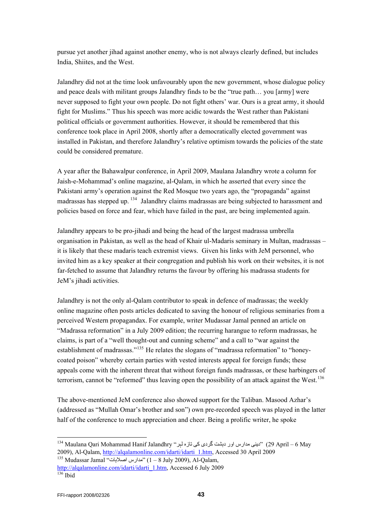pursue yet another jihad against another enemy, who is not always clearly defined, but includes India, Shiites, and the West.

Jalandhry did not at the time look unfavourably upon the new government, whose dialogue policy and peace deals with militant groups Jalandhry finds to be the "true path… you [army] were never supposed to fight your own people. Do not fight others' war. Ours is a great army, it should fight for Muslims." Thus his speech was more acidic towards the West rather than Pakistani political officials or government authorities. However, it should be remembered that this conference took place in April 2008, shortly after a democratically elected government was installed in Pakistan, and therefore Jalandhry's relative optimism towards the policies of the state could be considered premature.

A year after the Bahawalpur conference, in April 2009, Maulana Jalandhry wrote a column for Jaish-e-Mohammad's online magazine, al-Qalam, in which he asserted that every since the Pakistani army's operation against the Red Mosque two years ago, the "propaganda" against madrassas has stepped up. <sup>134</sup> Jalandhry claims madrassas are being subjected to harassment and policies based on force and fear, which have failed in the past, are being implemented again.

Jalandhry appears to be pro-jihadi and being the head of the largest madrassa umbrella organisation in Pakistan, as well as the head of Khair ul-Madaris seminary in Multan, madrassas – it is likely that these madaris teach extremist views. Given his links with JeM personnel, who invited him as a key speaker at their congregation and publish his work on their websites, it is not far-fetched to assume that Jalandhry returns the favour by offering his madrassa students for JeM's jihadi activities.

Jalandhry is not the only al-Qalam contributor to speak in defence of madrassas; the weekly online magazine often posts articles dedicated to saving the honour of religious seminaries from a perceived Western propagandax. For example, writer Mudassar Jamal penned an article on "Madrassa reformation" in a July 2009 edition; the recurring harangue to reform madrassas, he claims, is part of a "well thought-out and cunning scheme" and a call to "war against the establishment of madrassas."<sup>[135](#page-42-1)</sup> He relates the slogans of "madrassa reformation" to "honeycoated poison" whereby certain parties with vested interests appeal for foreign funds; these appeals come with the inherent threat that without foreign funds madrassas, or these harbingers of terrorism, cannot be "reformed" thus leaving open the possibility of an attack against the West.<sup>[136](#page-42-2)</sup>

The above-mentioned JeM conference also showed support for the Taliban. Masood Azhar's (addressed as "Mullah Omar's brother and son") own pre-recorded speech was played in the latter half of the conference to much appreciation and cheer. Being a prolific writer, he spoke

<span id="page-42-0"></span>May 6 – April 29" (دينی مدارس اور دہشت گردی کی تازہ لہر" Jalandhry Hanif Mohammad Qari Maulana 134 2009), Al-Qalam, [http://alqalamonline.com/idarti/idarti\\_1.htm,](http://alqalamonline.com/idarti/idarti_1.htm) Accessed 30 April 2009 135 Mudassar Jamal "مدارس اصلابات"

<span id="page-42-1"></span>[http://alqalamonline.com/idarti/idarti\\_1.htm](http://alqalamonline.com/idarti/idarti_1.htm), Accessed 6 July 2009

<span id="page-42-2"></span> $136$  Ibid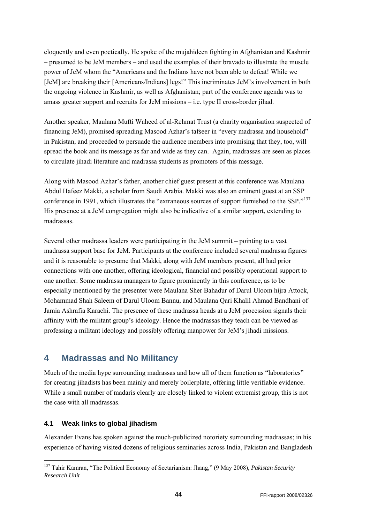<span id="page-43-0"></span>eloquently and even poetically. He spoke of the mujahideen fighting in Afghanistan and Kashmir – presumed to be JeM members – and used the examples of their bravado to illustrate the muscle power of JeM whom the "Americans and the Indians have not been able to defeat! While we [JeM] are breaking their [Americans/Indians] legs!" This incriminates JeM's involvement in both the ongoing violence in Kashmir, as well as Afghanistan; part of the conference agenda was to amass greater support and recruits for JeM missions – i.e. type II cross-border jihad.

Another speaker, Maulana Mufti Waheed of al-Rehmat Trust (a charity organisation suspected of financing JeM), promised spreading Masood Azhar's tafseer in "every madrassa and household" in Pakistan, and proceeded to persuade the audience members into promising that they, too, will spread the book and its message as far and wide as they can. Again, madrassas are seen as places to circulate jihadi literature and madrassa students as promoters of this message.

Along with Masood Azhar's father, another chief guest present at this conference was Maulana Abdul Hafeez Makki, a scholar from Saudi Arabia. Makki was also an eminent guest at an SSP conference in 1991, which illustrates the "extraneous sources of support furnished to the SSP."<sup>[137](#page-43-1)</sup> His presence at a JeM congregation might also be indicative of a similar support, extending to madrassas.

Several other madrassa leaders were participating in the JeM summit – pointing to a vast madrassa support base for JeM. Participants at the conference included several madrassa figures and it is reasonable to presume that Makki, along with JeM members present, all had prior connections with one another, offering ideological, financial and possibly operational support to one another. Some madrassa managers to figure prominently in this conference, as to be especially mentioned by the presenter were Maulana Sher Bahadur of Darul Uloom hijra Attock, Mohammad Shah Saleem of Darul Uloom Bannu, and Maulana Qari Khalil Ahmad Bandhani of Jamia Ashrafia Karachi. The presence of these madrassa heads at a JeM procession signals their affinity with the militant group's ideology. Hence the madrassas they teach can be viewed as professing a militant ideology and possibly offering manpower for JeM's jihadi missions.

## **4 Madrassas and No Militancy**

Much of the media hype surrounding madrassas and how all of them function as "laboratories" for creating jihadists has been mainly and merely boilerplate, offering little verifiable evidence. While a small number of madaris clearly are closely linked to violent extremist group, this is not the case with all madrassas.

### **4.1 Weak links to global jihadism**

-

Alexander Evans has spoken against the much-publicized notoriety surrounding madrassas; in his experience of having visited dozens of religious seminaries across India, Pakistan and Bangladesh

<span id="page-43-1"></span><sup>137</sup> Tahir Kamran, "The Political Economy of Sectarianism: Jhang," (9 May 2008), *Pakistan Security Research Unit*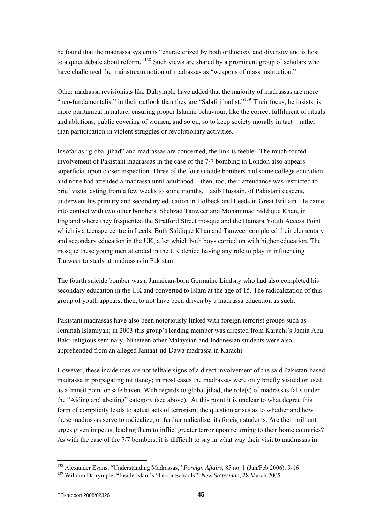he found that the madrassa system is "characterized by both orthodoxy and diversity and is host to a quiet debate about reform."[138](#page-44-0) Such views are shared by a prominent group of scholars who have challenged the mainstream notion of madrassas as "weapons of mass instruction."

Other madrassa revisionists like Dalrymple have added that the majority of madrassas are more "neo-fundamentalist" in their outlook than they are "Salafi jihadist."<sup>[139](#page-44-1)</sup> Their focus, he insists, is more puritanical in nature; ensuring proper Islamic behaviour, like the correct fulfilment of rituals and ablutions, public covering of women, and so on, so to keep society morally in tact – rather than participation in violent struggles or revolutionary activities.

Insofar as "global jihad" and madrassas are concerned, the link is feeble. The much-touted involvement of Pakistani madrassas in the case of the 7/7 bombing in London also appears superficial upon closer inspection. Three of the four suicide bombers had some college education and none had attended a madrassa until adulthood – then, too, their attendance was restricted to brief visits lasting from a few weeks to some months. Hasib Hussain, of Pakistani descent, underwent his primary and secondary education in Holbeck and Leeds in Great Brittain. He came into contact with two other bombers, Shehzad Tanweer and Mohammad Siddique Khan, in England where they frequented the Stratford Street mosque and the Hamara Youth Access Point which is a teenage centre in Leeds. Both Siddique Khan and Tanweer completed their elementary and secondary education in the UK, after which both boys carried on with higher education. The mosque these young men attended in the UK denied having any role to play in influencing Tanweer to study at madrassas in Pakistan

The fourth suicide bomber was a Jamaican-born Germaine Lindsay who had also completed his secondary education in the UK and converted to Islam at the age of 15. The radicalization of this group of youth appears, then, to not have been driven by a madrassa education as such.

Pakistani madrassas have also been notoriously linked with foreign terrorist groups such as Jemmah Islamiyah; in 2003 this group's leading member was arrested from Karachi's Jamia Abu Bakr religious seminary. Nineteen other Malaysian and Indonesian students were also apprehended from an alleged Jamaat-ud-Dawa madrassa in Karachi.

However, these incidences are not telltale signs of a direct involvement of the said Pakistan-based madrassa in propagating militancy; in most cases the madrassas were only briefly visited or used as a transit point or safe haven. With regards to global jihad, the role(s) of madrassas falls under the "Aiding and abetting" category (see above). At this point it is unclear to what degree this form of complicity leads to actual acts of terrorism; the question arises as to whether and how these madrassas serve to radicalize, or further radicalize, its foreign students. Are their militant urges given impetus, leading them to inflict greater terror upon returning to their home countries? As with the case of the 7/7 bombers, it is difficult to say in what way their visit to madrassas in

<span id="page-44-1"></span><span id="page-44-0"></span><sup>138</sup> Alexander Evans, "Understanding Madrassas," *Foreign Affairs*, 85 no. 1 (Jan/Feb 2006), 9-16 139 William Dalrymple, "Inside Islam's 'Terror Schools'" *New Statesman*, 28 March 2005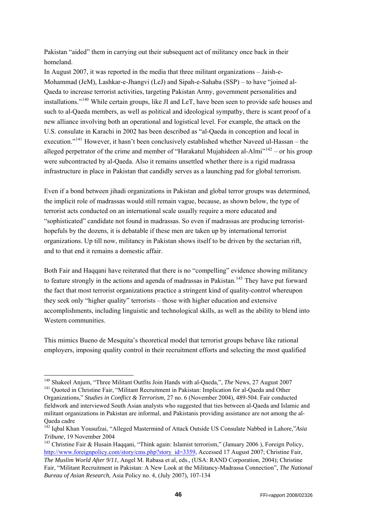Pakistan "aided" them in carrying out their subsequent act of militancy once back in their homeland.

In August 2007, it was reported in the media that three militant organizations – Jaish-e-Mohammad (JeM), Lashkar-e-Jhangvi (LeJ) and Sipah-e-Sahaba (SSP) – to have "joined al-Qaeda to increase terrorist activities, targeting Pakistan Army, government personalities and installations."[140](#page-45-0) While certain groups, like JI and LeT, have been seen to provide safe houses and such to al-Qaeda members, as well as political and ideological sympathy, there is scant proof of a new alliance involving both an operational and logistical level. For example, the attack on the U.S. consulate in Karachi in 2002 has been described as "al-Qaeda in conception and local in execution."[141](#page-45-1) However, it hasn't been conclusively established whether Naveed ul-Hassan – the alleged perpetrator of the crime and member of "Harakatul Mujahideen al-Almi"<sup>[142](#page-45-2)</sup> – or his group were subcontracted by al-Qaeda. Also it remains unsettled whether there is a rigid madrassa infrastructure in place in Pakistan that candidly serves as a launching pad for global terrorism.

Even if a bond between jihadi organizations in Pakistan and global terror groups was determined, the implicit role of madrassas would still remain vague, because, as shown below, the type of terrorist acts conducted on an international scale usually require a more educated and "sophisticated" candidate not found in madrassas. So even if madrassas are producing terroristhopefuls by the dozens, it is debatable if these men are taken up by international terrorist organizations. Up till now, militancy in Pakistan shows itself to be driven by the sectarian rift, and to that end it remains a domestic affair.

Both Fair and Haqqani have reiterated that there is no "compelling" evidence showing militancy to feature strongly in the actions and agenda of madrassas in Pakistan.<sup>[143](#page-45-3)</sup> They have put forward the fact that most terrorist organizations practice a stringent kind of quality-control whereupon they seek only "higher quality" terrorists – those with higher education and extensive accomplishments, including linguistic and technological skills, as well as the ability to blend into Western communities.

This mimics Bueno de Mesquita's theoretical model that terrorist groups behave like rational employers, imposing quality control in their recruitment efforts and selecting the most qualified

-

<span id="page-45-0"></span><sup>140</sup> Shakeel Anjum, "Three Militant Outfits Join Hands with al-Qaeda,", *The* News, 27 August 2007

<span id="page-45-1"></span><sup>&</sup>lt;sup>141</sup> Ouoted in Christine Fair, "Militant Recruitment in Pakistan: Implication for al-Qaeda and Other Organizations," *Studies in Conflict & Terrorism*, 27 no. 6 (November 2004), 489-504. Fair conducted fieldwork and interviewed South Asian analysts who suggested that ties between al-Qaeda and Islamic and militant organizations in Pakistan are informal, and Pakistanis providing assistance are not among the al-Qaeda cadre

<span id="page-45-2"></span><sup>142</sup> Iqbal Khan Yousufzai, "Alleged Mastermind of Attack Outside US Consulate Nabbed in Lahore,"*Asia Tribune*, 19 November 2004<br><sup>143</sup> Christine Fair & Husain Haqqani, "Think again: Islamist terrorism," (January 2006), Foreign Policy,

<span id="page-45-3"></span>[http://www.foreignpolicy.com/story/cms.php?story\\_id=3359,](http://www.foreignpolicy.com/story/cms.php?story_id=3359) Accessed 17 August 2007; Christine Fair, *The Muslim World After 9/11*, Angel M. Rabasa et al, eds., (USA: RAND Corporation, 2004); Christine Fair, "Militant Recruitment in Pakistan: A New Look at the Militancy-Madrassa Connection", *The National Bureau of Asian Research*, Asia Policy no. 4, (July 2007), 107-134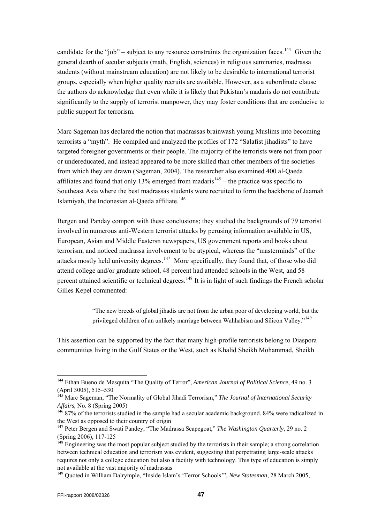candidate for the "job" – subject to any resource constraints the organization faces.<sup>[144](#page-46-0)</sup> Given the general dearth of secular subjects (math, English, sciences) in religious seminaries, madrassa students (without mainstream education) are not likely to be desirable to international terrorist groups, especially when higher quality recruits are available. However, as a subordinate clause the authors do acknowledge that even while it is likely that Pakistan's madaris do not contribute significantly to the supply of terrorist manpower, they may foster conditions that are conducive to public support for terrorism.

Marc Sageman has declared the notion that madrassas brainwash young Muslims into becoming terrorists a "myth". He compiled and analyzed the profiles of 172 "Salafist jihadists" to have targeted foreigner governments or their people. The majority of the terrorists were not from poor or undereducated, and instead appeared to be more skilled than other members of the societies from which they are drawn (Sageman, 2004). The researcher also examined 400 al-Qaeda affiliates and found that only 13% emerged from madaris<sup>[145](#page-46-1)</sup> – the practice was specific to Southeast Asia where the best madrassas students were recruited to form the backbone of Jaamah Islamiyah, the Indonesian al-Qaeda affiliate.<sup>[146](#page-46-2)</sup>

Bergen and Panday comport with these conclusions; they studied the backgrounds of 79 terrorist involved in numerous anti-Western terrorist attacks by perusing information available in US, European, Asian and Middle Eastersn newspapers, US government reports and books about terrorism, and noticed madrassa involvement to be atypical, whereas the "masterminds" of the attacks mostly held university degrees.<sup>[147](#page-46-3)</sup> More specifically, they found that, of those who did attend college and/or graduate school, 48 percent had attended schools in the West, and 58 percent attained scientific or technical degrees.<sup>[148](#page-46-4)</sup> It is in light of such findings the French scholar Gilles Kepel commented:

> "The new breeds of global jihadis are not from the urban poor of developing world, but the privileged children of an unlikely marriage between Wahhabism and Silicon Valley."<sup>[149](#page-46-5)</sup>

This assertion can be supported by the fact that many high-profile terrorists belong to Diaspora communities living in the Gulf States or the West, such as Khalid Sheikh Mohammad, Sheikh

<span id="page-46-0"></span><sup>144</sup> Ethan Bueno de Mesquita "The Quality of Terror", *American Journal of Political Science*, 49 no. 3 (April 3005), 515–530

<span id="page-46-1"></span><sup>145</sup> Marc Sageman, "The Normality of Global Jihadi Terrorism," *The Journal of International Security Affairs*, No. 8 (Spring 2005)<br><sup>146</sup> 87% of the terrorists studied in the sample had a secular academic background. 84% were radicalized in

<span id="page-46-2"></span>the West as opposed to their country of origin

<span id="page-46-3"></span><sup>147</sup> Peter Bergen and Swati Pandey, "The Madrassa Scapegoat," *The Washington Quarterly*, 29 no. 2 (Spring 2006), 117-125

<span id="page-46-4"></span><sup>&</sup>lt;sup>148</sup> Engineering was the most popular subject studied by the terrorists in their sample; a strong correlation between technical education and terrorism was evident, suggesting that perpetrating large-scale attacks requires not only a college education but also a facility with technology. This type of education is simply not available at the vast majority of madrassas

<span id="page-46-5"></span><sup>149</sup> Quoted in William Dalrymple, "Inside Islam's 'Terror Schools'", *New Statesman*, 28 March 2005,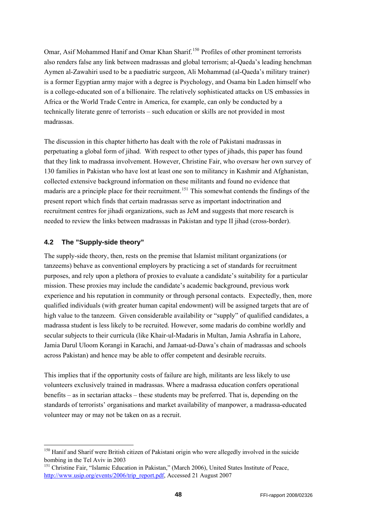<span id="page-47-0"></span>Omar, Asif Mohammed Hanif and Omar Khan Sharif.<sup>[150](#page-47-1)</sup> Profiles of other prominent terrorists also renders false any link between madrassas and global terrorism; al-Qaeda's leading henchman Aymen al-Zawahiri used to be a paediatric surgeon, Ali Mohammad (al-Qaeda's military trainer) is a former Egyptian army major with a degree is Psychology, and Osama bin Laden himself who is a college-educated son of a billionaire. The relatively sophisticated attacks on US embassies in Africa or the World Trade Centre in America, for example, can only be conducted by a technically literate genre of terrorists – such education or skills are not provided in most madrassas.

The discussion in this chapter hitherto has dealt with the role of Pakistani madrassas in perpetuating a global form of jihad. With respect to other types of jihads, this paper has found that they link to madrassa involvement. However, Christine Fair, who oversaw her own survey of 130 families in Pakistan who have lost at least one son to militancy in Kashmir and Afghanistan, collected extensive background information on these militants and found no evidence that madaris are a principle place for their recruitment.<sup>[151](#page-47-2)</sup> This somewhat contends the findings of the present report which finds that certain madrassas serve as important indoctrination and recruitment centres for jihadi organizations, such as JeM and suggests that more research is needed to review the links between madrassas in Pakistan and type II jihad (cross-border).

#### **4.2 The "Supply-side theory"**

-

The supply-side theory, then, rests on the premise that Islamist militant organizations (or tanzeems) behave as conventional employers by practicing a set of standards for recruitment purposes, and rely upon a plethora of proxies to evaluate a candidate's suitability for a particular mission. These proxies may include the candidate's academic background, previous work experience and his reputation in community or through personal contacts. Expectedly, then, more qualified individuals (with greater human capital endowment) will be assigned targets that are of high value to the tanzeem. Given considerable availability or "supply" of qualified candidates, a madrassa student is less likely to be recruited. However, some madaris do combine worldly and secular subjects to their curricula (like Khair-ul-Madaris in Multan, Jamia Ashrafia in Lahore, Jamia Darul Uloom Korangi in Karachi, and Jamaat-ud-Dawa's chain of madrassas and schools across Pakistan) and hence may be able to offer competent and desirable recruits.

This implies that if the opportunity costs of failure are high, militants are less likely to use volunteers exclusively trained in madrassas. Where a madrassa education confers operational benefits – as in sectarian attacks – these students may be preferred. That is, depending on the standards of terrorists' organisations and market availability of manpower, a madrassa-educated volunteer may or may not be taken on as a recruit.

<span id="page-47-1"></span><sup>&</sup>lt;sup>150</sup> Hanif and Sharif were British citizen of Pakistani origin who were allegedly involved in the suicide bombing in the Tel Aviv in 2003

<span id="page-47-2"></span><sup>151</sup> Christine Fair, "Islamic Education in Pakistan," (March 2006), United States Institute of Peace, [http://www.usip.org/events/2006/trip\\_report.pdf,](http://www.usip.org/events/2006/trip_report.pdf) Accessed 21 August 2007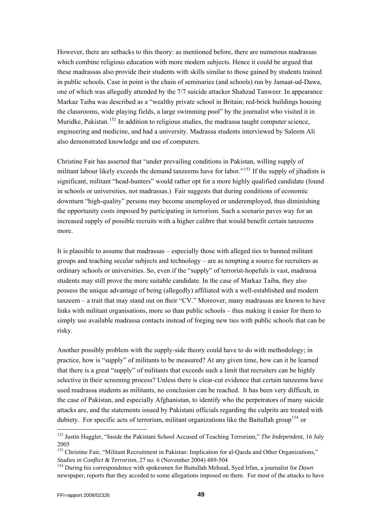However, there are setbacks to this theory: as mentioned before, there are numerous madrassas which combine religious education with more modern subjects. Hence it could be argued that these madrassas also provide their students with skills similar to those gained by students trained in public schools. Case in point is the chain of seminaries (and schools) run by Jamaat-ud-Dawa, one of which was allegedly attended by the 7/7 suicide attacker Shahzad Tanweer. In appearance Markaz Taiba was described as a "wealthy private school in Britain; red-brick buildings housing the classrooms, wide playing fields, a large swimming pool" by the journalist who visited it in Muridke, Pakistan.<sup>[152](#page-48-0)</sup> In addition to religious studies, the madrassa taught computer science, engineering and medicine, and had a university. Madrassa students interviewed by Saleem Ali also demonstrated knowledge and use of computers.

Christine Fair has asserted that "under prevailing conditions in Pakistan, willing supply of militant labour likely exceeds the demand tanzeems have for labor."<sup>[153](#page-48-1)</sup> If the supply of jihadists is significant, militant "head-hunters" would rather opt for a more highly qualified candidate (found in schools or universities, not madrassas.) Fair suggests that during conditions of economic downturn "high-quality" persons may become unemployed or underemployed, thus diminishing the opportunity costs imposed by participating in terrorism. Such a scenario paves way for an increased supply of possible recruits with a higher calibre that would benefit certain tanzeems more.

It is plausible to assume that madrassas – especially those with alleged ties to banned militant groups and teaching secular subjects and technology – are as tempting a source for recruiters as ordinary schools or universities. So, even if the "supply" of terrorist-hopefuls is vast, madrassa students may still prove the more suitable candidate. In the case of Markaz Taiba, they also possess the unique advantage of being (allegedly) affiliated with a well-established and modern tanzeem – a trait that may stand out on their "CV." Moreover, many madrassas are known to have links with militant organisations, more so than public schools – thus making it easier for them to simply use available madrassa contacts instead of forging new ties with public schools that can be risky.

Another possibly problem with the supply-side theory could have to do with methodology; in practice, how is "supply" of militants to be measured? At any given time, how can it be learned that there is a great "supply" of militants that exceeds such a limit that recruiters can be highly selective in their screening process? Unless there is clear-cut evidence that certain tanzeems have used madrassa students as militants, no conclusion can be reached. It has been very difficult, in the case of Pakistan, and especially Afghanistan, to identify who the perpetrators of many suicide attacks are, and the statements issued by Pakistani officials regarding the culprits are treated with dubiety. For specific acts of terrorism, militant organizations like the Baitullah group<sup>[154](#page-48-2)</sup> or

<span id="page-48-0"></span><sup>152</sup> Justin Huggler, "Inside the Pakistani School Accused of Teaching Terrorism," *The Independent*, 16 July 2005

<span id="page-48-1"></span><sup>&</sup>lt;sup>153</sup> Christine Fair. "Militant Recruitment in Pakistan: Implication for al-Qaeda and Other Organizations," *Studies in Conflict & Terrorism*, 27 no. 6 (November 2004) 489-504<br><sup>154</sup> During his correspondence with spokesmen for Baitullah Mehsud, Syed Irfan, a journalist for *Dawn* 

<span id="page-48-2"></span>newspaper, reports that they acceded to some allegations imposed on them. For most of the attacks to have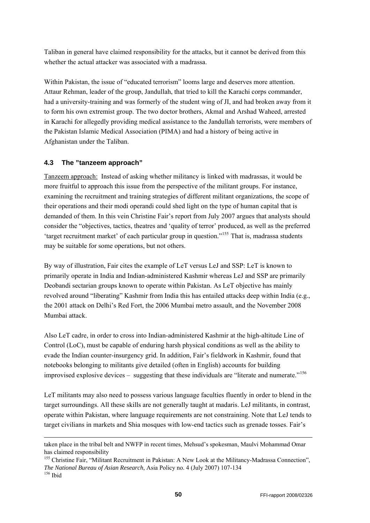<span id="page-49-0"></span>Taliban in general have claimed responsibility for the attacks, but it cannot be derived from this whether the actual attacker was associated with a madrassa.

Within Pakistan, the issue of "educated terrorism" looms large and deserves more attention. Attaur Rehman, leader of the group, Jandullah, that tried to kill the Karachi corps commander, had a university-training and was formerly of the student wing of JI, and had broken away from it to form his own extremist group. The two doctor brothers, Akmal and Arshad Waheed, arrested in Karachi for allegedly providing medical assistance to the Jandullah terrorists, were members of the Pakistan Islamic Medical Association (PIMA) and had a history of being active in Afghanistan under the Taliban.

### **4.3 The "tanzeem approach"**

-

Tanzeem approach: Instead of asking whether militancy is linked with madrassas, it would be more fruitful to approach this issue from the perspective of the militant groups. For instance, examining the recruitment and training strategies of different militant organizations, the scope of their operations and their modi operandi could shed light on the type of human capital that is demanded of them. In this vein Christine Fair's report from July 2007 argues that analysts should consider the "objectives, tactics, theatres and 'quality of terror' produced, as well as the preferred 'target recruitment market' of each particular group in question."[155](#page-49-1) That is, madrassa students may be suitable for some operations, but not others.

By way of illustration, Fair cites the example of LeT versus LeJ and SSP: LeT is known to primarily operate in India and Indian-administered Kashmir whereas LeJ and SSP are primarily Deobandi sectarian groups known to operate within Pakistan. As LeT objective has mainly revolved around "liberating" Kashmir from India this has entailed attacks deep within India (e.g., the 2001 attack on Delhi's Red Fort, the 2006 Mumbai metro assault, and the November 2008 Mumbai attack.

Also LeT cadre, in order to cross into Indian-administered Kashmir at the high-altitude Line of Control (LoC), must be capable of enduring harsh physical conditions as well as the ability to evade the Indian counter-insurgency grid. In addition, Fair's fieldwork in Kashmir, found that notebooks belonging to militants give detailed (often in English) accounts for building improvised explosive devices – suggesting that these individuals are "literate and numerate."<sup>[156](#page-49-2)</sup>

LeT militants may also need to possess various language faculties fluently in order to blend in the target surroundings. All these skills are not generally taught at madaris. LeJ militants, in contrast, operate within Pakistan, where language requirements are not constraining. Note that LeJ tends to target civilians in markets and Shia mosques with low-end tactics such as grenade tosses. Fair's

taken place in the tribal belt and NWFP in recent times, Mehsud's spokesman, Maulvi Mohammad Omar has claimed responsibility

<span id="page-49-2"></span><span id="page-49-1"></span><sup>&</sup>lt;sup>155</sup> Christine Fair, "Militant Recruitment in Pakistan: A New Look at the Militancy-Madrassa Connection", *The National Bureau of Asian Research*, Asia Policy no. 4 (July 2007) 107-134 156 Ibid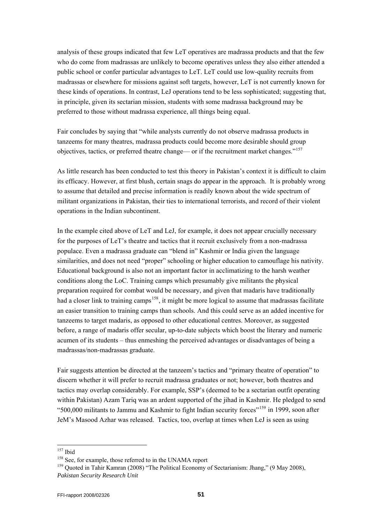analysis of these groups indicated that few LeT operatives are madrassa products and that the few who do come from madrassas are unlikely to become operatives unless they also either attended a public school or confer particular advantages to LeT. LeT could use low-quality recruits from madrassas or elsewhere for missions against soft targets, however, LeT is not currently known for these kinds of operations. In contrast, LeJ operations tend to be less sophisticated; suggesting that, in principle, given its sectarian mission, students with some madrassa background may be preferred to those without madrassa experience, all things being equal.

Fair concludes by saying that "while analysts currently do not observe madrassa products in tanzeems for many theatres, madrassa products could become more desirable should group objectives, tactics, or preferred theatre change— or if the recruitment market changes."[157](#page-50-0)

As little research has been conducted to test this theory in Pakistan's context it is difficult to claim its efficacy. However, at first blush, certain snags do appear in the approach. It is probably wrong to assume that detailed and precise information is readily known about the wide spectrum of militant organizations in Pakistan, their ties to international terrorists, and record of their violent operations in the Indian subcontinent.

In the example cited above of LeT and LeJ, for example, it does not appear crucially necessary for the purposes of LeT's theatre and tactics that it recruit exclusively from a non-madrassa populace. Even a madrassa graduate can "blend in" Kashmir or India given the language similarities, and does not need "proper" schooling or higher education to camouflage his nativity. Educational background is also not an important factor in acclimatizing to the harsh weather conditions along the LoC. Training camps which presumably give militants the physical preparation required for combat would be necessary, and given that madaris have traditionally had a closer link to training camps<sup>[158](#page-50-1)</sup>, it might be more logical to assume that madrassas facilitate an easier transition to training camps than schools. And this could serve as an added incentive for tanzeems to target madaris, as opposed to other educational centres. Moreover, as suggested before, a range of madaris offer secular, up-to-date subjects which boost the literary and numeric acumen of its students – thus enmeshing the perceived advantages or disadvantages of being a madrassas/non-madrassas graduate.

Fair suggests attention be directed at the tanzeem's tactics and "primary theatre of operation" to discern whether it will prefer to recruit madrassa graduates or not; however, both theatres and tactics may overlap considerably. For example, SSP's (deemed to be a sectarian outfit operating within Pakistan) Azam Tariq was an ardent supported of the jihad in Kashmir. He pledged to send "500,000 militants to Jammu and Kashmir to fight Indian security forces"[159](#page-50-2) in 1999, soon after JeM's Masood Azhar was released. Tactics, too, overlap at times when LeJ is seen as using

<span id="page-50-0"></span> $157$  Ibid

<span id="page-50-2"></span><span id="page-50-1"></span><sup>&</sup>lt;sup>158</sup> See, for example, those referred to in the UNAMA report  $159$  Quoted in Tahir Kamran (2008) "The Political Economy of Sectarianism: Jhang," (9 May 2008), *Pakistan Security Research Unit*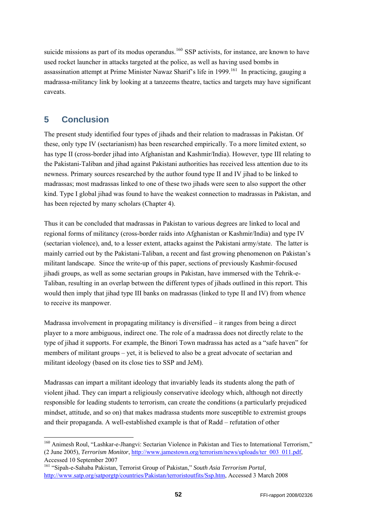<span id="page-51-0"></span>suicide missions as part of its modus operandus.<sup>[160](#page-51-1)</sup> SSP activists, for instance, are known to have used rocket launcher in attacks targeted at the police, as well as having used bombs in assassination attempt at Prime Minister Nawaz Sharif's life in 1999.<sup>[161](#page-51-2)</sup> In practicing, gauging a madrassa-militancy link by looking at a tanzeems theatre, tactics and targets may have significant caveats.

# **5 Conclusion**

-

The present study identified four types of jihads and their relation to madrassas in Pakistan. Of these, only type IV (sectarianism) has been researched empirically. To a more limited extent, so has type II (cross-border jihad into Afghanistan and Kashmir/India). However, type III relating to the Pakistani-Taliban and jihad against Pakistani authorities has received less attention due to its newness. Primary sources researched by the author found type II and IV jihad to be linked to madrassas; most madrassas linked to one of these two jihads were seen to also support the other kind. Type I global jihad was found to have the weakest connection to madrassas in Pakistan, and has been rejected by many scholars (Chapter 4).

Thus it can be concluded that madrassas in Pakistan to various degrees are linked to local and regional forms of militancy (cross-border raids into Afghanistan or Kashmir/India) and type IV (sectarian violence), and, to a lesser extent, attacks against the Pakistani army/state. The latter is mainly carried out by the Pakistani-Taliban, a recent and fast growing phenomenon on Pakistan's militant landscape. Since the write-up of this paper, sections of previously Kashmir-focused jihadi groups, as well as some sectarian groups in Pakistan, have immersed with the Tehrik-e-Taliban, resulting in an overlap between the different types of jihads outlined in this report. This would then imply that jihad type III banks on madrassas (linked to type II and IV) from whence to receive its manpower.

Madrassa involvement in propagating militancy is diversified – it ranges from being a direct player to a more ambiguous, indirect one. The role of a madrassa does not directly relate to the type of jihad it supports. For example, the Binori Town madrassa has acted as a "safe haven" for members of militant groups – yet, it is believed to also be a great advocate of sectarian and militant ideology (based on its close ties to SSP and JeM).

Madrassas can impart a militant ideology that invariably leads its students along the path of violent jihad. They can impart a religiously conservative ideology which, although not directly responsible for leading students to terrorism, can create the conditions (a particularly prejudiced mindset, attitude, and so on) that makes madrassa students more susceptible to extremist groups and their propaganda. A well-established example is that of Radd – refutation of other

<span id="page-51-1"></span><sup>&</sup>lt;sup>160</sup> Animesh Roul, "Lashkar-e-Jhangvi: Sectarian Violence in Pakistan and Ties to International Terrorism," (2 June 2005), *Terrorism Monitor*, [http://www.jamestown.org/terrorism/news/uploads/ter\\_003\\_011.pdf,](http://www.jamestown.org/terrorism/news/uploads/ter_003_011.pdf) Accessed 10 September 2007

<span id="page-51-2"></span><sup>161 &</sup>quot;Sipah-e-Sahaba Pakistan, Terrorist Group of Pakistan," *South Asia Terrorism Portal*, <http://www.satp.org/satporgtp/countries/Pakistan/terroristoutfits/Ssp.htm>, Accessed 3 March 2008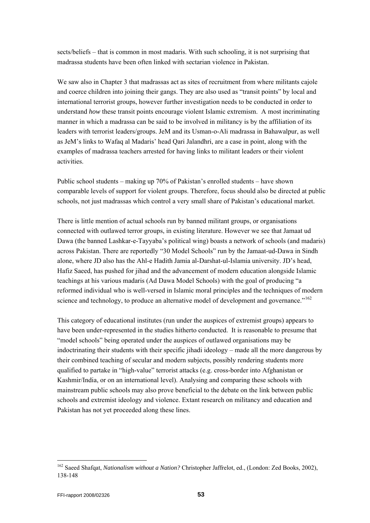sects/beliefs – that is common in most madaris. With such schooling, it is not surprising that madrassa students have been often linked with sectarian violence in Pakistan.

We saw also in Chapter 3 that madrassas act as sites of recruitment from where militants cajole and coerce children into joining their gangs. They are also used as "transit points" by local and international terrorist groups, however further investigation needs to be conducted in order to understand *how* these transit points encourage violent Islamic extremism. A most incriminating manner in which a madrassa can be said to be involved in militancy is by the affiliation of its leaders with terrorist leaders/groups. JeM and its Usman-o-Ali madrassa in Bahawalpur, as well as JeM's links to Wafaq al Madaris' head Qari Jalandhri, are a case in point, along with the examples of madrassa teachers arrested for having links to militant leaders or their violent activities.

Public school students – making up 70% of Pakistan's enrolled students – have shown comparable levels of support for violent groups. Therefore, focus should also be directed at public schools, not just madrassas which control a very small share of Pakistan's educational market.

There is little mention of actual schools run by banned militant groups, or organisations connected with outlawed terror groups, in existing literature. However we see that Jamaat ud Dawa (the banned Lashkar-e-Tayyaba's political wing) boasts a network of schools (and madaris) across Pakistan. There are reportedly "30 Model Schools" run by the Jamaat-ud-Dawa in Sindh alone, where JD also has the Ahl-e Hadith Jamia al-Darshat-ul-Islamia university. JD's head, Hafiz Saeed, has pushed for jihad and the advancement of modern education alongside Islamic teachings at his various madaris (Ad Dawa Model Schools) with the goal of producing "a reformed individual who is well-versed in Islamic moral principles and the techniques of modern science and technology, to produce an alternative model of development and governance."<sup>[162](#page-52-0)</sup>

This category of educational institutes (run under the auspices of extremist groups) appears to have been under-represented in the studies hitherto conducted. It is reasonable to presume that "model schools" being operated under the auspices of outlawed organisations may be indoctrinating their students with their specific jihadi ideology – made all the more dangerous by their combined teaching of secular and modern subjects, possibly rendering students more qualified to partake in "high-value" terrorist attacks (e.g. cross-border into Afghanistan or Kashmir/India, or on an international level). Analysing and comparing these schools with mainstream public schools may also prove beneficial to the debate on the link between public schools and extremist ideology and violence. Extant research on militancy and education and Pakistan has not yet proceeded along these lines.

<span id="page-52-0"></span><sup>&</sup>lt;sup>162</sup> Saeed Shafqat, *[Nationalism without a Nation?](http://www.saeedshafqat.com/articles/islam.pdf)* Christopher Jaffrelot, ed., (London: Zed Books, 2002), 138-148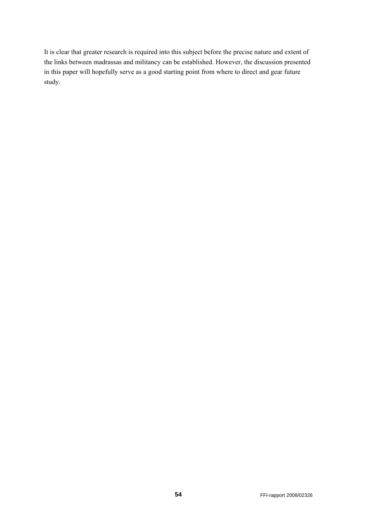It is clear that greater research is required into this subject before the precise nature and extent of the links between madrassas and militancy can be established. However, the discussion presented in this paper will hopefully serve as a good starting point from where to direct and gear future study.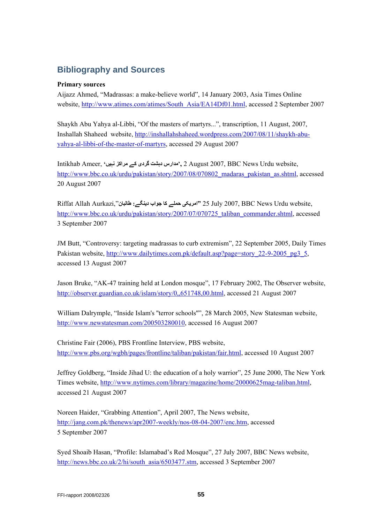# <span id="page-54-0"></span>**Bibliography and Sources**

#### **Primary sources**

Aijazz Ahmed, "Madrassas: a make-believe world", 14 January 2003, Asia Times Online website, [http://www.atimes.com/atimes/South\\_Asia/EA14Df01.html,](http://www.atimes.com/atimes/South_Asia/EA14Df01.html) accessed 2 September 2007

Shaykh Abu Yahya al-Libbi, "Of the masters of martyrs...", transcription, 11 August, 2007, Inshallah Shaheed website, [http://inshallahshaheed.wordpress.com/2007/08/11/shaykh-abu](http://inshallahshaheed.wordpress.com/2007/08/11/shaykh-abu-yahya-al-libbi-of-the-master-of-martyrs)[yahya-al-libbi-of-the-master-of-martyrs,](http://inshallahshaheed.wordpress.com/2007/08/11/shaykh-abu-yahya-al-libbi-of-the-master-of-martyrs) accessed 29 August 2007

Intikhab Ameer, **'نہيں مراکز کے گردی دہشت مدارس',** 2 August 2007, BBC News Urdu website, http://www.bbc.co.uk/urdu/pakistan/story/2007/08/070802 madaras\_pakistan\_as.shtml, accessed 20 August 2007

Riffat Allah Aurkazi,"**طالبان :دينگے جواب کا حملے امريکی "**25 July 2007, BBC News Urdu website, [http://www.bbc.co.uk/urdu/pakistan/story/2007/07/070725\\_taliban\\_commander.shtml](http://www.bbc.co.uk/urdu/pakistan/story/2007/07/070725_taliban_commander.shtml), accessed 3 September 2007

JM Butt, "Controversy: targeting madrassas to curb extremism", 22 September 2005, Daily Times Pakistan website, [http://www.dailytimes.com.pk/default.asp?page=story\\_22-9-2005\\_pg3\\_5,](http://www.dailytimes.com.pk/default.asp?page=story_22-9-2005_pg3_5) accessed 13 August 2007

Jason Bruke, "AK-47 training held at London mosque", 17 February 2002, The Observer website, <http://observer.guardian.co.uk/islam/story/0,,651748,00.html>, accessed 21 August 2007

William Dalrymple, "Inside Islam's ''terror schools''", 28 March 2005, New Statesman website, [http://www.newstatesman.com/200503280010,](http://www.newstatesman.com/200503280010) accessed 16 August 2007

Christine Fair (2006), PBS Frontline Interview, PBS website, <http://www.pbs.org/wgbh/pages/frontline/taliban/pakistan/fair.html>, accessed 10 August 2007

Jeffrey Goldberg, "Inside Jihad U: the education of a holy warrior", 25 June 2000, The New York Times website, <http://www.nytimes.com/library/magazine/home/20000625mag-taliban.html>, accessed 21 August 2007

Noreen Haider, "Grabbing Attention", April 2007, The News website, [http://jang.com.pk/thenews/apr2007-weekly/nos-08-04-2007/enc.htm,](http://jang.com.pk/thenews/apr2007-weekly/nos-08-04-2007/enc.htm) accessed 5 September 2007

Syed Shoaib Hasan, "Profile: Islamabad's Red Mosque", 27 July 2007, BBC News website, [http://news.bbc.co.uk/2/hi/south\\_asia/6503477.stm](http://news.bbc.co.uk/2/hi/south_asia/6503477.stm), accessed 3 September 2007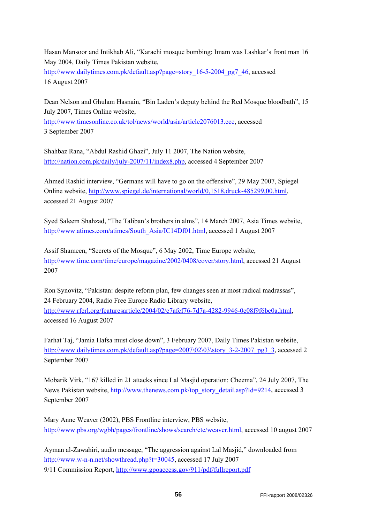Hasan Mansoor and Intikhab Ali, "Karachi mosque bombing: Imam was Lashkar's front man 16 May 2004, Daily Times Pakistan website,

[http://www.dailytimes.com.pk/default.asp?page=story\\_16-5-2004\\_pg7\\_46,](http://www.dailytimes.com.pk/default.asp?page=story_16-5-2004_pg7_46) accessed 16 August 2007

Dean Nelson and Ghulam Hasnain, "Bin Laden's deputy behind the Red Mosque bloodbath", 15 July 2007, Times Online website,

[http://www.timesonline.co.uk/tol/news/world/asia/article2076013.ece,](http://www.timesonline.co.uk/tol/news/world/asia/article2076013.ece) accessed 3 September 2007

Shahbaz Rana, "Abdul Rashid Ghazi", July 11 2007, The Nation website, <http://nation.com.pk/daily/july-2007/11/index8.php>, accessed 4 September 2007

Ahmed Rashid interview, "Germans will have to go on the offensive", 29 May 2007, Spiegel Online website, [http://www.spiegel.de/international/world/0,1518,druck-485299,00.html,](http://www.spiegel.de/international/world/0,1518,druck-485299,00.html) accessed 21 August 2007

Syed Saleem Shahzad, "The Taliban's brothers in alms", 14 March 2007, Asia Times website, [http://www.atimes.com/atimes/South\\_Asia/IC14Df01.html,](http://www.atimes.com/atimes/South_Asia/IC14Df01.html) accessed 1 August 2007

Assif Shameen, "Secrets of the Mosque", 6 May 2002, Time Europe website, <http://www.time.com/time/europe/magazine/2002/0408/cover/story.html>, accessed 21 August 2007

Ron Synovitz, "Pakistan: despite reform plan, few changes seen at most radical madrassas", 24 February 2004, Radio Free Europe Radio Library website,

[http://www.rferl.org/featuresarticle/2004/02/e7afcf76-7d7a-4282-9946-0e08f9f6bc0a.html,](http://www.rferl.org/featuresarticle/2004/02/e7afcf76-7d7a-4282-9946-0e08f9f6bc0a.html) accessed 16 August 2007

Farhat Taj, "Jamia Hafsa must close down", 3 February 2007, Daily Times Pakistan website, [http://www.dailytimes.com.pk/default.asp?page=2007\02\03\story\\_3-2-2007\\_pg3\\_3,](http://www.dailytimes.com.pk/default.asp?page=2007%5C02%5C03%5Cstory_3-2-2007_pg3_3) accessed 2 September 2007

Mobarik Virk, "167 killed in 21 attacks since Lal Masjid operation: Cheema", 24 July 2007, The News Pakistan website, [http://www.thenews.com.pk/top\\_story\\_detail.asp?Id=9214](http://www.thenews.com.pk/top_story_detail.asp?Id=9214), accessed 3 September 2007

Mary Anne Weaver (2002), PBS Frontline interview, PBS website, <http://www.pbs.org/wgbh/pages/frontline/shows/search/etc/weaver.html>, accessed 10 august 2007

Ayman al-Zawahiri, audio message, "The aggression against Lal Masjid," downloaded from [http://www.w-n-n.net/showthread.php?t=30045,](http://www.w-n-n.net/showthread.php?t=30045) accessed 17 July 2007 9/11 Commission Report,<http://www.gpoaccess.gov/911/pdf/fullreport.pdf>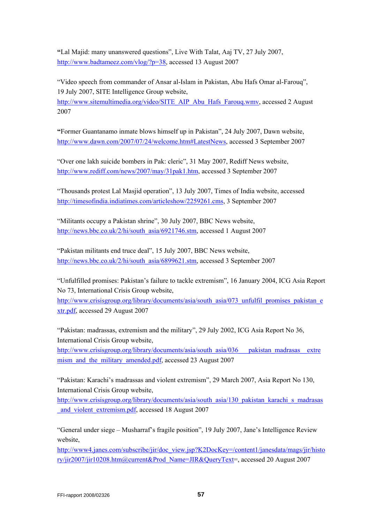**"**Lal Majid: many unanswered questions", Live With Talat, Aaj TV, 27 July 2007, <http://www.badtameez.com/vlog/?p=38>, accessed 13 August 2007

"Video speech from commander of Ansar al-Islam in Pakistan, Abu Hafs Omar al-Farouq", 19 July 2007, SITE Intelligence Group website,

[http://www.sitemultimedia.org/video/SITE\\_AIP\\_Abu\\_Hafs\\_Farouq.wmv,](http://www.sitemultimedia.org/video/SITE_AIP_Abu_Hafs_Farouq.wmv) accessed 2 August 2007

**"**Former Guantanamo inmate blows himself up in Pakistan", 24 July 2007, Dawn website, [http://www.dawn.com/2007/07/24/welcome.htm#LatestNews,](http://www.dawn.com/2007/07/24/welcome.htm#LatestNews) accessed 3 September 2007

"Over one lakh suicide bombers in Pak: cleric", 31 May 2007, Rediff News website, <http://www.rediff.com/news/2007/may/31pak1.htm>, accessed 3 September 2007

"Thousands protest Lal Masjid operation", 13 July 2007, Times of India website, accessed <http://timesofindia.indiatimes.com/articleshow/2259261.cms>, 3 September 2007

"Militants occupy a Pakistan shrine", 30 July 2007, BBC News website, [http://news.bbc.co.uk/2/hi/south\\_asia/6921746.stm](http://news.bbc.co.uk/2/hi/south_asia/6921746.stm), accessed 1 August 2007

"Pakistan militants end truce deal", 15 July 2007, BBC News website, [http://news.bbc.co.uk/2/hi/south\\_asia/6899621.stm](http://news.bbc.co.uk/2/hi/south_asia/6899621.stm), accessed 3 September 2007

"Unfulfilled promises: Pakistan's failure to tackle extremism", 16 January 2004, ICG Asia Report No 73, International Crisis Group website,

[http://www.crisisgroup.org/library/documents/asia/south\\_asia/073\\_unfulfil\\_promises\\_pakistan\\_e](http://www.crisisgroup.org/library/documents/asia/south_asia/073_unfulfil_promises_pakistan_extr.pdf) [xtr.pdf,](http://www.crisisgroup.org/library/documents/asia/south_asia/073_unfulfil_promises_pakistan_extr.pdf) accessed 29 August 2007

"Pakistan: madrassas, extremism and the military", 29 July 2002, ICG Asia Report No 36, International Crisis Group website, [http://www.crisisgroup.org/library/documents/asia/south\\_asia/036\\_\\_\\_pakistan\\_madrasas\\_\\_extre](http://www.crisisgroup.org/library/documents/asia/south_asia/036___pakistan_madrasas__extremism_and_the_military_amended.pdf) mism and the military amended.pdf, accessed 23 August 2007

"Pakistan: Karachi's madrassas and violent extremism", 29 March 2007, Asia Report No 130, International Crisis Group website,

[http://www.crisisgroup.org/library/documents/asia/south\\_asia/130\\_pakistan\\_karachi\\_s\\_madrasas](http://www.crisisgroup.org/library/documents/asia/south_asia/130_pakistan_karachi_s_madrasas_and_violent_extremism.pdf) and violent extremism.pdf, accessed 18 August 2007

"General under siege – Musharraf's fragile position", 19 July 2007, Jane's Intelligence Review website,

[http://www4.janes.com/subscribe/jir/doc\\_view.jsp?K2DocKey=/content1/janesdata/mags/jir/histo](http://www4.janes.com/subscribe/jir/doc_view.jsp?K2DocKey=/content1/janesdata/mags/jir/history/jir2007/jir10208.htm@current&Prod_Name=JIR&QueryText) [ry/jir2007/jir10208.htm@current&Prod\\_Name=JIR&QueryText](http://www4.janes.com/subscribe/jir/doc_view.jsp?K2DocKey=/content1/janesdata/mags/jir/history/jir2007/jir10208.htm@current&Prod_Name=JIR&QueryText)=, accessed 20 August 2007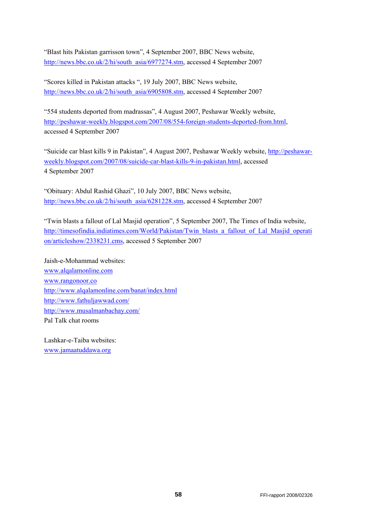"Blast hits Pakistan garrisson town", 4 September 2007, BBC News website, [http://news.bbc.co.uk/2/hi/south\\_asia/6977274.stm](http://news.bbc.co.uk/2/hi/south_asia/6977274.stm), accessed 4 September 2007

"Scores killed in Pakistan attacks ", 19 July 2007, BBC News website, [http://news.bbc.co.uk/2/hi/south\\_asia/6905808.stm](http://news.bbc.co.uk/2/hi/south_asia/6905808.stm), accessed 4 September 2007

"554 students deported from madrassas", 4 August 2007, Peshawar Weekly website, <http://peshawar-weekly.blogspot.com/2007/08/554-foreign-students-deported-from.html>, accessed 4 September 2007

"Suicide car blast kills 9 in Pakistan", 4 August 2007, Peshawar Weekly website, [http://peshawar](http://peshawar-weekly.blogspot.com/2007/08/suicide-car-blast-kills-9-in-pakistan.html)[weekly.blogspot.com/2007/08/suicide-car-blast-kills-9-in-pakistan.html](http://peshawar-weekly.blogspot.com/2007/08/suicide-car-blast-kills-9-in-pakistan.html), accessed 4 September 2007

"Obituary: Abdul Rashid Ghazi", 10 July 2007, BBC News website, [http://news.bbc.co.uk/2/hi/south\\_asia/6281228.stm](http://news.bbc.co.uk/2/hi/south_asia/6281228.stm), accessed 4 September 2007

"Twin blasts a fallout of Lal Masjid operation", 5 September 2007, The Times of India website, [http://timesofindia.indiatimes.com/World/Pakistan/Twin\\_blasts\\_a\\_fallout\\_of\\_Lal\\_Masjid\\_operati](http://timesofindia.indiatimes.com/World/Pakistan/Twin_blasts_a_fallout_of_Lal_Masjid_operation/articleshow/2338231.cms) [on/articleshow/2338231.cms,](http://timesofindia.indiatimes.com/World/Pakistan/Twin_blasts_a_fallout_of_Lal_Masjid_operation/articleshow/2338231.cms) accessed 5 September 2007

Jaish-e-Mohammad websites: [www.alqalamonline.com](http://www.alqalamonline.com/) [www.rangonoor.co](http://www.rangonoor.co/) <http://www.alqalamonline.com/banat/index.html> <http://www.fathuljawwad.com/> <http://www.musalmanbachay.com/> Pal Talk chat rooms

Lashkar-e-Taiba websites: [www.jamaatuddawa.org](http://www.jamaatuddawa.org/)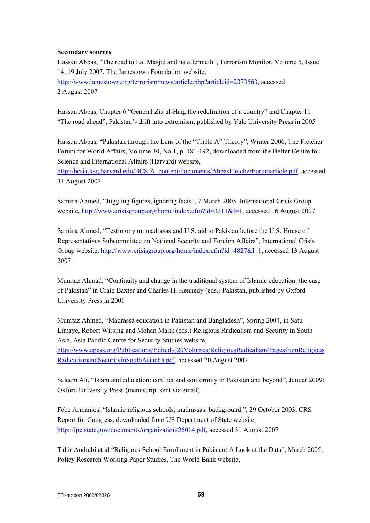#### **Secondary sources**

Hassan Abbas, "The road to Lal Masjid and its aftermath", Terrorism Monitor, Volume 5, Issue 14, 19 July 2007, The Jamestown Foundation website,

[http://www.jamestown.org/terrorism/news/article.php?articleid=2373563,](http://www.jamestown.org/terrorism/news/article.php?articleid=2373563) accessed 2 August 2007

Hassan Abbas, Chapter 6 "General Zia ul-Haq, the redefinition of a country" and Chapter 11 "The road ahead", Pakistan's drift into extremism, published by Yale University Press in 2005

Hassan Abbas, "Pakistan through the Lens of the "Triple A" Theory", Winter 2006, The Fletcher Forum for World Affairs, Volume 30, No 1, p. 181-192, downloaded from the Belfer Centre for Science and International Affairs (Harvard) website,

[http://bcsia.ksg.harvard.edu/BCSIA\\_content/documents/AbbasFletcherForumarticle.pdf,](http://bcsia.ksg.harvard.edu/BCSIA_content/documents/AbbasFletcherForumarticle.pdf) accessed 31 August 2007

Samina Ahmed, "Juggling figures, ignoring facts", 7 March 2005, International Crisis Group website,<http://www.crisisgroup.org/home/index.cfm?id=3311&l=1>, accessed 16 August 2007

Samina Ahmed, "Testimony on madrasas and U.S. aid to Pakistan before the U.S. House of Representatives Subcommittee on National Security and Foreign Affairs", International Crisis Group website,<http://www.crisisgroup.org/home/index.cfm?id=4827&l=1>, accessed 13 August 2007

Mumtaz Ahmad, "Continuity and change in the traditional system of Islamic education: the case of Pakistan" in Craig Baxter and Charles H. Kennedy (eds.) Pakistan, published by Oxford University Press in 2001

Mumtaz Ahmed, "Madrassa education in Pakistan and Bangladesh", Spring 2004, in Satu Limaye, Robert Wirsing and Mohan Malik (eds.) Religious Radicalism and Security in South Asia, Asia Pacific Centre for Security Studies website, [http://www.apcss.org/Publications/Edited%20Volumes/ReligiousRadicalism/PagesfromReligious](http://www.apcss.org/Publications/Edited%20Volumes/ReligiousRadicalism/PagesfromReligiousRadicalismandSecurityinSouthAsiach5.pdf)

[RadicalismandSecurityinSouthAsiach5.pdf,](http://www.apcss.org/Publications/Edited%20Volumes/ReligiousRadicalism/PagesfromReligiousRadicalismandSecurityinSouthAsiach5.pdf) accessed 20 August 2007

Saleem Ali, "Islam and education: conflict and conformity in Pakistan and beyond", Januar 2009: Oxford University Press (manuscript sent via email)

Febe Armanios, "Islamic religious schools, madrassas: background:", 29 October 2003, CRS Report for Congress, downloaded from US Department of State website, <http://fpc.state.gov/documents/organization/26014.pdf>, accessed 31 August 2007

Tahir Andrabi et al "Religious School Enrollment in Pakistan: A Look at the Data", March 2005, Policy Research Working Paper Studies, The World Bank website,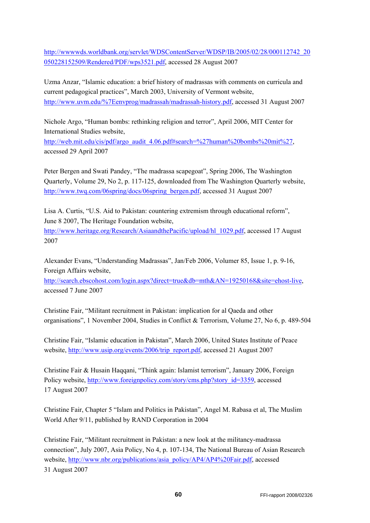[http://wwwwds.worldbank.org/servlet/WDSContentServer/WDSP/IB/2005/02/28/000112742\\_20](http://wwwwds.worldbank.org/servlet/WDSContentServer/WDSP/IB/2005/02/28/000112742_20050228152509/Rendered/PDF/wps3521.pdf) [050228152509/Rendered/PDF/wps3521.pdf,](http://wwwwds.worldbank.org/servlet/WDSContentServer/WDSP/IB/2005/02/28/000112742_20050228152509/Rendered/PDF/wps3521.pdf) accessed 28 August 2007

Uzma Anzar, "Islamic education: a brief history of madrassas with comments on curricula and current pedagogical practices", March 2003, University of Vermont website, <http://www.uvm.edu/%7Eenvprog/madrassah/madrassah-history.pdf>, accessed 31 August 2007

Nichole Argo, "Human bombs: rethinking religion and terror", April 2006, MIT Center for International Studies website,

[http://web.mit.edu/cis/pdf/argo\\_audit\\_4.06.pdf#search=%27human%20bombs%20mit%27](http://web.mit.edu/cis/pdf/argo_audit_4.06.pdf#search=%27human%20bombs%20mit%27), accessed 29 April 2007

Peter Bergen and Swati Pandey, "The madrassa scapegoat", Spring 2006, The Washington Quarterly, Volume 29, No 2, p. 117-125, downloaded from The Washington Quarterly website, [http://www.twq.com/06spring/docs/06spring\\_bergen.pdf](http://www.twq.com/06spring/docs/06spring_bergen.pdf), accessed 31 August 2007

Lisa A. Curtis, "U.S. Aid to Pakistan: countering extremism through educational reform", June 8 2007, The Heritage Foundation website, [http://www.heritage.org/Research/AsiaandthePacific/upload/hl\\_1029.pdf,](http://www.heritage.org/Research/AsiaandthePacific/upload/hl_1029.pdf) accessed 17 August 2007

Alexander Evans, "Understanding Madrassas", Jan/Feb 2006, Volumer 85, Issue 1, p. 9-16, Foreign Affairs website,

[http://search.ebscohost.com/login.aspx?direct=true&db=mth&AN=19250168&site=ehost-live,](http://search.ebscohost.com/login.aspx?direct=true&db=mth&AN=19250168&site=ehost-live) accessed 7 June 2007

Christine Fair, "Militant recruitment in Pakistan: implication for al Qaeda and other organisations", 1 November 2004, Studies in Conflict & Terrorism, Volume 27, No 6, p. 489-504

Christine Fair, "Islamic education in Pakistan", March 2006, United States Institute of Peace website, [http://www.usip.org/events/2006/trip\\_report.pdf](http://www.usip.org/events/2006/trip_report.pdf), accessed 21 August 2007

Christine Fair & Husain Haqqani, "Think again: Islamist terrorism", January 2006, Foreign Policy website, [http://www.foreignpolicy.com/story/cms.php?story\\_id=3359,](http://www.foreignpolicy.com/story/cms.php?story_id=3359) accessed 17 August 2007

Christine Fair, Chapter 5 "Islam and Politics in Pakistan", Angel M. Rabasa et al, The Muslim World After 9/11, published by RAND Corporation in 2004

Christine Fair, "Militant recruitment in Pakistan: a new look at the militancy-madrassa connection", July 2007, Asia Policy, No 4, p. 107-134, The National Bureau of Asian Research website, [http://www.nbr.org/publications/asia\\_policy/AP4/AP4%20Fair.pdf,](http://www.nbr.org/publications/asia_policy/AP4/AP4%20Fair.pdf) accessed 31 August 2007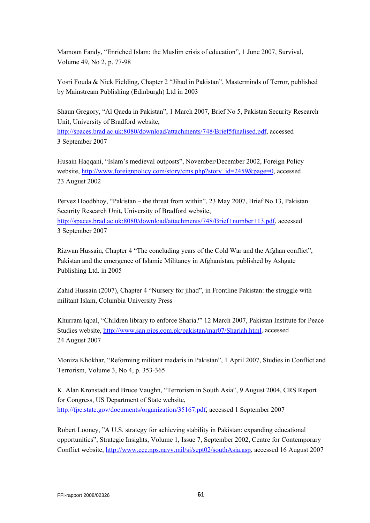Mamoun Fandy, "Enriched Islam: the Muslim crisis of education", 1 June 2007, Survival, Volume 49, No 2, p. 77-98

Yosri Fouda & Nick Fielding, Chapter 2 "Jihad in Pakistan", Masterminds of Terror, published by Mainstream Publishing (Edinburgh) Ltd in 2003

Shaun Gregory, "Al Qaeda in Pakistan", 1 March 2007, Brief No 5, Pakistan Security Research Unit, University of Bradford website,

[http://spaces.brad.ac.uk:8080/download/attachments/748/Brief5finalised.pdf,](http://spaces.brad.ac.uk:8080/download/attachments/748/Brief5finalised.pdf) accessed 3 September 2007

Husain Haqqani, "Islam's medieval outposts", November/December 2002, Foreign Policy website, [http://www.foreignpolicy.com/story/cms.php?story\\_id=2459&page=0](http://www.foreignpolicy.com/story/cms.php?story_id=2459&page=0), accessed 23 August 2002

Pervez Hoodbhoy, "Pakistan – the threat from within", 23 May 2007, Brief No 13, Pakistan Security Research Unit, University of Bradford website, <http://spaces.brad.ac.uk:8080/download/attachments/748/Brief+number+13.pdf>, accessed 3 September 2007

Rizwan Hussain, Chapter 4 "The concluding years of the Cold War and the Afghan conflict", Pakistan and the emergence of Islamic Militancy in Afghanistan, published by Ashgate Publishing Ltd. in 2005

Zahid Hussain (2007), Chapter 4 "Nursery for jihad", in Frontline Pakistan: the struggle with militant Islam, Columbia University Press

Khurram Iqbal, "Children library to enforce Sharia?" 12 March 2007, Pakistan Institute for Peace Studies website, [http://www.san.pips.com.pk/pakistan/mar07/Shariah.html,](http://www.san.pips.com.pk/pakistan/mar07/Shariah.html) accessed 24 August 2007

Moniza Khokhar, "Reforming militant madaris in Pakistan", 1 April 2007, Studies in Conflict and Terrorism, Volume 3, No 4, p. 353-365

K. Alan Kronstadt and Bruce Vaughn, "Terrorism in South Asia", 9 August 2004, CRS Report for Congress, US Department of State website, <http://fpc.state.gov/documents/organization/35167.pdf>, accessed 1 September 2007

Robert Looney, "A U.S. strategy for achieving stability in Pakistan: expanding educational opportunities", Strategic Insights, Volume 1, Issue 7, September 2002, Centre for Contemporary Conflict website, [http://www.ccc.nps.navy.mil/si/sept02/southAsia.asp,](http://www.ccc.nps.navy.mil/si/sept02/southAsia.asp) accessed 16 August 2007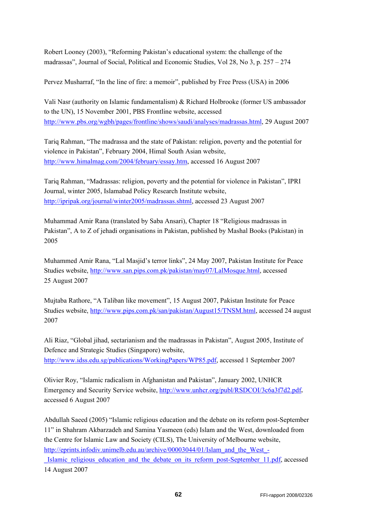Robert Looney (2003), "Reforming Pakistan's educational system: the challenge of the madrassas", Journal of Social, Political and Economic Studies, Vol 28, No 3, p. 257 – 274

Pervez Musharraf, "In the line of fire: a memoir", published by Free Press (USA) in 2006

Vali Nasr (authority on Islamic fundamentalism) & Richard Holbrooke (former US ambassador to the UN), 15 November 2001, PBS Frontline website, accessed <http://www.pbs.org/wgbh/pages/frontline/shows/saudi/analyses/madrassas.html>, 29 August 2007

Tariq Rahman, "The madrassa and the state of Pakistan: religion, poverty and the potential for violence in Pakistan", February 2004, Himal South Asian website, [http://www.himalmag.com/2004/february/essay.htm,](http://www.himalmag.com/2004/february/essay.htm) accessed 16 August 2007

Tariq Rahman, "Madrassas: religion, poverty and the potential for violence in Pakistan", IPRI Journal, winter 2005, Islamabad Policy Research Institute website, [http://ipripak.org/journal/winter2005/madrassas.shtml,](http://ipripak.org/journal/winter2005/madrassas.shtml) accessed 23 August 2007

Muhammad Amir Rana (translated by Saba Ansari), Chapter 18 "Religious madrassas in Pakistan", A to Z of jehadi organisations in Pakistan, published by Mashal Books (Pakistan) in 2005

Muhammed Amir Rana, "Lal Masjid's terror links", 24 May 2007, Pakistan Institute for Peace Studies website, [http://www.san.pips.com.pk/pakistan/may07/LalMosque.html,](http://www.san.pips.com.pk/pakistan/may07/LalMosque.html) accessed 25 August 2007

Mujtaba Rathore, "A Taliban like movement", 15 August 2007, Pakistan Institute for Peace Studies website, [http://www.pips.com.pk/san/pakistan/August15/TNSM.html,](http://www.pips.com.pk/san/pakistan/August15/TNSM.html) accessed 24 august 2007

Ali Riaz, "Global jihad, sectarianism and the madrassas in Pakistan", August 2005, Institute of Defence and Strategic Studies (Singapore) website, <http://www.idss.edu.sg/publications/WorkingPapers/WP85.pdf>, accessed 1 September 2007

Olivier Roy, "Islamic radicalism in Afghanistan and Pakistan", January 2002, UNHCR Emergency and Security Service website, [http://www.unhcr.org/publ/RSDCOI/3c6a3f7d2.pdf,](http://www.unhcr.org/publ/RSDCOI/3c6a3f7d2.pdf) accessed 6 August 2007

Abdullah Saeed (2005) "Islamic religious education and the debate on its reform post-September 11" in Shahram Akbarzadeh and Samina Yasmeen (eds) Islam and the West, downloaded from the Centre for Islamic Law and Society (CILS), The University of Melbourne website, [http://eprints.infodiv.unimelb.edu.au/archive/00003044/01/Islam\\_and\\_the\\_West\\_-](http://eprints.infodiv.unimelb.edu.au/archive/00003044/01/Islam_and_the_West_-_Islamic_religious_education_and_the_debate_on_its_reform_post-September_11.pdf) Islamic religious education and the debate on its reform post-September 11.pdf, accessed 14 August 2007